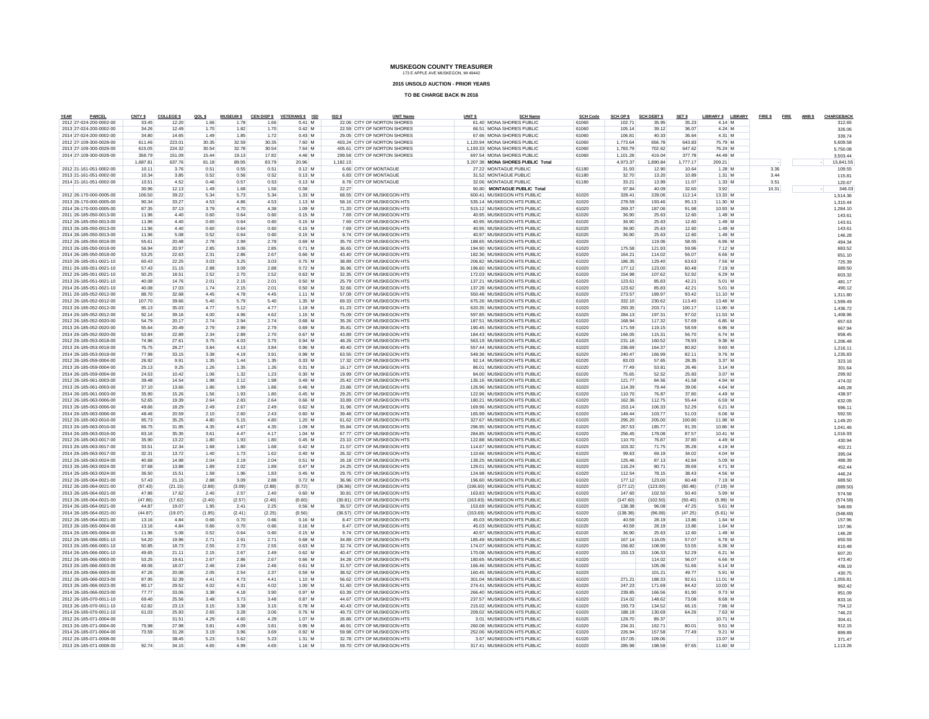**2015 UNSOLD AUCTION - PRIOR YEARS**

| PARCEI<br>YEAR                                     | CNTY \$          | <b>COLLEGE \$</b> | QOL \$       | <b>MUSEUM \$</b> |                | CEN DISP \$ VETERANS \$ ISD | ISD \$   | <b>UNIT Name</b>                                           | UNIT <sub>S</sub> | <b>SCH Name</b>                                          | <b>SCH Code</b> | SCH OP \$          | <b>SCH DEBT \$</b> | SET \$           | LIBRARY \$ LIBRARY  | FIRE \$FIRE AMBS |  | CHARGEBACK           |
|----------------------------------------------------|------------------|-------------------|--------------|------------------|----------------|-----------------------------|----------|------------------------------------------------------------|-------------------|----------------------------------------------------------|-----------------|--------------------|--------------------|------------------|---------------------|------------------|--|----------------------|
| 2012 27-024-200-0002-00                            | 33.45            | 12.20             | 1.66         | 1.78             | 1.66           | $0.41$ M                    |          | 22.06 CITY OF NORTON SHORES                                |                   | 61.40 MONA SHORES PUBLIC                                 | 61060           | 102.71             | 35.95              | 35.23            | 4.14 M              |                  |  | 312.65               |
| 2013 27-024-200-0002-00<br>2014 27-024-200-0002-00 | 34.26<br>34.80   | 12.49<br>14.65    | 1.70<br>1.49 | 1.82<br>1.85     | 1.70<br>1.72   | $0.42$ M<br>$0.43$ M        |          | 22.59 CITY OF NORTON SHORES<br>29.05 CITY OF NORTON SHORES |                   | 66.51 MONA SHORES PUBLIC<br>67.66 MONA SHORES PUBLIC     | 61060<br>61060  | 105.14<br>106.81   | 39.12<br>40.33     | 36.07<br>36.64   | 4.24 M<br>4.31 M    |                  |  | 326.06               |
| 2012 27-109-300-0028-00                            | 611.46           | 223.01            | 30.35        | 32.59            | 30.35          | 7.60 M                      |          | 403.24 CITY OF NORTON SHORES                               |                   | 1.120.94 MONA SHORES PUBLIC                              | 61060           | 1.773.64           | 656.78             | 643.83           | 75.79 M             |                  |  | 339.74               |
| 2013 27-109-300-0028-00                            | 615.05           | 224.32            | 30.54        | 32.78            | 30.54          | 7.64 M                      |          | 405.61 CITY OF NORTON SHORES                               |                   | 1.193.33 MONA SHORES PUBLIC                              | 61060           | 1.783.79           | 702.62             | 647.62           | 76.24 M             |                  |  | 5,609.58<br>5.750.0  |
| 2014 27-109-300-0028-00                            | 358.79           | 151.09            | 15.44        | 19.13            | 17.82          | 4.46 M                      |          | 299.58 CITY OF NORTON SHORES                               |                   | 697.54 MONA SHORES PUBLIC                                | 61060           | 1.101.28           | 416.04             | 377.78           | 44.49 M             |                  |  | 3.503.4              |
|                                                    | 1.687.81         | 637.76            | 81.18        | 89.95            | 83.79          | 20.96                       | 1.182.13 |                                                            |                   | 3.207.38 MONA SHORES PUBLIC Total                        |                 | 4.973.37           | 1.890.84           | 1.777.17         | 209.21              |                  |  | 15,841.5             |
| 2012 21-161-051-0002-00                            | 10.11            | 3.76              | 0.51         | 0.55             | 0.51           | $0.12$ M                    |          | 6.66 CITY OF MONTAGUE                                      |                   | 27.22 MONTAGUE PUBLIC                                    | 61180           | 31.93              | 12.90              | 10.64            | 1.28 M              | 3.36             |  | 109.55               |
| 2013 21-161-051-0002-00                            | 10.34            | 3.85              | 0.52         | 0.56             | 0.52           | $0.13$ M                    |          | 6.83 CITY OF MONTAGUE                                      |                   | 31.52 MONTAGUE PUBLIC                                    | 61180           | 32.70              | 13.20              | 10.89            | $1.31$ M            | 3.44             |  | 115.8                |
| 2014 21-161-051-0002-00                            | 10.51            | 4.52              | 0.46         | 0.57             | 0.53           | $0.13$ M                    |          | 8.78 CITY OF MONTAGUE                                      |                   | 32.06 MONTAGUE PUBLIC                                    | 61180           | 33.21              | 13.99              | 11.07            | $1.33$ M            | 3.51             |  | 120.6                |
|                                                    | 30.96            | 12.13             | 1.49         | 1.68             | 1.56           | 0.38                        |          | 22.27                                                      |                   | 90.80 MONTAGUE PUBLIC Total                              |                 | 97.84              | 40.09              | 32.60            | 3.92                | 10.31            |  | 346.03               |
| 2012 26-170-000-0005-00                            | 106.50           | 39.22             | 5.34         | 5.73             | 5.34           | 1.33 M                      |          | 68.55 CITY OF MUSKEGON HTS                                 |                   | 600.41 MUSKEGON HTS PUBLIC                               | 61020           | 328.41             | 228.06             | 112.14           | 13.33 M             |                  |  | 1.514.36             |
| 2013 26-170-000-0005-00                            | 90.34            | 33.27             | 4.53         | 4.86             | 4.53           | $1.13$ M                    |          | 58.16 CITY OF MUSKEGON HTS                                 |                   | 535.14 MUSKEGON HTS PUBLIC                               | 61020           | 278.59             | 193.46             | 95.13            | 11.30 M             |                  |  | 1.310.4              |
| 2014 26-170-000-0005-00                            | 87.35            | 37.13             | 3.79         | 4.70             | 4.38           | $1.09$ M                    |          | 71.20 CITY OF MUSKEGON HTS                                 |                   | 515 12 MUSKEGON HTS PUBLIC                               | 61020           | 269.37             | 187.06             | 91.98            | 10.93 M             |                  |  | 1,284.10             |
| 2011 26-185-050-0013-00                            | 11.96            | 4.40              | 0.60         | 0.64             | 0.60           | $0.15$ M                    |          | 7.69 CITY OF MUSKEGON HTS                                  |                   | 40.95 MUSKEGON HTS PUBLIC                                | 61020           | 36.90              | 25.63              | 12.60            | $1.49$ M            |                  |  | 143.61               |
| 2012 26-185-050-0013-00                            | 11.96            | 4.40              | 0.60         | 0.64             | 0.60           | $0.15$ M                    |          | 7.69 CITY OF MUSKEGON HTS                                  |                   | 40.95 MUSKEGON HTS PUBLIC                                | 61020           | 36.90              | 25.63              | 12.60            | 1.49 M              |                  |  | 143.6                |
| 2013 26-185-050-0013-00                            | 11.96            | 4.40              | 0.60         | 0.64             | 0.60           | $0.15$ M                    |          | 7.69 CITY OF MUSKEGON HTS                                  |                   | 40.95 MUSKEGON HTS PUBLIC                                | 61020           | 36.90              | 25.63              | 12.60            | 1.49 M              |                  |  | 143.61               |
| 2014 26-185-050-0013-00                            | 11.96            | 5.08              | 0.52         | 0.64             | 0.60           | $0.15$ M                    |          | 9.74 CITY OF MUSKEGON HTS                                  |                   | 40.97 MUSKEGON HTS PUBLIC                                | 61020           | 36.90              | 25.63              | 12.60            | 1.49M               |                  |  | 146.28               |
| 2012 26-185-050-0018-00                            | 55.61            | 20.48             | 2.78         | 2.99             | 2.78           | $0.69$ M                    |          | 35.79 CITY OF MUSKEGON HTS                                 |                   | 188.65 MUSKEGON HTS PUBLIC                               | 61020           |                    | 119.06             | 58.55            | 6.96 M              |                  |  | 494.34               |
| 2013 26-185-050-0018-00                            | 56.94            | 20.97             | 2.85         | 3.06             | 2.85           | $0.71$ M                    |          | 36.65 CITY OF MUSKEGON HTS                                 |                   | 194.90 MUSKEGON HTS PUBLIC                               | 61020           | 175.58             | 121.93             | 59.96            | 7.12 M              |                  |  | 683.52               |
| 2014 26-185-050-0018-00                            | 53.25            | 22.63             | 2.31         | 2.86             | 2.67           | $0.66$ M                    |          | 43.40 CITY OF MUSKEGON HTS                                 |                   | 182.36 MUSKEGON HTS PUBLIC                               | 61020           | 164.21             | 114.02             | 56.07            | 6.66 M              |                  |  | 651.10               |
| 2010 26-185-051-0021-10                            | 60.43            | 22.25             | 3.03         | 3.25             | 3.03           | $0.75$ M                    |          | 38.89 CITY OF MUSKEGON HTS                                 |                   | 206.82 MUSKEGON HTS PUBLIC                               | 61020           | 186.35             | 129.40             | 63.63            | 7.56 M              |                  |  | 725.39               |
| 2011 26-185-051-0021-10                            | 57.43            | 21.15             | 2.88         | 3.09             | 2.88           | $0.72$ M                    |          | 36.96 CITY OF MUSKEGON HTS                                 |                   | 196.60 MUSKEGON HTS PUBLIC                               | 61020           | 177.12             | 123.00             | 60.48            | 7.19 M              |                  |  | 689.50               |
| 2012 26-185-051-0021-10                            | 50.25            | 18.51             | 2.52         | 2.70             | 2.52           | $0.63$ M                    |          | 32.35 CITY OF MUSKEGON HTS                                 |                   | 172.03 MUSKEGON HTS PUBLIC                               | 61020           | 154.98             | 107.62             | 52.92            | 6.29 M              |                  |  | 603.32               |
| 2013 26-185-051-0021-10                            | 40.08            | 14.76             | 2.01         | 2.15             | 2.01           | 0.50 M                      |          | 25.79 CITY OF MUSKEGON HTS<br>32 66 CITY OF MUSKEGON HTS   |                   | 137.21 MUSKEGON HTS PUBLIC<br>137.28 MUSKEGON HTS PUBLIC | 61020           | 123.61             | 8583               | 42.21            | 5.01 M<br>5.01 M    |                  |  | 481.17               |
| 2014 26-185-051-0021-10                            | 40.08            | 17.03             | 1.74         | 2.15             | 2.01           | $0.50$ M                    |          |                                                            |                   |                                                          | 61020           | 123.62             | 85.83              | 42.21            |                     |                  |  | 490.12               |
| 2011 26-185-052-0012-00                            | 88.70            | 32.68<br>39.66    | 4.45         | 4.78             | 4.45           | 1.11 M                      |          | 57.09 CITY OF MUSKEGON HTS<br>69.33 CITY OF MUSKEGON HTS   |                   | 550.48 MUSKEGON HTS PUBLIC                               | 61020           | 273.57             | 189.97             | 93.42            | 11.10 M<br>13.48 M  |                  |  | 1.311.8              |
| 2012 26-185-052-0012-00<br>2013 26-185-052-0012-00 | 107.70<br>95.13  | 35.03             | 5.40<br>4.77 | 5.79<br>5.12     | 5.40<br>4.77   | $1.35$ M<br>1.19 M          |          | 61.23 CITY OF MUSKEGON HTS                                 |                   | 675.26 MUSKEGON HTS PUBLIC<br>620.35 MUSKEGON HTS PUBLIC | 61020<br>61020  | 332.10<br>293.35   | 230.62<br>203.71   | 113,40<br>100.17 | 11.90 M             |                  |  | 1.599.49             |
| 2014 26-185-052-0012-00                            | 92.14            | 39.16             | 4.00         | 4.96             | 4.62           | 1.15 M                      |          | 75.09 CITY OF MUSKEGON HTS                                 |                   | 597.85 MUSKEGON HTS PUBLIC                               | 61020           | 284.13             | 197.31             | 97.02            | 11.53 M             |                  |  | 1.436.72<br>1.408.96 |
| 2012 26-185-052-0020-00                            | 54.79            | 20.17             | 2.74         | 2.94             | 2.74           | $0.68$ M                    |          | 35.26 CITY OF MUSKEGON HTS                                 |                   | 187.51 MUSKEGON HTS PUBLIC                               | 61020           | 168.94             | 117.32             | 57.69            | 6.85 M              |                  |  | 657.63               |
| 2013 26-185-052-0020-00                            | 55.64            | 20.49             | 2.79         | 2.99             | 2.79           | $0.69$ M                    |          | 35.81 CITY OF MUSKEGON HTS                                 |                   | 190.45 MUSKEGON HTS PUBLIC                               | 61020           | 171.59             | 119.15             | 58.59            | 6.96 M              |                  |  | 667.94               |
| 2014 26-185-052-0020-00                            | 53.84            | 22.89             | 2.34         | 2.89             | 2.70           | $0.67$ M                    |          | 43.89 CITY OF MUSKEGON HTS                                 |                   | 184.43 MUSKEGON HTS PUBLIC                               | 61020           | 166.05             | 115.31             | 56.70            | 6.74 M              |                  |  | 658.45               |
| 2012 26-185-053-0018-00                            | 74.96            | 27.61             | 3.75         | 4.03             | 3.75           | 0.94 M                      |          | 48.26 CITY OF MUSKEGON HTS                                 |                   | 563.19 MUSKEGON HTS PUBLIC                               | 61020           | 231.16             | 160.52             | 78.93            | 9.38 M              |                  |  | 1.206.4              |
| 2013 26-185-053-0018-00                            | 76.75            | 28.27             | 3.84         | 4.13             | 3.84           | 0.96 M                      |          | 49 40 CITY OF MUSKEGON HTS                                 |                   | 557 44 MUSKEGON HTS PUBLIC                               | 61020           | 236.69             | 164.37             | 80.82            | 9.60 M              |                  |  | 1.216.1              |
| 2014 26-185-053-0018-00                            | 77.98            | 33.15             | 3.38         | 4.19             | 3.91           | $0.98$ M                    |          | 63.55 CITY OF MUSKEGON HTS                                 |                   | 549.36 MUSKEGON HTS PUBLIC                               | 61020           | 240.47             | 166.99             | 82.11            | 9.76 M              |                  |  | 1.235.83             |
| 2012 26-185-059-0004-00                            | 26.92            | 9.91              | 1.35         | 1.44             | 1.35           | $0.33$ M                    |          | 17.32 CITY OF MUSKEGON HTS                                 |                   | 92.14 MUSKEGON HTS PUBLIC                                | 61020           | 83.03              | 57.65              | 28.35            | 3.37 M              |                  |  | 323.16               |
| 2013 26-185-059-0004-00                            | 25.13            | 9.25              | 1.26         | 1.35             | 1.26           | 0.31 M                      |          | 16.17 CITY OF MUSKEGON HTS                                 |                   | 86.01 MUSKEGON HTS PUBLIC                                | 61020           | 77.49              | 53.81              | 26.46            | 3.14 M              |                  |  | 301.64               |
| 2014 26-185-059-0004-00                            | 24.53            | 10.42             | 1.06         | 1.32             | 1.23           | $0.30$ M                    |          | 19.99 CITY OF MUSKEGON HTS                                 |                   | 84.00 MUSKEGON HTS PUBLIC                                | 61020           | 75.65              | 52.52              | 25.83            | 3.07 M              |                  |  | 299.92               |
| 2012 26-185-061-0003-00                            | 39.48            | 14.54             | 1.98         | 2.12             | 1.98           | $0.49$ M                    |          | 25.42 CITY OF MUSKEGON HTS                                 |                   | 135.16 MUSKEGON HTS PUBLIC                               | 61020           | 121.77             | 84.56              | 41.58            | 4.94 M              |                  |  | 474.02               |
| 2013 26-185-061-0003-00                            | 37.10            | 13.66             | 1.86         | 1.99             | 1.86           | $0.46$ M                    |          | 23.86 CITY OF MUSKEGON HTS                                 |                   | 126.96 MUSKEGON HTS PUBLIC                               | 61020           | 114.39             | 79.44              | 39.06            | 4.64 M              |                  |  | 445.28               |
| 2014 26-185-061-0003-00                            | 35.90            | 15.26             | 1.56         | 1.93             | 1.80           | $0.45$ M                    |          | 29.25 CITY OF MUSKEGON HTS                                 |                   | 122.96 MUSKEGON HTS PUBLIC                               | 61020           | 110.70             | 76.87              | 37.80            | 4.49 M              |                  |  | 438.97               |
| 2012 26-185-063-0006-00                            | 52.65            | 19.39             | 2.64         | 2.83             | 2.64           | $0.66$ M                    |          | 33.89 CITY OF MUSKEGON HTS                                 |                   | 180.21 MUSKEGON HTS PUBLIC                               | 61020           | 162.36             | 112.75             | 55 44            | 6.59 M              |                  |  | 632.05               |
| 2013 26-185-063-0006-00                            | 49.66            | 18.29             | 2.49         | 2.67             | 2.49           | $0.62$ M                    |          | 31.96 CITY OF MUSKEGON HTS                                 |                   | 169.96 MUSKEGON HTS PUBLIC                               | 61020           | 153.14             | 106.33             | 52.29            | 6.21 M              |                  |  | 596.11               |
| 2014 26-185-063-0006-00                            | 48.46            | 20.59             | 2.10         | 2.60             | 2.43           | $0.60$ M                    |          | 39.48 CITY OF MUSKEGON HTS                                 |                   | 165.99 MUSKEGON HTS PUBLIC                               | 61020           | 149 44             | 103.77             | 51.03            | 6.06 M              |                  |  | 592.55               |
| 2012 26-185-063-0016-00                            | 95.73            | 35.25             | 4.80         | 5.15             | 4.80           | 1.20 M                      |          | 61.62 CITY OF MUSKEGON HTS                                 |                   | 327.67 MUSKEGON HTS PUBLIC                               | 61020           | 295.20             | 205.00             | 100.80           | 11.98 M             |                  |  | 1.149.20             |
| 2013 26-185-063-0016-00                            | 86.75            | 31.95             | 4.35         | 4.67             | 4.35           | 1.09 M                      |          | 55.84 CITY OF MUSKEGON HTS                                 |                   | 296.95 MUSKEGON HTS PUBLIC                               | 61020           | 267.53             | 185.77             | 91.35            | 10.86 M             |                  |  | 1.041.46             |
| 2014 26-185-063-0016-00                            | 83.16            | 35.35             | 3.61         | 4.47             | 4.17           | 1.04 M                      |          | 67.77 CITY OF MUSKEGON HTS                                 |                   | 284.85 MUSKEGON HTS PUBLIC                               | 61020           | 256.45             | 178.08             | 87.57            | $10.41$ M           |                  |  | 1.016.93             |
| 2012 26-185-063-0017-00                            | 35.90            | 13.22             | 1.80         | 1.93             | 1.80           | $0.45$ M                    |          | 23.10 CITY OF MUSKEGON HTS                                 |                   | 122.88 MUSKEGON HTS PUBLIC                               | 61020           | 110.70             | 76.87              | 37.80            | 4.49 M              |                  |  | 430.94               |
| 2013 26-185-063-0017-00                            | 33.51            | 12.34             | 1.68         | 1.80             | 1.68           | $0.42$ M                    |          | 21.57 CITY OF MUSKEGON HTS                                 |                   | 114.67 MUSKEGON HTS PUBLIC                               | 61020           | 103.32             | 71.75              | 35.28            | 4.19 M              |                  |  | 402.21               |
| 2014 26-185-063-0017-00                            | 32.31            | 13.72             | 1.40         | 1.73             | 1.62           | $0.40$ M                    |          | 26.32 CITY OF MUSKEGON HTS                                 |                   | 110.66 MUSKEGON HTS PUBLIC                               | 61020           | 99.63              | 69.19              | 34.02            | 4.04 M              |                  |  | 395.0                |
| 2012 26-185-063-0024-00                            | 40.68            | 14.98             | 2.04         | 2.19             | 2.04           | 0.51 M                      |          | 26.18 CITY OF MUSKEGON HTS                                 |                   | 139.25 MUSKEGON HTS PUBLIC                               | 61020           | 125.46             | 87.13              | 4284             | 5.09 M              |                  |  | 488.39               |
| 2013 26-185-063-0024-00                            | 37.68            | 13.88             | 1.89         | 2.02             | 1.89           | $0.47$ M                    |          | 24.25 CITY OF MUSKEGON HTS                                 |                   | 129.01 MUSKEGON HTS PUBLIC                               | 61020           | 116.24             | 80.71              | 39.69            | 4.71 M              |                  |  | 452.44               |
| 2014 26-185-063-0024-00                            | 36.50            | 15.51             | 1.58<br>2.88 | 1.96             | 1.83           | $0.45$ M                    |          | 29.75 CITY OF MUSKEGON HTS<br>36.96 CITY OF MUSKEGON HTS   |                   | 124.98 MUSKEGON HTS PUBLIC<br>196.60 MUSKEGON HTS PUBLIC | 61020<br>61020  | 112.54             | 78.15              | 38.43<br>60.48   | 4.56 M<br>7.19 M    |                  |  | 446.24               |
| 2012 26-185-064-0021-00<br>2012 26-185-064-0021-00 | 57.43<br>(57.43) | 21.15<br>(21.15)  | (2.88)       | 3.09<br>(3.09)   | 2.88<br>(2.88) | $0.72$ M<br>(0.72)          |          | (36.96) CITY OF MUSKEGON HTS                               |                   | (196.60) MUSKEGON HTS PUBLIC                             | 61020           | 177.12<br>(177.12) | 123.00<br>(123.00) | (60.48)          | $(7.19)$ M          |                  |  | 689.50               |
| 2013 26-185-064-0021-00                            | 47.86            | 17.62             | 2.40         | 2.57             | 2.40           | $0.60$ M                    |          | 30.81 CITY OF MUSKEGON HTS                                 |                   | 163.83 MUSKEGON HTS PUBLIC                               | 61020           | 147.60             | 102.50             | 50.40            | 5.99 M              |                  |  | (689.50<br>574.58    |
| 2013 26-185-064-0021-00                            | (47.86)          | (17.62)           | (2.40)       | (2.57)           | (2.40)         | (0.60)                      |          | (30.81) CITY OF MUSKEGON HTS                               |                   | (163.83) MUSKEGON HTS PUBLIC                             | 61020           | (147.60)           | (102.50)           | (50.40)          | $(5.99)$ M          |                  |  | (574.58)             |
| 2014 26-185-064-0021-00                            | 44.87            | 19.07             | 1.95         | 2.41             | 2.25           | $0.56$ M                    |          | 36.57 CITY OF MUSKEGON HTS                                 |                   | 153.69 MUSKEGON HTS PUBLIC                               | 61020           | 138.38             | 96.08              | 47.25            | 5.61 M              |                  |  | 548.69               |
| 2014 26-185-064-0021-00                            | (44.87)          | (19.07)           | (1.95)       | (2.41)           | (2.25)         | (0.56)                      |          | (36.57) CITY OF MUSKEGON HTS                               |                   | (153.69) MUSKEGON HTS PUBLIC                             | 61020           | (138.38)           | (96.08)            | (47.25)          | $(5.61)$ M          |                  |  | (548.69)             |
| 2012 26-185-064-0021-00                            | 13.16            | 4.84              | 0.66         | 0.70             | 0.66           | $0.16$ M                    |          | 8.47 CITY OF MUSKEGON HTS                                  |                   | 45.03 MUSKEGON HTS PUBLIC                                | 61020           | 40.59              | 28.19              | 13.86            | 1.64 M              |                  |  | 157.96               |
| 2013 26-185-065-0004-00                            | 13.16            | 4.84              | 0.66         | 0.70             | 0.66           | $0.16$ M                    |          | 8.47 CITY OF MUSKEGON HTS                                  |                   | 45.03 MUSKEGON HTS PUBLIC                                | 61020           | 40.59              | 28.19              | 13.86            | 1.64 M              |                  |  | 157.96               |
| 2014 26-185-065-0004-00                            | 11.96            | 5.08              | 0.52         | 0.64             | 0.60           | $0.15$ M                    |          | 9.74 CITY OF MUSKEGON HTS                                  |                   | 40.97 MUSKEGON HTS PUBLIC                                | 61020           | 36.90              | 25.63              | 12.60            | 1.49 M              |                  |  | 146.28               |
| 2012 26-185-066-0001-10                            | 54.20            | 19.96             | 2.71         | 2.91             | 2.71           | $0.68$ M                    |          | 34.89 CITY OF MUSKEGON HTS                                 |                   | 185.49 MUSKEGON HTS PUBLIC                               | 61020           | 167.14             | 116.05             | 57.07            | 6.78 M              |                  |  | 650.59               |
| 2013 26-185-066-0001-10                            | 50.85            | 1873              | 2.55         | 2.73             | 2.55           | 0.63 M                      |          | 32.74 CITY OF MUSKEGON HTS                                 |                   | 174.07 MUSKEGON HTS PUBLIC                               | 61020           | 156.82             | 108.90             | 53.55            | 6.36 M              |                  |  | 610.48               |
| 2014 26-185-066-0001-10                            | 49.65            | 21.11             | 2.15         | 2.67             | 2.49           | 0.62 M                      |          | 40 47 CITY OF MUSKEGON HTS                                 |                   | 170.08 MUSKEGON HTS PUBLIC                               | 61020           | 153.13             | 106.33             | 52.29            | 6.21 M              |                  |  | 607.20               |
| 2012 26-185-066-0003-00                            | 53.25            | 19.61             | 2.67         | 2.86             | 2.67           | $0.66$ M                    |          | 34.28 CITY OF MUSKEGON HTS                                 |                   | 180.65 MUSKEGON HTS PUBLIC                               | 61020           |                    | 114.02             | 56.07            | 6.66 M              |                  |  | 473.40               |
| 2013 26-185-066-0003-00                            | 49.06            | 18.07             | 2.46         | 2.64             | 2.46           | $0.61$ M                    |          | 31.57 CITY OF MUSKEGON HTS                                 |                   | 166.46 MUSKEGON HTS PUBLIC                               | 61020           |                    | 105.06             | 51.66            | 6.14 M              |                  |  | 436.1                |
| 2014 26-185-066-0003-00                            | 47.26            | 20.08             | 2.05         | 2.54             | 2.37           | 0.59 M                      |          | 38.52 CITY OF MUSKEGON HTS                                 |                   | 160.45 MUSKEGON HTS PUBLIC                               | 61020           |                    | 101.21             | 49.77            | 5.91 M              |                  |  | 430.75               |
| 2012 26-185-066-0023-00                            | 87.95            | 32.39             | 4.41         | 4.73             | 4.41           | $1.10$ M                    |          | 56.62 CITY OF MUSKEGON HTS                                 |                   | 301.04 MUSKEGON HTS PUBLIC                               | 61020           | 271.21             | 188.33             | 92.61            | 11.01 M             |                  |  | 1.055.81             |
| 2013 26-185-066-0023-00                            | 80.17            | 29.52             | 4.02         | 4.31             | 4.02           | 1.00 M                      |          | 51.60 CITY OF MUSKEGON HTS                                 |                   | 274.41 MUSKEGON HTS PUBLIC                               | 61020           | 247.23             | 171.69             | 84.42            | 10.03 M             |                  |  | 962.42               |
| 2014 26-185-066-0023-00                            | 77.77            | 33.06             | 3.38         | 4.18             | 3.90           | 0.97 M                      |          | 63.39 CITY OF MUSKEGON HTS                                 |                   | 266.40 MUSKEGON HTS PUBLIC                               | 61020           | 239.85             | 166.56             | 81.90            | 9.73 M              |                  |  | 951.09               |
| 2012 26-185-070-0011-10                            | 69.40            | 25.56             | 3.48         | 3.73             | 3.48           | 0.87 M                      |          | 44.67 CITY OF MUSKEGON HTS                                 |                   | 237.57 MUSKEGON HTS PUBLIC                               | 61020           | 214.02             | 148.62             | 73.08            | 8.68 M              |                  |  | 833.16               |
| 2013 26-185-070-0011-10                            | 62.82            | 23.13             | 3.15         | 3.38             | 3.15           | $0.78$ M                    |          | 40.43 CITY OF MUSKEGON HTS                                 |                   | 215.02 MUSKEGON HTS PUBLIC                               | 61020           | 193.73             | 134.52             | 66.15            | 7.86 M              |                  |  | 754.12               |
| 2014 26-185-070-0011-10                            | 61.03            | 25.93             | 2.65         | 3.28             | 3.06           | $0.76$ M                    |          | 49 73 CITY OF MUSKEGON HTS                                 |                   | 209.02 MUSKEGON HTS PUBLIC                               | 61020           | 188.19             | 130.69             | 64.26            | 7.63 M              |                  |  | 746.2                |
| 2012 26-185-071-0004-00                            |                  | 31.51             | 4.29         | 4.60             | 4.29           | 1.07 M                      |          | 26.86 CITY OF MUSKEGON HTS                                 |                   | 3.01 MUSKEGON HTS PUBLIC                                 | 61020           | 128.70             | 89.37              |                  | 10.71 M             |                  |  | 304.4                |
| 2013 26-185-071-0004-00                            | 75.98            | 27.98             | 3.81         | 4.09             | 3.81<br>3.69   | $0.95$ M<br>$0.92$ M        |          | 48.91 CITY OF MUSKEGON HTS<br>59.98 CITY OF MUSKEGON HTS   |                   | 260.08 MUSKEGON HTS PUBLIC<br>252.06 MUSKEGON HTS PUBLIC | 61020           | 234.31<br>226.94   | 162.71             | 80.01            | 9.51 M              |                  |  | 912.15               |
| 2014 26-185-071-0004-00<br>2012 26-185-071-0008-00 | 73.59            | 31.28<br>38.45    | 3.19<br>5.23 | 3.96<br>5.62     | 5.23           | 1.31 M                      |          | 32 78 CITY OF MUSKEGON HTS                                 |                   | 3.67 MUSKEGON HTS PUBLIC                                 | 61020<br>61020  | 157.05             | 157.58<br>109.06   | 77.49            | $9.21$ M<br>13.07 M |                  |  | 899.8                |
| 2013 26-185-071-0008-00                            | 9274             | 34.15             | 4.65         | 4.99             | 4.65           | $1.16$ M                    |          | 59.70 CITY OF MUSKEGON HTS                                 |                   | 317.41 MUSKEGON HTS PUBLIC                               | 61020           | 285.98             | 198.58             | 97.65            | 11.60 M             |                  |  | 371.47<br>1.113.26   |
|                                                    |                  |                   |              |                  |                |                             |          |                                                            |                   |                                                          |                 |                    |                    |                  |                     |                  |  |                      |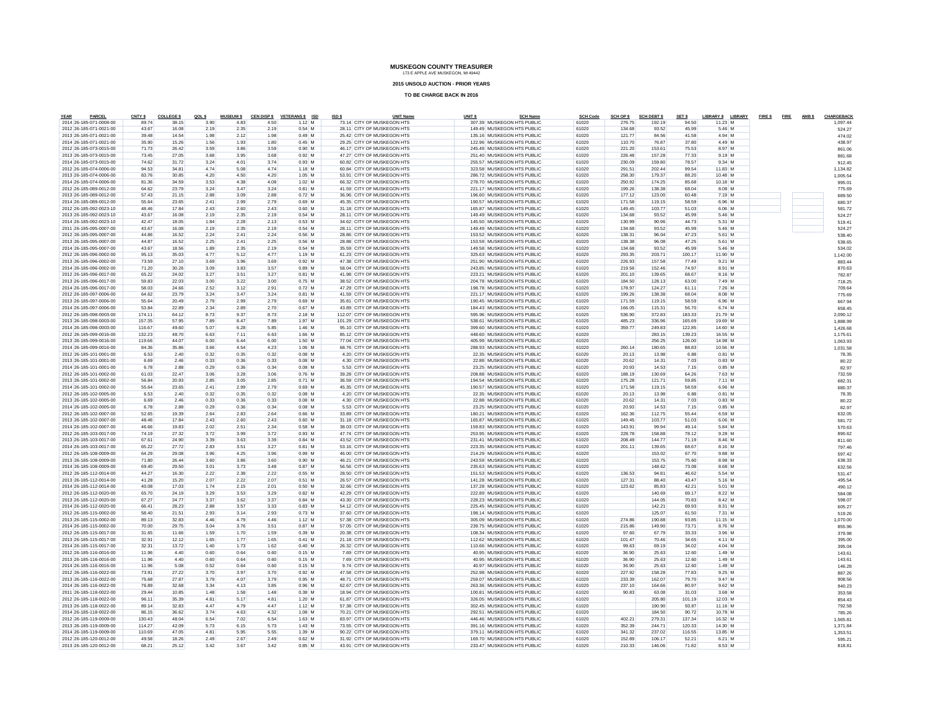**2015 UNSOLD AUCTION - PRIOR YEARS**

| YEAR<br>PARCEL                                     | CNTY \$          | <b>COLLEGE \$</b> | QOLS         | <b>MUSEUM \$</b> |              | CEN DISP \$ VETERANS \$ ISD | ISD \$ | <b>UNIT Name</b>                                         | UNIT <sub>S</sub> |                                                          | <b>SCH Name</b> | <b>SCH Code</b> | SCH OP \$        | <b>SCH DEBT \$</b> | SET \$           | LIBRARY \$ LIBRARY | FIRE \$FIRE | AMB \$ | CHARGEBACK         |
|----------------------------------------------------|------------------|-------------------|--------------|------------------|--------------|-----------------------------|--------|----------------------------------------------------------|-------------------|----------------------------------------------------------|-----------------|-----------------|------------------|--------------------|------------------|--------------------|-------------|--------|--------------------|
| 2014 26-185-071-0008-00<br>2012 26-185-071-0021-00 | 89.74<br>43.67   | 38.15<br>16.08    | 3.90<br>2.19 | 4.83<br>2.35     | 4.50<br>2.19 | $1.12$ M<br>$0.54$ M        |        | 73.14 CITY OF MUSKEGON HTS<br>28.11 CITY OF MUSKEGON HTS |                   | 307.39 MUSKEGON HTS PUBLIC<br>149.49 MUSKEGON HTS PUBLIC |                 | 61020<br>61020  | 276.75<br>134.68 | 192.19<br>93.52    | 94.50<br>45.99   | 11.23 M<br>5.46 M  |             |        | 1.097.44           |
| 2013 26-185-071-0021-00                            | 39.48            | 14.54             | 1.98         | 2.12             | 1.98         | $0.49$ M                    |        | 25.42 CITY OF MUSKEGON HTS                               |                   | 135.16 MUSKEGON HTS PUBLIC                               |                 | 61020           | 121.77           | 84.56              | 41.58            | 4.94 M             |             |        | 524.27<br>474.02   |
| 2014 26-185-071-0021-00                            | 35.90            | 15.26             | 1.56         | 1.93             | 1.80         | $0.45$ M                    |        | 29.25 CITY OF MUSKEGON HTS                               |                   | 122.96 MUSKEGON HTS PUBLIC                               |                 | 61020           | 110.70           | 76.87              | 37.80            | 4.49 M             |             |        | 438.97             |
| 2012 26-185-073-0015-00                            | 71.73            | 26.42             | 3.59         | 3.86             | 3.59         | $0.90$ M                    |        | 46.17 CITY OF MUSKEGON HTS                               |                   | 245.49 MUSKEGON HTS PUBLIC                               |                 | 61020           | 221.20           | 153.61             | 75.53            | 8.97 M             |             |        | 861.06             |
| 2013 26-185-073-0015-00                            | 73.45            | 27.05             | 3.68         | 3.95             | 3.68         | $0.92$ M                    |        | 47.27 CITY OF MUSKEGON HTS                               |                   | 251.40 MUSKEGON HTS PUBLIC                               |                 | 61020           | 226.48           | 157.28             | 77.33            | $9.19$ M           |             |        | 881.6              |
| 2014 26-185-073-0015-00                            | 74.62            | 31.72             | 3.24         | 4.01             | 3.74         | $0.93$ M                    |        | 60.82 CITY OF MUSKEGON HTS                               |                   | 255.57 MUSKEGON HTS PUBLIC                               |                 | 61020           | 230.09           | 159.80             | 78.57            | 9.34 M             |             |        | 912.45             |
| 2012 26-185-074-0006-00                            | 94.53            | 34.81             | 4.74         | 5.08             | 4.74         | $1.18$ M                    |        | 60.84 CITY OF MUSKEGON HTS                               |                   | 323.58 MUSKEGON HTS PUBLIC                               |                 | 61020           | 291.51           | 202.44             | 99.54            | 11.83 M            |             |        | 1.134.82           |
| 2013 26-185-074-0006-00                            | 83.76            | 30.85             | 4.20         | 4.50             | 4.20         | $1.05$ M                    |        | 53.91 CITY OF MUSKEGON HTS                               |                   | 286.72 MUSKEGON HTS PUBLIC                               |                 | 61020           | 258,30           | 179.37             | 88.20            | 10.48 M            |             |        | 1.005.5            |
| 2014 26-185-074-0006-00                            | 81.36            | 34.59             | 3.53         | 4.38             | 4.08         | $1.02$ M                    |        | 66.32 CITY OF MUSKEGON HTS                               |                   | 278.70 MUSKEGON HTS PUBLIC                               |                 | 61020           | 250.92           | 174.25             | 85.68            | 10.18 M            |             |        | 995.01             |
| 2012 26-185-089-0012-00                            | 64.62            | 23.79             | 3.24         | 3.47             | 3.24         | $0.81$ M                    |        | 41.59 CITY OF MUSKEGON HTS                               |                   | 221 17 MUSKEGON HTS PUBLIC                               |                 | 61020           | 199.26           | 138.38             | 68.04            | 8.08 M             |             |        | 775.69             |
| 2013 26-185-089-0012-00                            | 57.43            | 21.15             | 2.88         | 3.09             | 2.88         | $0.72$ M                    |        | 36.96 CITY OF MUSKEGON HTS                               |                   | 196.60 MUSKEGON HTS PUBLIC                               |                 | 61020           | 177.12           | 123.00             | 60.48            | 7.19 M             |             |        | 689.50             |
| 2014 26-185-089-0012-00                            | 55.64            | 23.65             | 2.41         | 2.99             | 2.79         | $0.69$ M                    |        | 45.35 CITY OF MUSKEGON HTS                               |                   | 190.57 MUSKEGON HTS PUBLIC                               |                 | 61020           | 171.58           | 119.15             | 58.59            | 6.96 M             |             |        | 680.37             |
| 2012 26-185-092-0023-10                            | 48.46            | 17.84             | 2.43         | 2.60             | 2.43         | $0.60$ M                    |        | 31.18 CITY OF MUSKEGON HTS                               |                   | 165.87 MUSKEGON HTS PUBLIC                               |                 | 61020           | 149.45           | 103.77             | 51.03            | 6.06 M             |             |        | 581.72             |
| 2013 26-185-092-0023-10                            | 43.67            | 16.08             | 2.19         | 2.35             | 2.19         | $0.54$ M                    |        | 28.11 CITY OF MUSKEGON HTS                               |                   | 149.49 MUSKEGON HTS PUBLIC                               |                 | 61020           | 134.68           | 93.52              | 45.99            | 5.46 M             |             |        | 524.27             |
| 2014 26-185-092-0023-10                            | 42.47            | 18.05             | 1.84         | 2.28             | 2.13         | $0.53$ M                    |        | 34.62 CITY OF MUSKEGON HTS                               |                   | 145.50 MUSKEGON HTS PUBLIC                               |                 | 61020           | 130.99           | 90.96              | 44.73            | 5.31 M             |             |        | 519.41             |
| 2011 26-185-095-0007-00                            | 43.67            | 16.08             | 2.19         | 2.35             | 2.19         | $0.54$ M                    |        | 28.11 CITY OF MUSKEGON HTS                               |                   | 149.49 MUSKEGON HTS PUBLIC                               |                 | 61020           | 134.68           | 93.52              | 45.99            | 5.46 M             |             |        | 524.27             |
| 2012 26-185-095-0007-00<br>2013 26-185-095-0007-00 | 44.86<br>44.87   | 16.52<br>16.52    | 2.24<br>2.25 | 2.41<br>2.41     | 2.24<br>2.25 | $0.56$ M<br>$0.56$ M        |        | 28.86 CITY OF MUSKEGON HTS<br>28.88 CITY OF MUSKEGON HTS |                   | 153.52 MUSKEGON HTS PUBLIC<br>153.59 MUSKEGON HTS PUBLIC |                 | 61020<br>61020  | 138.31<br>138,38 | 96.04<br>96.08     | 47.23<br>47.25   | 5.61 M<br>5.61 M   |             |        | 538.4              |
| 2014 26-185-095-0007-00                            | 43.67            | 18.56             | 1.89         | 2.35             | 2.19         | $0.54$ M                    |        | 35.59 CITY OF MUSKEGON HTS                               |                   | 149.58 MUSKEGON HTS PUBLIC                               |                 | 61020           | 134.68           | 93.52              | 45.99            | 5.46 M             |             |        | 538.6<br>534.02    |
| 2012 26-185-096-0002-00                            | 95.13            | 35.03             | 4.77         | 5.12             | 4.77         | 1.19 M                      |        | 61.23 CITY OF MUSKEGON HTS                               |                   | 325.63 MUSKEGON HTS PUBLIC                               |                 | 61020           | 293.35           | 203.71             | 100.17           | 11.90 M            |             |        | 1,142.00           |
| 2013 26-185-096-0002-00                            | 73.59            | 27.10             | 3.69         | 3.96             | 3.69         | $0.92$ M                    |        | 47.38 CITY OF MUSKEGON HTS                               |                   | 251.90 MUSKEGON HTS PUBLIC                               |                 | 61020           | 226.93           | 157.58             | 77.49            | $9.21$ M           |             |        | 883.44             |
| 2014 26-185-096-0002-00                            | 71.20            | 30.26             | 3.09         | 3.83             | 3.57         | $0.89$ M                    |        | 58.04 CITY OF MUSKEGON HTS                               |                   | 243.85 MUSKEGON HTS PUBLIC                               |                 | 61020           | 219.56           | 152.46             | 74.97            | 8.91 M             |             |        | 870.63             |
| 2012 26-185-096-0017-00                            | 65.22            | 24.02             | 3.27         | 3.51             | 3.27         | 0.81 M                      |        | 41.98 CITY OF MUSKEGON HTS                               |                   | 223.21 MUSKEGON HTS PUBLIC                               |                 | 61020           | 201.10           | 139.65             | 68.67            | 8.16 M             |             |        | 782.87             |
| 2013 26-185-096-0017-00                            | 59.83            | 22.03             | 3.00         | 3.22             | 3.00         | $0.75$ M                    |        | 38.52 CITY OF MUSKEGON HTS                               |                   | 204.78 MUSKEGON HTS PUBLIC                               |                 | 61020           | 184.50           | 128.13             | 63.00            | 7.49 M             |             |        | 718.25             |
| 2014 26-185-096-0017-00                            | 58.03            | 24.66             | 2.52         | 3.12             | 2.91         | $0.72$ M                    |        | 47.29 CITY OF MUSKEGON HTS                               |                   | 198.78 MUSKEGON HTS PUBLIC                               |                 | 61020           | 178.97           | 124.27             | 61.11            | 7.26 M             |             |        | 709.6              |
| 2012 26-185-097-0006-00                            | 64.62            | 23.79             | 3.24         | 3.47             | 3.24         | 0.81 M                      |        | 41.59 CITY OF MUSKEGON HTS                               |                   | 221 17 MUSKEGON HTS PUBLIC                               |                 | 61020           | 199.26           | 138.38             | 68.04            | 8.08 M             |             |        | 775.69             |
| 2013 26-185-097-0006-00                            | 55.64            | 20.49             | 2.79         | 2.99             | 2.79         | $0.69$ M                    |        | 35.81 CITY OF MUSKEGON HTS                               |                   | 190.45 MUSKEGON HTS PUBLIC                               |                 | 61020           | 171.59           | 119.15             | 58.59            | 6.96 M             |             |        | 667.94             |
| 2014 26-185-097-0006-00                            | 53.84            | 22.89             | 2.34         | 2.89             | 2.70         | $0.67$ M                    |        | 43.89 CITY OF MUSKEGON HTS                               |                   | 184.43 MUSKEGON HTS PUBLIC                               |                 | 61020           | 166.05           | 115.31             | 56.70            | 6.74 M             |             |        | 658.45             |
| 2012 26-185-098-0003-00                            | 174.11           | 64.12             | 8.73         | 9.37             | 8.73         | 2.18 M                      |        | 112.07 CITY OF MUSKEGON HTS                              |                   | 595.96 MUSKEGON HTS PUBLIC                               |                 | 61020           | 536.90           | 372.83             | 183.33           | 21.79 M            |             |        | 2,090.12           |
| 2013 26-185-098-0003-00                            | 157.35           | 57.95             | 7.89         | 8.47             | 7.89         | 1.97 M                      |        | 101.29 CITY OF MUSKEGON HTS                              |                   | 538.61 MUSKEGON HTS PUBLIC                               |                 | 61020           | 485.23           | 336.96             | 165.69           | 19.69 M            |             |        | 1,888.99           |
| 2014 26-185-098-0003-00                            | 116.67           | 49.60             | 5.07         | 6.28             | 5.85         | 1.46 M                      |        | 95.10 CITY OF MUSKEGON HTS                               |                   | 399.60 MUSKEGON HTS PUBLIC                               |                 | 61020           | 359.77           | 249.83             | 122.85           | 14.60 M            |             |        | 1.426.68           |
| 2012 26-185-099-0016-00                            | 132.23           | 48.70             | 6.63         | 7.11             | 6.63         | 1.66 M<br>1.50 M            |        | 85.12 CITY OF MUSKEGON HTS                               |                   | 448 60 MUSKEGON HTS PUBLIC                               |                 | 61020           |                  | 283.15             | 139.23           | 16.55 M            |             |        | 1.175.6            |
| 2013 26-185-099-0016-00<br>2014 26-185-099-0016-00 | 119.66<br>84.36  | 44.07<br>35.86    | 6.00<br>3.66 | 6.44<br>4.54     | 6.00<br>4.23 | 1.06 M                      |        | 77.04 CITY OF MUSKEGON HTS<br>68.76 CITY OF MUSKEGON HTS |                   | 405.99 MUSKEGON HTS PUBLIC<br>288.93 MUSKEGON HTS PUBLIC |                 | 61020<br>61020  | 260.14           | 256.25<br>180.65   | 126.00<br>88.83  | 14.98 M<br>10.56 M |             |        | 1.063.93           |
| 2012 26-185-101-0001-00                            | 6.53             | 2.40              | 0.32         | 0.35             | 0.32         | $0.08$ M                    |        | 4.20 CITY OF MUSKEGON HTS                                |                   | 22.35 MUSKEGON HTS PUBLIC                                |                 | 61020           | 20.13            | 13.98              | 6.88             | $0.81$ M           |             |        | 1.031.58<br>78.35  |
| 2013 26-185-101-0001-00                            | 6.69             | 2.46              | 0.33         | 0.36             | 0.33         | $0.08$ M                    |        | 4.30 CITY OF MUSKEGON HTS                                |                   | 22 88 MUSKEGON HTS PUBLIC                                |                 | 61020           | 20.62            | 14.31              | 7.03             | 0.83 M             |             |        | 80.22              |
| 2014 26-185-101-0001-00                            | 6.78             | 2.88              | 0.29         | 0.36             | 0.34         | $0.08$ M                    |        | 5.53 CITY OF MUSKEGON HTS                                |                   | 23.25 MUSKEGON HTS PUBLIC                                |                 | 61020           | 20.93            | 14.53              | 7.15             | $0.85$ M           |             |        | 82.97              |
| 2012 26-185-101-0002-00                            | 61.03            | 22.47             | 3.06         | 3.28             | 3.06         | $0.76$ M                    |        | 39.28 CITY OF MUSKEGON HTS                               |                   | 208.88 MUSKEGON HTS PUBLIC                               |                 | 61020           | 188.19           | 130.69             | 64.26            | 7.63 M             |             |        | 732.59             |
| 2013 26-185-101-0002-00                            | 56.84            | 20.93             | 2.85         | 3.05             | 2.85         | 0.71 M                      |        | 36.59 CITY OF MUSKEGON HTS                               |                   | 194.54 MUSKEGON HTS PUBLIC                               |                 | 61020           | 175.28           | 121.71             | 59.85            | 7.11 M             |             |        | 682.3              |
| 2014 26-185-101-0002-00                            | 55.64            | 23.65             | 241          | 2.99             | 2.79         | $0.69$ M                    |        | 45.35 CITY OF MUSKEGON HTS                               |                   | 190.57 MUSKEGON HTS PUBLIC                               |                 | 61020           | 171.58           | 119.15             | 58.59            | 6.96 M             |             |        | 680.37             |
| 2012 26-185-102-0005-00                            | 6.53             | 2.40              | 0.32         | 0.35             | 0.32         | $0.08$ M                    |        | 4.20 CITY OF MUSKEGON HTS                                |                   | 22.35 MUSKEGON HTS PUBLIC                                |                 | 61020           | 20.13            | 13.98              | 6.88             | $0.81$ M           |             |        | 78.35              |
| 2013 26-185-102-0005-00                            | 6.69             | 2.46              | 0.33         | 0.36             | 0.33         | $0.08$ M                    |        | 4.30 CITY OF MUSKEGON HTS                                |                   | 22.88 MUSKEGON HTS PUBLIC                                |                 | 61020           | 20.62            | 14.31              | 7.03             | $0.83$ M           |             |        | 80.22              |
| 2014 26-185-102-0005-00                            | 6.78             | 2.88              | 0.29         | 0.36             | 0.34         | $0.08$ M                    |        | 5.53 CITY OF MUSKEGON HTS                                |                   | 23.25 MUSKEGON HTS PUBLIC                                |                 | 61020           | 20.93            | 14.53              | 7.15             | 0.85 M             |             |        | 82.97              |
| 2012 26-185-102-0007-00                            | 52.65            | 19.39             | 2.64         | 2.83             | 2.64         | $0.66$ M                    |        | 33.89 CITY OF MUSKEGON HTS                               |                   | 180.21 MUSKEGON HTS PUBLIC                               |                 | 61020           | 162.36           | 112.75             | 55 44            | 6.59 M             |             |        | 632.05             |
| 2013 26-185-102-0007-00                            | 48.46            | 17.84             | 2.43         | 2.60             | 2.43         | $0.60$ M                    |        | 31.18 CITY OF MUSKEGON HTS                               |                   | 165.87 MUSKEGON HTS PUBLIC                               |                 | 61020           | 149.45           | 103.77             | 51.03            | 6.06 M             |             |        | 581.72             |
| 2014 26-185-102-0007-00                            | 46.66            | 19.83             | 2.02         | 2.51             | 2.34         | 0.58 M                      |        | 38.03 CITY OF MUSKEGON HTS                               |                   | 159.83 MUSKEGON HTS PUBLIC                               |                 | 61020           | 143.91           | 99.94              | 49.14            | 5.84 M             |             |        | 570.63             |
| 2012 26-185-103-0017-00                            | 74.19            | 27.32             | 3.72         | 3.99             | 3.72         | $0.93$ M                    |        | 47.74 CITY OF MUSKEGON HTS                               |                   | 253.95 MUSKEGON HTS PUBLIC                               |                 | 61020           | 228.78           | 158.88             | 78.12            | $9.28$ M           |             |        | 890.62             |
| 2013 26-185-103-0017-00<br>2014 26-185-103-0017-00 | 67.61<br>65.22   | 24.90<br>27.72    | 3.39<br>2.83 | 3.63<br>3.51     | 3.39<br>3.27 | $0.84$ M<br>$0.81$ M        |        | 43.52 CITY OF MUSKEGON HTS<br>53.16 CITY OF MUSKEGON HTS |                   | 231.41 MUSKEGON HTS PUBLIC<br>223.35 MUSKEGON HTS PUBLIC |                 | 61020<br>61020  | 208.49<br>201.11 | 144.77<br>139.65   | 71.19<br>68.67   | 8.46 M<br>8.16 M   |             |        | 811.60             |
| 2012 26-185-108-0009-00                            | 64.29            | 29.08             | 3.96         | 4.25             | 3.96         | $0.99$ M                    |        | 46.00 CITY OF MUSKEGON HTS                               |                   | 214.29 MUSKEGON HTS PUBLIC                               |                 | 61020           |                  | 153.02             | 67.70            | 9.88 M             |             |        | 797.4<br>597.42    |
| 2013 26-185-108-0009-00                            | 71.80            | 26.44             | 3.60         | 3.86             | 3.60         | $0.90$ M                    |        | 46.21 CITY OF MUSKEGON HTS                               |                   | 243.59 MUSKEGON HTS PUBLIC                               |                 | 61020           |                  | 153.75             | 75.60            | 8.98 M             |             |        | 638.33             |
| 2014 26-185-108-0009-00                            | 69.40            | 29.50             | 3.01         | 3.73             | 3.48         | $0.87$ M                    |        | 56.56 CITY OF MUSKEGON HTS                               |                   | 235.63 MUSKEGON HTS PUBLIC                               |                 | 61020           |                  | 148.62             | 73.08            | 8.68 M             |             |        | 632.5              |
| 2012 26-185-112-0014-00                            | 44.27            | 16.30             | 2.22         | 2.38             | 2.22         | $0.55$ M                    |        | 28.50 CITY OF MUSKEGON HTS                               |                   | 151.53 MUSKEGON HTS PUBLIC                               |                 | 61020           | 136.53           | 94.81              | 46.62            | 5.54 M             |             |        | 531.47             |
| 2013 26-185-112-0014-00                            | 41.28            | 15.20             | 2.07         | 2.22             | 2.07         | $0.51$ M                    |        | 26.57 CITY OF MUSKEGON HTS                               |                   | 141.28 MUSKEGON HTS PUBLIC                               |                 | 61020           | 127.31           | 88.40              | 43.47            | 5.16 M             |             |        | 495.54             |
| 2014 26-185-112-0014-00                            | 40.08            | 17.03             | 1.74         | 2.15             | 2.01         | $0.50$ M                    |        | 32.66 CITY OF MUSKEGON HTS                               |                   | 137.28 MUSKEGON HTS PUBLIC                               |                 | 61020           | 123.62           | 85.83              | 42.21            | 5.01 M             |             |        | 490.12             |
| 2012 26-185-112-0020-00                            | 65.70            | 24.19             | 3.29         | 3.53             | 3.29         | 0.82M                       |        | 42.29 CITY OF MUSKEGON HTS                               |                   | 222 89 MUSKEGON HTS PUBLIC                               |                 | 61020           |                  | 140.69             | 69.17            | 8.22 M             |             |        | 584.08             |
| 2013 26-185-112-0020-00                            | 67.27            | 24.77             | 3.37         | 3.62             | 3.37         | $0.84$ M                    |        | 43.30 CITY OF MUSKEGON HTS                               |                   | 228.23 MUSKEGON HTS PUBLIC                               |                 | 61020           |                  | 144.05             | 70.83            | 8.42 M             |             |        | 598.07             |
| 2014 26-185-112-0020-00                            | 66.41            | 28.23             | 2.88         | 3.57             | 3.33         | $0.83$ M                    |        | 54.12 CITY OF MUSKEGON HTS                               |                   | 225.45 MUSKEGON HTS PUBLIC                               |                 | 61020           |                  | 142.21             | 69.93            | 8.31 M             |             |        | 605.27             |
| 2012 26-185-115-0002-00                            | 58.40            | 21.51             | 2.93         | 3.14             | 2.93         | $0.73$ M                    |        | 37.60 CITY OF MUSKEGON HTS                               |                   | 198.14 MUSKEGON HTS PUBLIC                               |                 | 61020           |                  | 125.07             | 61.50            | 7.31 M             |             |        | 519.26             |
| 2013 26-185-115-0002-00                            | 89.13            | 32.83             | 4.46         | 4.79             | 4.46         | $1.12$ M                    |        | 57.38 CITY OF MUSKEGON HTS                               |                   | 305.09 MUSKEGON HTS PUBLIC                               |                 | 61020           | 274.86           | 190.88             | 93.85            | 11.15 M            |             |        | 1.070.00           |
| 2014 26-185-115-0002-00<br>2012 26-185-115-0017-00 | 70.00<br>31.65   | 29.75<br>11.66    | 3.04<br>1.59 | 3.76<br>1.70     | 3.51<br>1.59 | $0.87$ M<br>$0.39$ M        |        | 57.05 CITY OF MUSKEGON HTS<br>20.38 CITY OF MUSKEGON HTS |                   | 239.75 MUSKEGON HTS PUBLIC<br>108.34 MUSKEGON HTS PUBLIC |                 | 61020<br>61020  | 215.86<br>97.60  | 149.90<br>67.79    | 73.71<br>33.33   | 8.76 M<br>3.96 M   |             |        | 855.96             |
| 2013 26-185-115-0017-00                            | 32.91            | 12.12             | 1.65         | 1.77             | 1.65         | $0.41$ M                    |        | 21.18 CITY OF MUSKEGON HTS                               |                   | 112.62 MUSKEGON HTS PUBLIC                               |                 | 61020           | 101.47           | 70.46              | 34.65            | 4.11 M             |             |        | 379.98             |
| 2014 26-185-115-0017-00                            | 32.31            | 13.72             | 1.40         | 1.73             | 1.62         | $0.40$ M                    |        | 26.32 CITY OF MUSKEGON HTS                               |                   | 110.66 MUSKEGON HTS PUBLIC                               |                 | 61020           | 99.63            | 69.19              | 34.02            | 4.04 M             |             |        | 395.00<br>395.04   |
| 2012 26-185-116-0016-00                            | 11.96            | 4.40              | 0.60         | 0.64             | 0.60         | $0.15$ M                    |        | 7.69 CITY OF MUSKEGON HTS                                |                   | 40.95 MUSKEGON HTS PUBLIC                                |                 | 61020           | 36.90            | 25.63              | 12.60            | 1.49 M             |             |        | 143.6              |
| 2013 26-185-116-0016-00                            | 11.96            | 4.40              | 0.60         | 0.64             | 0.60         | $0.15$ M                    |        | 7.69 CITY OF MUSKEGON HTS                                |                   | 40.95 MUSKEGON HTS PUBLIC                                |                 | 61020           | 36.90            | 25.63              | 12.60            | 1.49 M             |             |        | 143.6              |
| 2014 26-185-116-0016-00                            | 11.96            | 5.08              | 0.52         | 0.64             | 0.60         | $0.15$ M                    |        | 9.74 CITY OF MUSKEGON HTS                                |                   | 40.97 MUSKEGON HTS PUBLIC                                |                 | 61020           | 36.90            | 25.63              | 12.60            | 1.49 M             |             |        | 146.28             |
| 2012 26-185-116-0022-00                            | 73.91            | 27.22             | 3.70         | 3.97             | 3.70         | $0.92$ M                    |        | 47.58 CITY OF MUSKEGON HTS                               |                   | 252.98 MUSKEGON HTS PUBLIC                               |                 | 61020           | 227.92           | 158.28             | 77.83            | $9.25$ M           |             |        | 887.26             |
| 2013 26-185-116-0022-00                            | 75.68            | 27.87             | 3.79         | 4.07             | 3.79         | $0.95$ M                    |        | 48.71 CITY OF MUSKEGON HTS                               |                   | 259.07 MUSKEGON HTS PUBLIC                               |                 | 61020           | 233.39           | 162.07             | 79.70            | 9.47 M             |             |        | 908.56             |
| 2014 26-185-116-0022-00                            | 76.89            | 32.68             | 3.34         | 4.13             | 3.85         | 0.96 M                      |        | 62 67 CITY OF MUSKEGON HTS                               |                   | 263.36 MUSKEGON HTS PUBLIC                               |                 | 61020           | 237 10           | 164.66             | 80.97            | 9.62 M             |             |        | 940.23             |
| 2011 26-185-118-0022-00                            | 29.44            | 10.85             | 1.48         | 1.58             | 1.48         | $0.38$ M                    |        | 18.94 CITY OF MUSKEGON HTS                               |                   | 100.81 MUSKEGON HTS PUBLIC                               |                 | 61020           | 90.83            | 63.08              | 31.03            | 3.68 M             |             |        | 353.58             |
| 2012 26-185-118-0022-00                            | 96.11            | 35.39             | 4.81         | 5.17             | 4.81         | $1.20$ M                    |        | 61.87 CITY OF MUSKEGON HTS                               |                   | 326.05 MUSKEGON HTS PUBLIC                               |                 | 61020           |                  | 205.80             | 101.19           | 12.03 M            |             |        | 854.43             |
| 2013 26-185-118-0022-00                            | 89.14            | 32.83             | 447          | 4.79             | 4.47         | $1.12$ M                    |        | 57.38 CITY OF MUSKEGON HTS                               |                   | 302.45 MUSKEGON HTS PUBLIC                               |                 | 61020           |                  | 190.90             | 93.87            | 11.16 M            |             |        | 792.58             |
| 2014 26-185-118-0022-00                            | 86.15            | 36.62             | 3.74         | 4.63             | 4.32         | $1.08$ M                    |        | 70.21 CITY OF MUSKEGON HTS                               |                   | 292.51 MUSKEGON HTS PUBLIC                               |                 | 61020           |                  | 184.50             | 90.72            | 10.78 M            |             |        | 785.26             |
| 2012 26-185-119-0009-00                            | 130.43           | 48.04             | 6.54         | 7.02             | 6.54         | 1.63 M                      |        | 83.97 CITY OF MUSKEGON HTS                               |                   | 446.46 MUSKEGON HTS PUBLIC                               |                 | 61020           | 402.21           | 279.31             | 137.34           | 16.32 M            |             |        | 1.565.8            |
| 2013 26-185-119-0009-00<br>2014 26-185-119-0009-00 | 114.27<br>110.69 | 42.09<br>47.05    | 5.73<br>4.81 | 6.15<br>5.95     | 5.73<br>5.55 | $1.43$ M<br>1.39 M          |        | 73.55 CITY OF MUSKEGON HTS<br>90.22 CITY OF MUSKEGON HTS |                   | 391.16 MUSKEGON HTS PUBLIC<br>379.11 MUSKEGON HTS PUBLIC |                 | 61020<br>61020  | 352.39<br>341.32 | 244.71<br>237.02   | 120.33<br>116,55 | 14.30 M<br>13.85 M |             |        | 1,371.84           |
| 2012 26-185-120-0012-00                            | 49.58            | 18.26             | 2.49         | 2.67             | 2.49         | $0.62$ M                    |        | 31.92 CITY OF MUSKEGON HTS                               |                   | 169.70 MUSKEGON HTS PUBLIC                               |                 | 61020           | 152.89           | 106.17             | 52.21            | 6.21 M             |             |        | 1.353.51<br>595.21 |
| 2013 26-185-120-0012-00                            | 68.21            | 25.12             | 3.42         | 3.67             | 3.42         | $0.85$ M                    |        | 43.91 CITY OF MUSKEGON HTS                               |                   | 233.47 MUSKEGON HTS PUBLIC                               |                 | 61020           | 210.33           | 146.06             | 71.82            | 8.53 M             |             |        | 818.8              |
|                                                    |                  |                   |              |                  |              |                             |        |                                                          |                   |                                                          |                 |                 |                  |                    |                  |                    |             |        |                    |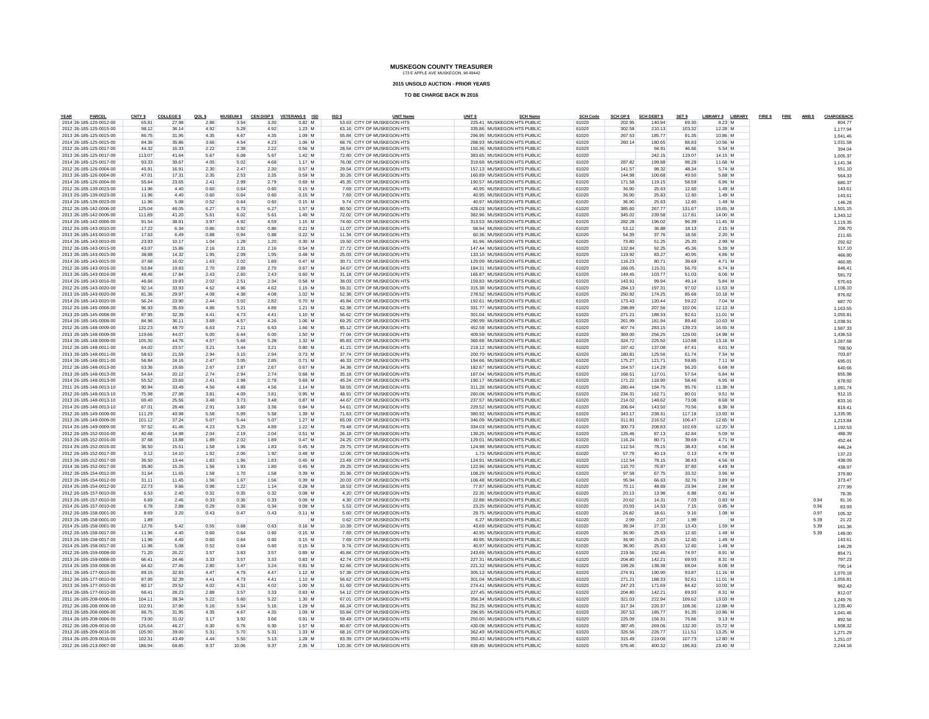**2015 UNSOLD AUCTION - PRIOR YEARS**

| PARCEL<br>YEAR                                     | CNTY \$         | <b>COLLEGE \$</b> | QOL \$       | <b>MUSEUM \$</b> |              | CEN DISP \$ VETERANS \$ ISD | ISD \$<br><b>UNIT Name</b>                               | UNIT <sub>S</sub> | <b>SCH Name</b>                                          | <b>SCH Code</b> | SCH OP \$        | <b>SCH DEBT \$</b> | SET \$           | LIBRARY \$ LIBRARY   |  | FIRE \$FIRE AMBS |              | CHARGEBACK           |
|----------------------------------------------------|-----------------|-------------------|--------------|------------------|--------------|-----------------------------|----------------------------------------------------------|-------------------|----------------------------------------------------------|-----------------|------------------|--------------------|------------------|----------------------|--|------------------|--------------|----------------------|
| 2014 26-185-120-0012-00<br>2012 26-185-125-0015-00 | 65.81<br>98.12  | 27.98<br>36.14    | 2.86<br>4.92 | 3.54<br>5.28     | 3.30<br>4.92 | 0.82M<br>$1.23$ M           | 53 63 CITY OF MUSKEGON HTS<br>63.16 CITY OF MUSKEGON HTS |                   | 225.41 MUSKEGON HTS PUBLIC<br>335.86 MUSKEGON HTS PUBLIC | 61020<br>61020  | 202.95<br>302.58 | 140.94<br>210.13   | 69.30<br>103.32  | 8.23 M<br>12.28 M    |  |                  |              | 804.77<br>1.177.94   |
| 2013 26-185-125-0015-00                            | 86.75           | 31.95             | 4.35         | 4.67             | 4.35         | 1.09 M                      | 55.84 CITY OF MUSKEGON HTS                               |                   | 296.95 MUSKEGON HTS PUBLIC                               | 61020           | 267.53           | 185.77             | 91.35            | 10.86 M              |  |                  |              | 1.041.46             |
| 2014 26-185-125-0015-00                            | 84.36           | 35.86             | 3.66         | 4.54             | 4.23         | 1.06 M                      | 68.76 CITY OF MUSKEGON HTS                               |                   | 288.93 MUSKEGON HTS PUBLIC                               | 61020           | 260.14           | 180.65             | 88.83            | 10.56 M              |  |                  |              | 1,031.58             |
| 2012 26-185-125-0017-00                            | 44.32           | 16.33             | 2.22         | 2.38             | 2.22         | $0.56$ M                    | 28.54 CITY OF MUSKEGON HTS                               |                   | 150.36 MUSKEGON HTS PUBLIC                               | 61020           |                  | 94.91              | 46.66            | 5.54 M               |  |                  |              | 394.04               |
| 2013 26-185-125-0017-00                            | 113.07          | 41.64             | 5.67         | 6.08             | 5.67         | $1.42$ M                    | 72.80 CITY OF MUSKEGON HTS                               |                   | 383.65 MUSKEGON HTS PUBLIC                               | 61020           |                  | 242.15             | 119.07           | 14.15 M              |  |                  |              | 1,005.37             |
| 2014 26-185-125-0017-00                            | 93.33           | 39.67             | 4.05         | 5.02             | 4.68         | 1.17 M                      | 76.08 CITY OF MUSKEGON HTS                               |                   | 319 68 MUSKEGON HTS PUBLIC                               | 61020           | 287.82           | 199.88             | 98.28            | 11.68 M              |  |                  |              | 1,141.34             |
| 2012 26-185-126-0004-00                            | 45.91           | 16.91             | 2.30         | 2.47             | 2.30         | $0.57$ M                    | 29.54 CITY OF MUSKEGON HTS                               |                   | 157.13 MUSKEGON HTS PUBLIC                               | 61020           | 141.57           | 98.32              | 48.34            | 5.74 M               |  |                  |              | 551.10               |
| 2013 26-185-126-0004-00                            | 47.01           | 17.31             | 2.35         | 2.53             | 2.35         | $0.59$ M                    | 30.26 CITY OF MUSKEGON HTS                               |                   | 160.89 MUSKEGON HTS PUBLIC                               | 61020           | 144.98           | 100.68             | 49.50            | 5.88 M               |  |                  |              | 564.33               |
| 2014 26-185-126-0004-00                            | 55.64<br>11.96  | 23.65<br>4.40     | 2.41         | 2.99<br>0.64     | 2.79<br>0.60 | $0.69$ M<br>$0.15$ M        | 45.35 CITY OF MUSKEGON HTS<br>7.69 CITY OF MUSKEGON HTS  |                   | 190.57 MUSKEGON HTS PUBLIC<br>40.95 MUSKEGON HTS PUBLIC  | 61020<br>61020  | 171.58<br>36.90  | 119.15             | 58.59            | 6.96 M<br>1.49 M     |  |                  |              | 680.37               |
| 2012 26-185-139-0023-00<br>2013 26-185-139-0023-00 | 11.96           | 4.40              | 0.60<br>0.60 | 0.64             | 0.60         | $0.15$ M                    | 7.69 CITY OF MUSKEGON HTS                                |                   | 40.95 MUSKEGON HTS PUBLIC                                | 61020           | 36.90            | 25.63<br>25.63     | 12.60<br>12.60   | 1.49N                |  |                  |              | 143.61<br>143.61     |
| 2014 26-185-139-0023-00                            | 11.96           | 5.08              | 0.52         | 0.64             | 0.60         | $0.15$ M                    | 9.74 CITY OF MUSKEGON HTS                                |                   | 40.97 MUSKEGON HTS PUBLIC                                | 61020           | 36.90            | 25.63              | 12.60            | 1.49 M               |  |                  |              | 146.28               |
| 2012 26-185-142-0006-00                            | 125.04          | 46.05             | 6.27         | 6.73             | 6.27         | 1.57 M                      | 80.50 CITY OF MUSKEGON HTS                               |                   | 428.03 MUSKEGON HTS PUBLIC                               | 61020           | 385.60           | 267.77             | 131.67           | 15.65 M              |  |                  |              | 1.501.15             |
| 2013 26-185-142-0006-00                            | 111.89          | 41.20             | 5.61         | 6.02             | 5.61         | $1.40$ M                    | 72.02 CITY OF MUSKEGON HTS                               |                   | 382.96 MUSKEGON HTS PUBLIC                               | 61020           | 345.02           | 239.58             | 117.81           | 14.00 M              |  |                  |              | 1.343.12             |
| 2014 26-185-142-0006-00                            | 91.54           | 38.91             | 3.97         | 4.92             | 4.59         | $1.15$ M                    | 74.60 CITY OF MUSKEGON HTS                               |                   | 313.53 MUSKEGON HTS PUBLIC                               | 61020           | 282.28           | 196.02             | 96.39            | 11.45 M              |  |                  |              | 1.119.35             |
| 2012 26-185-143-0010-00                            | 17.22           | 6.34              | 0.86         | 0.92             | 0.86         | $0.21$ M                    | 11.07 CITY OF MUSKEGON HTS                               |                   | 58.94 MUSKEGON HTS PUBLIC                                | 61020           | 53.12            | 36.88              | 18.13            | $2.15$ M             |  |                  |              | 206.70               |
| 2013 26-185-143-0010-00                            | 17.63           | 6.49              | 0.88         | 0.94             | 0.88         | 0.22M                       | 11.34 CITY OF MUSKEGON HTS                               |                   | 60.36 MUSKEGON HTS PUBLIC                                | 61020           | 54.39            | 37.76              | 18.56            | 2.20M                |  |                  |              | 211.65               |
| 2014 26-185-143-0010-00                            | 23.93           | 10.17             | 1.04         | 1.28             | 1.20         | $0.30$ M                    | 19.50 CITY OF MUSKEGON HTS                               |                   | 81.96 MUSKEGON HTS PUBLIC                                | 61020           | 73.80            | 51.25              | 25.20            | 2.99N                |  |                  |              | 292.62               |
| 2012 26-185-143-0015-00                            | 43.07           | 15.86             | 2.16         | 2.31             | 2.16         | $0.54$ M                    | 27.72 CITY OF MUSKEGON HTS                               |                   | 147.44 MUSKEGON HTS PUBLIC                               | 61020           | 132.84           | 92.25              | 45.36            | 5.39 M               |  |                  |              | 517.10               |
| 2013 26-185-143-0015-00<br>2014 26-185-143-0015-00 | 38.88<br>37.68  | 14.32<br>16.02    | 1.95<br>1.63 | 2.09<br>2.02     | 1.95<br>1.89 | $0.48$ M<br>0.47M           | 25.03 CITY OF MUSKEGON HTS<br>30.71 CITY OF MUSKEGON HTS |                   | 133.10 MUSKEGON HTS PUBLIC<br>129.09 MUSKEGON HTS PUBLIC | 61020<br>61020  | 119.92<br>116.23 | 83.27<br>80.71     | 40.95<br>39.69   | 4.86 M<br>4.71 M     |  |                  |              | 466.80<br>460.85     |
| 2012 26-185-143-0016-00                            | 53.84           | 19.83             | 2.70         | 2.89             | 2.70         | $0.67$ M                    | 34.67 CITY OF MUSKEGON HTS                               |                   | 184.31 MUSKEGON HTS PUBLIC                               | 61020           | 166.05           | 115.31             | 56.70            | 6.74 M               |  |                  |              | 646.41               |
| 2013 26-185-143-0016-00                            | 48.46           | 17.84             | 2.43         | 2.60             | 2.43         | 0.60 M                      | 31.18 CITY OF MUSKEGON HTS                               |                   | 165.87 MUSKEGON HTS PUBLIC                               | 61020           | 149.45           | 103.77             | 51.03            | 6.06 M               |  |                  |              | 581.72               |
| 2014 26-185-143-0016-00                            | 46.66           | 19.83             | 2.02         | 2.51             | 2.34         | $0.58$ M                    | 38.03 CITY OF MUSKEGON HTS                               |                   | 159.83 MUSKEGON HTS PUBLIC                               | 61020           | 143.91           | 99.94              | 49.14            | 5.84 M               |  |                  |              | 570.63               |
| 2012 26-185-143-0020-00                            | 92.14           | 33.93             | 4.62         | 4.96             | 4.62         | $1.15$ M                    | 59.31 CITY OF MUSKEGON HTS                               |                   | 315.38 MUSKEGON HTS PUBLIC                               | 61020           | 284.13           | 197.31             | 97.02            | 11.53 M              |  |                  |              | 1,106.10             |
| 2013 26-185-143-0020-00                            | 81.36           | 29.97             | 4.08         | 4.38             | 4.08         | $1.02$ M                    | 52.38 CITY OF MUSKEGON HTS                               |                   | 278.52 MUSKEGON HTS PUBLIC                               | 61020           | 250.92           | 174.25             | 85.68            | 10.18 M              |  |                  |              | 976.82               |
| 2014 26-185-143-0020-00                            | 56.24           | 23.90             | 2.44         | 3.02             | 2.82         | 0.70 M                      | 45.84 CITY OF MUSKEGON HTS                               |                   | 192.61 MUSKEGON HTS PUBLIC                               | 61020           | 173.43           | 120.44             | 59.22            | 7.04 M               |  |                  |              | 687.70               |
| 2012 26-185-145-0008-00                            | 96.93           | 35.69             | 4.86         | 5.21             | 4.86         | $1.21$ M                    | 62.38 CITY OF MUSKEGON HTS                               |                   | 331.77 MUSKEGON HTS PUBLIC                               | 61020           | 298.89           | 207.56             | 102.06           | 12.13 M              |  |                  |              | 1.163.55             |
| 2013 26-185-145-0008-00                            | 87.95           | 32.39             | 4.41         | 4.73             | 4.41         | 1.10 M                      | 56.62 CITY OF MUSKEGON HTS                               |                   | 301.04 MUSKEGON HTS PUBLIC                               | 61020           | 271.21           | 188.33             | 92.61            | 11.01 M              |  |                  |              | 1.055.81             |
| 2014 26-185-145-0008-00                            | 84.96           | 36.11             | 3.69         | 4.57             | 4.26         | 1.06 M                      | 69.25 CITY OF MUSKEGON HTS                               |                   | 290.99 MUSKEGON HTS PUBLIC                               | 61020           | 261.99           | 181.94             | 89.46            | 10.63 M              |  |                  |              | 1.038.91             |
| 2012 26-185-148-0009-00                            | 132.23          | 48.70             | 6.63         | 7.11             | 6.63         | 1.66 M                      | 85.12 CITY OF MUSKEGON HTS                               |                   | 452.58 MUSKEGON HTS PUBLIC                               | 61020           | 407.74           | 283.15             | 139.23           | 16.55 M              |  |                  |              | 1.587.33             |
| 2013 26-185-148-0009-00<br>2014 26-185-148-0009-00 | 119.66          | 44.07<br>44.76    | 6.00         | 6.44<br>5.66     | 6.00         | 1.50 M<br>1.32 M            | 77.04 CITY OF MUSKEGON HTS<br>85 83 CITY OF MUSKEGON HTS |                   | 409.59 MUSKEGON HTS PUBLIC<br>360.68 MUSKEGON HTS PUBLIC | 61020<br>61020  | 369.00<br>324.72 | 256.25<br>225.50   | 126.00<br>110.88 | 14.98 M<br>13.18 M   |  |                  |              | 1.436.53             |
| 2012 26-185-148-0011-00                            | 105.30<br>64.02 | 23.57             | 4.57<br>3.21 | 3.44             | 5.28<br>3.21 | $0.80$ M                    | 41.21 CITY OF MUSKEGON HTS                               |                   | 219.12 MUSKEGON HTS PUBLIC                               | 61020           | 197.42           | 137.08             | 67.41            | 8.01 M               |  |                  |              | 1.287.68             |
| 2013 26-185-148-0011-00                            | 58.63           | 21.59             | 2.94         | 3.15             | 2.94         | $0.73$ M                    | 37.74 CITY OF MUSKEGON HTS                               |                   | 200.70 MUSKEGON HTS PUBLIC                               | 61020           | 180.81           | 125.56             | 61.74            | 7.34 M               |  |                  |              | 768.50<br>703.87     |
| 2014 26-185-148-0011-00                            | 56.84           | 24.16             | 2.47         | 3.05             | 2.85         | 0.71 M                      | 46.33 CITY OF MUSKEGON HTS                               |                   | 194 66 MUSKEGON HTS PUBLIC                               | 61020           | 175.27           | 121.71             | 59.85            | 7.11 M               |  |                  |              | 695.01               |
| 2012 26-185-148-0013-00                            | 53.36           | 19.65             | 2.67         | 2.87             | 2.67         | $0.67$ M                    | 34.36 CITY OF MUSKEGON HTS                               |                   | 182.67 MUSKEGON HTS PUBLIC                               | 61020           | 164.57           | 114.29             | 56.20            | 6.68 M               |  |                  |              | 640.66               |
| 2013 26-185-148-0013-00                            | 54.64           | 20.12             | 2.74         | 2.94             | 2.74         | $0.68$ M                    | 35.18 CITY OF MUSKEGON HTS                               |                   | 187.04 MUSKEGON HTS PUBLIC                               | 61020           | 168.51           | 117.01             | 57.54            | 6.84 M               |  |                  |              | 655.98               |
| 2014 26-185-148-0013-00                            | 55.52           | 23.60             | 2.41         | 2.98             | 2.78         | $0.69$ M                    | 45.24 CITY OF MUSKEGON HTS                               |                   | 190.17 MUSKEGON HTS PUBLIC                               | 61020           | 171.22           | 118.90             | 58.46            | 6.95 M               |  |                  |              | 678.92               |
| 2011 26-185-148-0013-10                            | 90.94           | 33.49             | 4.56         | 4.89             | 4.56         | 1.14 M                      | 58.55 CITY OF MUSKEGON HTS                               |                   | 311.28 MUSKEGON HTS PUBLIC                               | 61020           | 280.44           | 194.75             | 95.76            | 11.38 M              |  |                  |              | 1.091.74             |
| 2012 26-185-148-0013-10                            | 75.98           | 27.98             | 3.81         | 4.09             | 3.81         | $0.95$ M                    | 48.91 CITY OF MUSKEGON HTS                               |                   | 260.08 MUSKEGON HTS PUBLIC                               | 61020           | 234.31           | 162.71             | 80.01            | $9.51$ M             |  |                  |              | 912.15               |
| 2013 26-185-148-0013-10                            | 69.40           | 25.56             | 3.48         | 3.73             | 3.48         | $0.87$ M                    | 44.67 CITY OF MUSKEGON HTS                               |                   | 237.57 MUSKEGON HTS PUBLIC                               | 61020           | 214.02           | 148.62             | 73.08            | 8.68 M               |  |                  |              | 833.16               |
| 2014 26-185-148-0013-10                            | 67.01           | 28.48             | 2.91         | 3.60             | 3.36         | 0.84 M                      | 54 61 CITY OF MUSKEGON HTS                               |                   | 229.52 MUSKEGON HTS PUBLIC                               | 61020           | 206.64           | 143.50             | 70.56            | 8.38 M               |  |                  |              | 819.41               |
| 2012 26-185-149-0009-00                            | 111.29          | 40.98             | 5.58         | 5.99             | 5.58         | $1.39$ M                    | 71.63 CITY OF MUSKEGON HTS                               |                   | 380.92 MUSKEGON HTS PUBLIC                               | 61020           | 343.17           | 238.31             | 117.18           | 13.93 M              |  |                  |              | 1.335.95             |
| 2013 26-185-149-0009-00<br>2014 26-185-149-0009-00 | 101.12          | 37.24<br>41.46    | 5.07         | 5.44             | 5.07         | $1.27$ M                    | 65.09 CITY OF MUSKEGON HTS<br>79.48 CITY OF MUSKEGON HTS |                   | 346.09 MUSKEGON HTS PUBLIC<br>334.03 MUSKEGON HTS PUBLIC | 61020           | 311.81           | 216.52<br>208.83   | 106.47           | 12.65 M              |  |                  |              | 1.213.84             |
| 2012 26-185-152-0016-00                            | 97.52<br>40.68  | 14.98             | 4.23<br>2.04 | 5.25<br>2.19     | 4.89<br>2.04 | 1.22M<br>$0.51$ M           | 26.18 CITY OF MUSKEGON HTS                               |                   | 139.25 MUSKEGON HTS PUBLIC                               | 61020<br>61020  | 300.73<br>125.46 | 87.13              | 102.69<br>42.84  | 12.20 M<br>5.09 M    |  |                  |              | 1,192.53<br>488.39   |
| 2013 26-185-152-0016-00                            | 37.68           | 13.88             | 1.89         | 2.02             | 1.89         | $0.47$ M                    | 24.25 CITY OF MUSKEGON HTS                               |                   | 129.01 MUSKEGON HTS PUBLIC                               | 61020           | 116.24           | 80.71              | 39.69            | 4.71 M               |  |                  |              | 452.44               |
| 2014 26-185-152-0016-00                            | 36.50           | 15.51             | 1.58         | 1.96             | 1.83         | $0.45$ M                    | 29.75 CITY OF MUSKEGON HTS                               |                   | 124.98 MUSKEGON HTS PUBLIC                               | 61020           | 112.54           | 78.15              | 38.43            | 4.56 M               |  |                  |              | 446.24               |
| 2012 26-185-152-0017-00                            | 0.12            | 14.10             | 1.92         | 2.06             | 1.92         | $0.48$ M                    | 12.06 CITY OF MUSKEGON HTS                               |                   | 1.73 MUSKEGON HTS PUBLIC                                 | 61020           | 57.79            | 40.13              | 0.13             | 4.79 M               |  |                  |              | 137.23               |
| 2013 26-185-152-0017-00                            | 36.50           | 13.44             | 1.83         | 1.96             | 1.83         | $0.45$ M                    | 23.49 CITY OF MUSKEGON HTS                               |                   | 124.91 MUSKEGON HTS PUBLIC                               | 61020           | 112.54           | 78.15              | 38.43            | 4.56 M               |  |                  |              | 438.09               |
| 2014 26-185-152-0017-00                            | 35.90           | 15.26             | 1.56         | 1.93             | 1.80         | $0.45$ M                    | 29.25 CITY OF MUSKEGON HTS                               |                   | 122.96 MUSKEGON HTS PUBLIC                               | 61020           | 110.70           | 76.87              | 37.80            | 4 49 M               |  |                  |              | 438.97               |
| 2012 26-185-154-0012-00                            | 31.64           | 11.65             | 1.58         | 1.70             | 1.58         | $0.39$ M                    | 20.36 CITY OF MUSKEGON HTS                               |                   | 108.29 MUSKEGON HTS PUBLIC                               | 61020           | 97.58            | 67.75              | 33.32            | 3.96 M               |  |                  |              | 379.80               |
| 2013 26-185-154-0012-00                            | 31.11           | 11.45             | 1.56         | 1.67             | 1.56         | $0.39$ M                    | 20.03 CITY OF MUSKEGON HTS                               |                   | 106.48 MUSKEGON HTS PUBLIC                               | 61020           | 95.94            | 66.63              | 32.76            | 3.89 M               |  |                  |              | 373.47               |
| 2014 26-185-154-0012-00                            | 22.73           | 9.66              | 0.98         | 1.22             | 1.14         | $0.28$ M                    | 18.53 CITY OF MUSKEGON HTS                               |                   | 77.87 MUSKEGON HTS PUBLIC                                | 61020           | 70.11            | 48.69              | 23.94            | 2.84 M               |  |                  |              | 277.99               |
| 2012 26-185-157-0010-00                            | 6.53            | 2.40              | 0.32         | 0.35             | 0.32         | $0.08$ M                    | 4.20 CITY OF MUSKEGON HTS                                |                   | 22.35 MUSKEGON HTS PUBLIC                                | 61020           | 20.13            | 13.98              | 6.88             | $0.81$ M             |  |                  |              | 78.35                |
| 2013 26-185-157-0010-00<br>2014 26-185-157-0010-00 | 6.69            | 2.46<br>2.88      | 0.33         | 0.36             | 0.33         | $0.08$ M<br>$0.08$ M        | 4.30 CITY OF MUSKEGON HTS<br>5.53 CITY OF MUSKEGON HTS   |                   | 22.88 MUSKEGON HTS PUBLIC<br>23.25 MUSKEGON HTS PUBLIC   | 61020<br>61020  | 20.62<br>20.93   | 14.31              | 7.03             | $0.83$ M<br>$0.85$ M |  |                  | 0.94<br>0.96 | 81.16                |
| 2012 26-185-158-0001-00                            | 6.78<br>8.69    | 3.20              | 0.29<br>0.43 | 0.36<br>0.47     | 0.34<br>0.43 | $0.11$ M                    | 5.60 CITY OF MUSKEGON HTS                                |                   | 29.75 MUSKEGON HTS PUBLIC                                | 61020           | 26.82            | 14.53<br>18.61     | 7.15<br>9.16     | $1.08$ M             |  |                  | 0.97         | 83.93<br>105.32      |
| 2013 26-185-158-0001-00                            | 1.89            |                   |              |                  |              |                             | 0.62 CITY OF MUSKEGON HTS                                |                   | 6.27 MUSKEGON HTS PUBLIC                                 | 61020           | 2.99             | 2.07               | 1.99             |                      |  |                  | 5.39         | 21.22                |
| 2014 26-185-158-0001-00                            | 12.76           | 5.42              | 0.55         | 0.68             | 0.63         | $0.16$ M                    | 10.39 CITY OF MUSKEGON HTS                               |                   | 43.69 MUSKEGON HTS PUBLIC                                | 61020           | 39.34            | 27.33              | 13.43            | $1.59$ M             |  |                  | 5.39         | 161.36               |
| 2012 26-185-158-0017-00                            | 11.96           | 4.40              | 0.60         | 0.64             | 0.60         | $0.15$ M                    | 7.69 CITY OF MUSKEGON HTS                                |                   | 40.95 MUSKEGON HTS PUBLIC                                | 61020           | 36.90            | 25.63              | 12.60            | 1.49 M               |  |                  | 5.39         | 149.00               |
| 2013 26-185-158-0017-00                            | 11.96           | 4.40              | 0.60         | 0.64             | 0.60         | $0.15$ M                    | 7.69 CITY OF MUSKEGON HTS                                |                   | 40.95 MUSKEGON HTS PUBLIC                                | 61020           | 36.90            | 25.63              | 12.60            | $1.49$ M             |  |                  |              | 143.61               |
| 2014 26-185-158-0017-00                            | 11.96           | 5.08              | 0.52         | 0.64             | 0.60         | $0.15$ M                    | 9.74 CITY OF MUSKEGON HTS                                |                   | 40.97 MUSKEGON HTS PUBLIC                                | 61020           | 36.90            | 25.63              | 12.60            | $1.49$ M             |  |                  |              | 146.28               |
| 2012 26-185-159-0008-00                            | 71.20           | 26.22             | 3.57         | 3.83             | 3.57         | $0.89$ M                    | 45.84 CITY OF MUSKEGON HTS                               |                   | 243.69 MUSKEGON HTS PUBLIC                               | 61020           | 219.56           | 152.46             | 74.97            | 8.91 M               |  |                  |              | 854.71               |
| 2013 26-185-159-0008-00                            | 66.41           | 24.46             | 3.33         | 3.57             | 3.33         | 0.83 M                      | 42 74 CITY OF MUSKEGON HTS                               |                   | 227.31 MUSKEGON HTS PUBLIC                               | 61020           | 204.80           | 142.21             | 69.93            | 8.31 M               |  |                  |              | 797.23               |
| 2014 26-185-159-0008-00                            | 64.62           | 27.46             | 2.80         | 3.47             | 3.24         | $0.81$ M                    | 52.66 CITY OF MUSKEGON HTS                               |                   | 221.32 MUSKEGON HTS PUBLIC                               | 61020           | 199.26           | 138.38             | 68.04            | 8.08 M               |  |                  |              | 790.14               |
| 2011 26-185-177-0010-00                            | 89.15           | 32.83             | 4.47         | 4.79             | 4.47         | $1.12$ M                    | 57.38 CITY OF MUSKEGON HTS                               |                   | 305.13 MUSKEGON HTS PUBLIC                               | 61020           | 274.91           | 190.90             | 93.87            | 11.16 M              |  |                  |              | 1,070.18             |
| 2012 26-185-177-0010-00                            | 87.95           | 32.39             | 4.41         | 4.73             | 4.41         | $1.10$ M                    | 56.62 CITY OF MUSKEGON HTS                               |                   | 301.04 MUSKEGON HTS PUBLIC                               | 61020           | 271.21           | 188.33             | 92.61            | 11.01 M              |  |                  |              | 1,055.81             |
| 2013 26-185-177-0010-00                            | 80.17           | 29.52             | 4.02         | 4.31             | 4.02         | 1.00 M                      | 51.60 CITY OF MUSKEGON HTS                               |                   | 274.41 MUSKEGON HTS PUBLIC                               | 61020           | 247.23           | 171.69             | 84.42            | 10.03 M              |  |                  |              | 962.42               |
| 2014 26-185-177-0010-00<br>2011 26-185-208-0006-00 | 66.41<br>104.11 | 28.23<br>38.34    | 2.88<br>5.22 | 3.57<br>5.60     | 3.33<br>5.22 | $0.83$ M<br>1.30 M          | 54.12 CITY OF MUSKEGON HTS<br>67.01 CITY OF MUSKEGON HTS |                   | 227.45 MUSKEGON HTS PUBLIC<br>356.34 MUSKEGON HTS PUBLIC | 61020<br>61020  | 204.80<br>321.03 | 142.21<br>222.94   | 69.93<br>109.62  | 8.31 M<br>13.03 M    |  |                  |              | 812.07               |
| 2012 26-185-208-0006-00                            | 102.91          | 37.90             | 5.16         | 5.54             | 5.16         | 1.29 M                      | 66.24 CITY OF MUSKEGON HTS                               |                   | 352.25 MUSKEGON HTS PUBLIC                               | 61020           | 317.34           | 220.37             | 108.36           | 12.88 M              |  |                  |              | 1,249.76<br>1.235.40 |
| 2013 26-185-208-0006-00                            | 86.75           | 31.95             | 4.35         | 4.67             | 4.35         | 1.09 M                      | 55.84 CITY OF MUSKEGON HTS                               |                   | 296.95 MUSKEGON HTS PUBLIC                               | 61020           | 267.53           | 185.77             | 91.35            | 10.86 M              |  |                  |              | 1.041.46             |
| 2014 26-185-208-0006-00                            | 73.00           | 31.02             | 3.17         | 3.92             | 3.66         | $0.91$ M                    | 59.49 CITY OF MUSKEGON HTS                               |                   | 250.00 MUSKEGON HTS PUBLIC                               | 61020           | 225.09           | 156.31             | 76.86            | $9.13$ M             |  |                  |              | 892.56               |
| 2012 26-185-209-0016-00                            | 125.64          | 46.27             | 6.30         | 6.76             | 6.30         | 1.57 M                      | 80.87 CITY OF MUSKEGON HTS                               |                   | 430.08 MUSKEGON HTS PUBLIC                               | 61020           | 387.45           | 269.06             | 132.30           | 15.72 M              |  |                  |              | 1.508.32             |
| 2013 26-185-209-0016-00                            | 105.90          | 39.00             | 5.31         | 5.70             | 5.31         | $1.33$ M                    | 68.16 CITY OF MUSKEGON HTS                               |                   | 362.49 MUSKEGON HTS PUBLIC                               | 61020           | 326.56           | 226.77             | 111.51           | $13.25$ M            |  |                  |              | 1.271.29             |
| 2014 26-185-209-0016-00                            | 102.31          | 43.49             | 4.44         | 5.50             | 5.13         | $1.28$ M                    | 83.39 CITY OF MUSKEGON HTS                               |                   | 350.43 MUSKEGON HTS PUBLIC                               | 61020           | 315.49           | 219.08             | 107.73           | 12.80 M              |  |                  |              | 1.251.07             |
| 2012 26-185-213-0007-00                            | 186.94          | 68.85             | 9.37         | 10.06            | 9.37         | 2.35 M                      | 120.36 CITY OF MUSKEGON HTS                              |                   | 639 85 MUSKEGON HTS PUBLIC                               | 61020           | 576.46           | 400.32             | 196.83           | 23.40 M              |  |                  |              | 2.244.16             |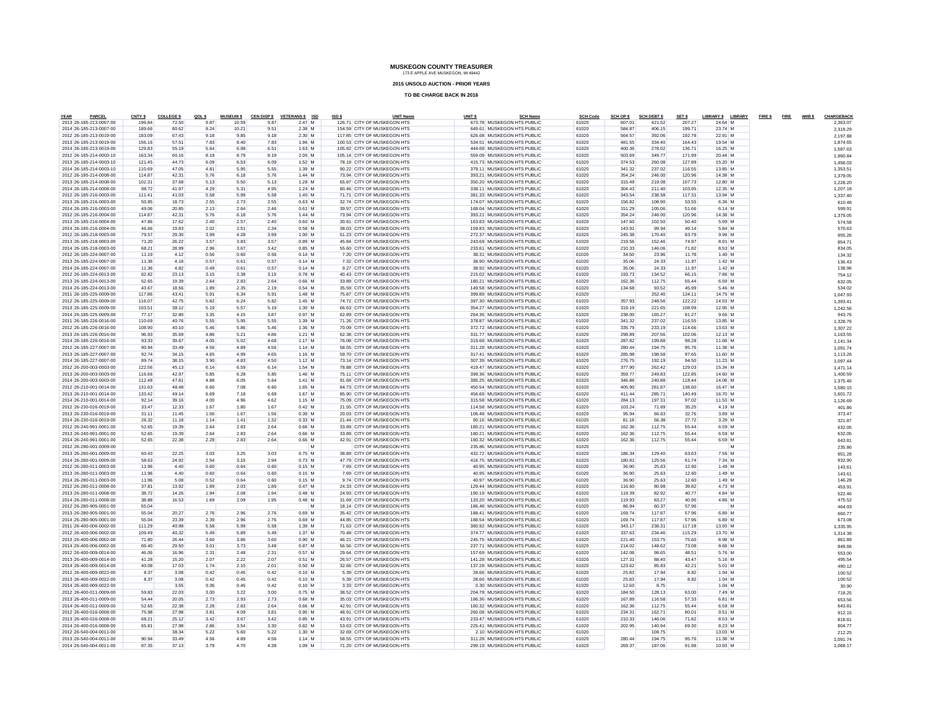**2015 UNSOLD AUCTION - PRIOR YEARS**

| YEAR<br>PARCEL                                     | CNTY \$          | <b>COLLEGE \$</b> | QOLS         | <b>MUSEUM \$</b> |              | CEN DISP \$ VETERANS \$ ISD | ISD \$ | <b>UNIT Name</b>                                           | UNIT <sub>S</sub> | <b>SCH Name</b>                                          | <b>SCH Code</b> | SCH OP \$        | <b>SCH DEBT \$</b> | SET \$           | LIBRARY \$ LIBRARY |   | FIRE \$FIRE AMB \$ | CHARGEBACK          |
|----------------------------------------------------|------------------|-------------------|--------------|------------------|--------------|-----------------------------|--------|------------------------------------------------------------|-------------------|----------------------------------------------------------|-----------------|------------------|--------------------|------------------|--------------------|---|--------------------|---------------------|
| 2013 26-185-213-0007-00                            | 196.84           | 72.50             | 9.87         | 10.59            | 9.87         | 2.47 M                      |        | 126.71 CITY OF MUSKEGON HTS                                |                   | 673.78 MUSKEGON HTS PUBLIC                               | 61020           | 607.01           | 421.52             | 207.27           | 24.64 M            |   |                    | 2.363.07            |
| 2014 26-185-213-0007-00                            | 189.66           | 80.62             | 8.24         | 10.21            | 9.51         | 2.38 M                      |        | 154.59 CITY OF MUSKEGON HTS                                |                   | 649.61 MUSKEGON HTS PUBLIC                               | 61020           | 584.87           | 406.15             | 199.71           | 23.74 M            |   |                    | 2.319.29            |
| 2012 26-185-213-0019-00                            | 183.09           | 67.43<br>57.51    | 9.18         | 9.85             | 9.18<br>7.83 | 2.30 M                      |        | 117.85 CITY OF MUSKEGON HTS                                |                   | 626.68 MUSKEGON HTS PUBLIC                               | 61020           | 564.57           | 392.06             | 192.78           | 22.91 M            |   |                    | 2.197.88            |
| 2013 26-185-213-0019-00<br>2014 26-185-213-0019-00 | 156.16<br>129.83 | 55.19             | 7.83<br>5.64 | 8.40<br>6.98     | 6.51         | 1.96 M<br>$1.63$ M          |        | 100.53 CITY OF MUSKEGON HTS<br>105.82 CITY OF MUSKEGON HTS |                   | 534.51 MUSKEGON HTS PUBLIC<br>444.69 MUSKEGON HTS PUBLIC | 61020<br>61020  | 481.55<br>400.36 | 334.40<br>278.02   | 164.43<br>136.71 | 19.54 M<br>16.25 M |   |                    | 1.874.65            |
| 2012 26-185-214-0003-10                            | 163.34           | 60.16             | 8.19         | 8.79             | 8.19         | $2.05$ M                    |        | 105.14 CITY OF MUSKEGON HTS                                |                   | 559.09 MUSKEGON HTS PUBLIC                               | 61020           | 503.69           | 349.77             | 171.99           | 20.44 M            |   |                    | 1,587.63<br>1.960.8 |
| 2013 26-185-214-0003-10                            | 121 45           | 44.73             | 6.09         | 6.53             | 6.09         | 1.52 M                      |        | 78.19 CITY OF MUSKEGON HTS                                 |                   | 415 73 MUSKEGON HTS PUBLIC                               | 61020           | 374.53           | 260.08             | 127.89           | 15.20 M            |   |                    | 1.458.03            |
| 2014 26-185-214-0003-10                            | 110.69           | 47.05             | 481          | 5.95             | 5.55         | 1.39 M                      |        | 90.22 CITY OF MUSKEGON HTS                                 |                   | 379.11 MUSKEGON HTS PUBLIC                               | 61020           | 341.32           | 237.02             | 116.55           | 13.85 M            |   |                    | 1.353.51            |
| 2012 26-185-214-0008-00                            | 114.87           | 42.31             | 5.76         | 6.18             | 5.76         | $1.44$ M                    |        | 73.94 CITY OF MUSKEGON HTS                                 |                   | 393.21 MUSKEGON HTS PUBLIC                               | 61020           | 354.24           | 246.00             | 120.96           | 14.38 M            |   |                    | 1.379.05            |
| 2013 26-185-214-0008-00                            | 102.31           | 37.68             | 5.13         | 5.50             | 5.13         | 1.28 M                      |        | 65.87 CITY OF MUSKEGON HTS                                 |                   | 350.20 MUSKEGON HTS PUBLIC                               | 61020           | 315 49           | 219.08             | 107 73           | 12.80 M            |   |                    | 1,228.20            |
| 2014 26-185-214-0008-00                            | 98.72            | 41.97             | 4.29         | 5.31             | 4.95         | $1.24$ M                    |        | 80.46 CITY OF MUSKEGON HTS                                 |                   | 338.11 MUSKEGON HTS PUBLIC                               | 61020           | 304.43           | 211.40             | 103.95           | 12.35 M            |   |                    | 1.207.18            |
| 2012 26-185-216-0003-00                            | 111.41           | 41.03             | 5.58         | 5.99             | 5.58         | 1.40 M                      |        | 71.71 CITY OF MUSKEGON HTS                                 |                   | 381.33 MUSKEGON HTS PUBLIC                               | 61020           | 343.54           | 238.58             | 117.31           | 13.94 M            |   |                    | 1,337.40            |
| 2013 26-185-216-0003-00                            | 50.85            | 18.73             | 2.55         | 2.73             | 2.55         | $0.63$ M                    |        | 32.74 CITY OF MUSKEGON HTS                                 |                   | 174.07 MUSKEGON HTS PUBLIC                               | 61020           | 156.82           | 108.90             | 53.55            | 6.36 M             |   |                    | 610.4               |
| 2014 26-185-216-0003-00                            | 49.06            | 20.85             | 2.13         | 2.64             | 2.46         | $0.61$ M                    |        | 39.97 CITY OF MUSKEGON HTS                                 |                   | 168.04 MUSKEGON HTS PUBLIC                               | 61020           | 151.29           | 105.06             | 51.66            | 6.14 M             |   |                    | 599.9               |
| 2012 26-185-216-0004-00                            | 114.87           | 42.31             | 5.76         | 6.18             | 5.76         | $1.44$ M                    |        | 73.94 CITY OF MUSKEGON HTS                                 |                   | 393.21 MUSKEGON HTS PUBLIC                               | 61020           | 354.24           | 246.00             | 120.96           | 14.38 M            |   |                    | 1.379.05            |
| 2013 26-185-216-0004-00                            | 47.86            | 17.62             | 2.40         | 2.57             | 2.40         | $0.60$ M                    |        | 30.81 CITY OF MUSKEGON HTS                                 |                   | 163.83 MUSKEGON HTS PUBLIC                               | 61020           | 147.60           | 102.50             | 50.40            | 5.99 M             |   |                    | 574.5               |
| 2014 26-185-216-0004-00                            | 46.66            | 19.83             | 2.02         | 2.51             | 2.34         | 0.58 M                      |        | 38.03 CITY OF MUSKEGON HTS                                 |                   | 159.83 MUSKEGON HTS PUBLIC                               | 61020           | 143.91           | 99.94              | 49.14            | 5.84 M             |   |                    | 570.63              |
| 2012 26-185-218-0003-00                            | 79.57            | 29.30             | 3.99         | 4.28             | 3.99         | 1.00 M                      |        | 51.23 CITY OF MUSKEGON HTS                                 |                   | 272.37 MUSKEGON HTS PUBLIC                               | 61020           | 245.38           | 170.40             | 83.79            | 9.96 M             |   |                    | 955.26              |
| 2013 26-185-218-0003-00                            | 71.20            | 26.22             | 3.57         | 3.83             | 3.57         | $0.89$ M                    |        | 45.84 CITY OF MUSKEGON HTS                                 |                   | 243.69 MUSKEGON HTS PUBLIC                               | 61020           | 219.56           | 152.46             | 74.97            | 8.91 M             |   |                    | 854.7               |
| 2014 26-185-218-0003-00                            | 68.21            | 28.99             | 2.96         | 3.67             | 3.42         | $0.85$ M                    |        | 55.60 CITY OF MUSKEGON HTS                                 |                   | 233.61 MUSKEGON HTS PUBLIC                               | 61020           | 210.33           | 146.06             | 71.82            | 8.53 M             |   |                    | 834.0               |
| 2012 26-185-224-0007-00                            | 11.19            | 4.12              | 0.56         | 0.60             | 0.56         | $0.14$ M                    |        | 7.20 CITY OF MUSKEGON HTS                                  |                   | 38.31 MUSKEGON HTS PUBLIC                                | 61020           | 34.50            | 23.96              | 11.78            | 1.40M              |   |                    | 134.32              |
| 2013 26-185-224-0007-00                            | 11.36            | 4.18              | 0.57         | 0.61             | 0.57         | $0.14$ M                    |        | 7.32 CITY OF MUSKEGON HTS                                  |                   | 38.90 MUSKEGON HTS PUBLIC                                | 61020           | 35.06            | 24.33              | 11.97            | $1.42$ M           |   |                    | 136.43              |
| 2014 26-185-224-0007-00                            | 11.36            | 4.82              | 0.49         | 0.61             | 0.57         | $0.14$ M                    |        | 9.27 CITY OF MUSKEGON HTS                                  |                   | 38.92 MUSKEGON HTS PUBLIC                                | 61020           | 35.06            | 24.33              | 11.97            | $1.42$ M           |   |                    | 138.9               |
| 2012 26-185-224-0013-00                            | 62.82            | 23.13             | 3.15         | 3.38             | 3.15         | 0.78 M                      |        | 40.43 CITY OF MUSKEGON HTS                                 |                   | 215.02 MUSKEGON HTS PUBLIC                               | 61020           | 193.73           | 134.52             | 66.15            | 7.86 M             |   |                    | 754.12              |
| 2013 26-185-224-0013-00                            | 52.65            | 19.39             | 2.64         | 2.83             | 2.64         | $0.66$ M                    |        | 33.89 CITY OF MUSKEGON HTS                                 |                   | 180.21 MUSKEGON HTS PUBLIC                               | 61020           | 162.36           | 112.75             | 55.44            | 6.59 M             |   |                    | 632.05              |
| 2014 26-185-224-0013-00                            | 43.67            | 18.56             | 1.89         | 2.35             | 2.19         | $0.54$ M                    |        | 35.59 CITY OF MUSKEGON HTS                                 |                   | 149.58 MUSKEGON HTS PUBLIC                               | 61020           | 134.68           | 93.52              | 45.99            | 5.46 M             |   |                    | 534.02              |
| 2011 26-185-225-0009-00                            | 117.86           | 43.41             | 5.91         | 6.34             | 5.91         | 1.48 M                      |        | 75.87 CITY OF MUSKEGON HTS                                 |                   | 399.89 MUSKEGON HTS PUBLIC                               | 61020           |                  | 252.40             | 124.11           | 14 75 M            |   |                    | 1.047.93            |
| 2012 26-185-225-0009-00                            | 116.07           | 42.75             | 5.82         | 6.24             | 5.82         | 1.45 M                      |        | 74.72 CITY OF MUSKEGON HTS                                 |                   | 397.30 MUSKEGON HTS PUBLIC                               | 61020           | 357.93           | 248.56             | 122.22           | 14.53 M            |   |                    | 1.393.4             |
| 2013 26-185-225-0009-00                            | 103.51           | 38.12             | 5.19         | 5.57             | 5.19         | 1.30 M                      |        | 66.63 CITY OF MUSKEGON HTS                                 |                   | 354.27 MUSKEGON HTS PUBLIC                               | 61020           | 319.19           | 221.65             | 108.99           | 12.95 M            |   |                    | 1.242.56            |
| 2014 26-185-225-0009-00                            | 77.17            | 32.80             | 3.35         | 4.15             | 3.87         | 0.97 M                      |        | 62.89 CITY OF MUSKEGON HTS                                 |                   | 264.36 MUSKEGON HTS PUBLIC                               | 61020           | 238.00           | 165.27             | 81.27            | 9.66 M             |   |                    | 943.76              |
| 2011 26-185-226-0016-00                            | 110.69           | 40.76             | 5.55         | 5.95             | 5.55         | 1.39 M                      |        | 71.26 CITY OF MUSKEGON HTS                                 |                   | 378.87 MUSKEGON HTS PUBLIC                               | 61020           | 341.32           | 237.02             | 116,55           | 13.85 M            |   |                    | 1,328.76            |
| 2012 26-185-226-0016-00                            | 108.90           | 40.10             | 5.46         | 5.86             | 5.46         | 1.36 M                      |        | 70.09 CITY OF MUSKEGON HTS                                 |                   | 372.72 MUSKEGON HTS PUBLIC                               | 61020           | 335.79           | 233.19             | 114.66           | 13.63 M            |   |                    | 1.307.22            |
| 2013 26-185-226-0016-00                            | 96.93            | 35.69             | 4.86         | 5.21             | 4.86         | $1.21$ M                    |        | 62.38 CITY OF MUSKEGON HTS                                 |                   | 331.77 MUSKEGON HTS PUBLIC                               | 61020           | 298.89           | 207.56             | 102.06           | 12.13 M            |   |                    | 1.163.55            |
| 2014 26-185-226-0016-00                            | 93.33            | 39.67             | 4.05         | 5.02             | 4.68         | 1.17 M                      |        | 76.08 CITY OF MUSKEGON HTS                                 |                   | 319 68 MUSKEGON HTS PUBLIC                               | 61020           | 287.82           | 199.88             | 98.28            | 11.68 M            |   |                    | 1.141.34            |
| 2012 26-185-227-0007-00                            | 90.94            | 33.49             | 4.56         | 4.89             | 4.56         | $1.14$ M                    |        | 58.55 CITY OF MUSKEGON HTS                                 |                   | 311.28 MUSKEGON HTS PUBLIC                               | 61020           | 280.44           | 194 75             | 95.76            | 11.38 M            |   |                    | 1.091.74            |
| 2013 26-185-227-0007-00                            | 92.74            | 34.15             | 4.65         | 4.99             | 4.65         | $1.16$ M                    |        | 59.70 CITY OF MUSKEGON HTS                                 |                   | 317.41 MUSKEGON HTS PUBLIC                               | 61020           | 285.98           | 198.58             | 97.65            | 11.60 M            |   |                    | 1.113.26            |
| 2014 26-185-227-0007-00                            | 89.74            | 38.15             | 3.90         | 4.83             | 4.50         | $1.12$ M                    |        | 73.14 CITY OF MUSKEGON HTS                                 |                   | 307.39 MUSKEGON HTS PUBLIC                               | 61020           | 276.75           | 192.19             | 94.50            | 11.23 M            |   |                    | 1,097.44            |
| 2012 26-200-003-0003-00                            | 122.56           | 45.13             | 6.14         | 6.59             | 6.14         | 1.54 M                      |        | 78.88 CITY OF MUSKEGON HTS                                 |                   | 419.47 MUSKEGON HTS PUBLIC                               | 61020           | 377.90           | 262.42             | 129.03           | 15.34 M            |   |                    | 1471.14             |
| 2013 26-200-003-0003-00                            | 116.66           | 42.97             | 5.85         | 6.28             | 5.85         | 1.46 M<br>$1.41$ M          |        | 75.11 CITY OF MUSKEGON HTS                                 |                   | 399.36 MUSKEGON HTS PUBLIC                               | 61020<br>61020  | 359.77           | 249.83             | 122.85           | 14.60 M<br>14.08 M |   |                    | 1.400.59            |
| 2014 26-200-003-0003-00                            | 112.48           | 47.81             | 4.88         | 6.05             | 5.64         |                             |        | 91.68 CITY OF MUSKEGON HTS                                 |                   | 385.25 MUSKEGON HTS PUBLIC                               |                 | 346.86           | 240.88             | 118.44           |                    |   |                    | 1,375.46            |
| 2012 26-210-001-0014-00                            | 131.63           | 48.48             | 6.60         | 7.08             | 6.60         | 1.65 M                      |        | 84 73 CITY OF MUSKEGON HTS                                 |                   | 450.54 MUSKEGON HTS PUBLIC                               | 61020           | 405.90           | 281.87             | 138.60           | 16.47 M            |   |                    | 1,580.15            |
| 2013 26-210-001-0014-00<br>2014 26-210-001-0014-00 | 133.42<br>92.14  | 49.14<br>39.16    | 6.69<br>4.00 | 7.18<br>4.96     | 6.69<br>4.62 | 1.67 M<br>$1.15$ M          |        | 85.90 CITY OF MUSKEGON HTS<br>75.09 CITY OF MUSKEGON HTS   |                   | 456.69 MUSKEGON HTS PUBLIC<br>315.58 MUSKEGON HTS PUBLIC | 61020<br>61020  | 411.44<br>284.13 | 285.71<br>197.31   | 140.49<br>97.02  | 16.70 M<br>11.53 M |   |                    | 1.601.72            |
| 2012 26-230-016-0019-00                            | 33.47            | 12.33             | 1.67         | 1.80             | 1.67         | $0.42$ M                    |        | 21.55 CITY OF MUSKEGON HTS                                 |                   | 114.58 MUSKEGON HTS PUBLIC                               | 61020           | 103.24           | 71.69              | 35.25            | 4.19 M             |   |                    | 1.126.69<br>401.8   |
| 2013 26-230-016-0019-00                            | 31.11            | 11.45             | 1.56         | 1.67             | 1.56         | $0.39$ M                    |        | 20.03 CITY OF MUSKEGON HTS                                 |                   | 106.48 MUSKEGON HTS PUBLIC                               | 61020           | 95.94            | 66.63              | 32.76            | 3.89 M             |   |                    | 373.47              |
| 2014 26-230-016-0019-00                            | 26.32            | 11.18             | 1.14         | 1.41             | 1.32         | $0.33$ M                    |        | 21.44 CITY OF MUSKEGON HTS                                 |                   | 90.16 MUSKEGON HTS PUBLIC                                | 61020           | 81.18            | 56.38              | 27.72            | 3.29 M             |   |                    | 321.8               |
| 2012 26-240-991-0001-00                            | 52.65            | 19.39             | 2.64         | 2.83             | 2.64         | $0.66$ M                    |        | 33.89 CITY OF MUSKEGON HTS                                 |                   | 180.21 MUSKEGON HTS PUBLIC                               | 61020           | 162.36           | 112.75             | 55.44            | 6.59 M             |   |                    | 632.0               |
| 2013 26-240-991-0001-00                            | 52.65            | 19.39             | 2.64         | 2.83             | 2.64         | $0.66$ M                    |        | 33.89 CITY OF MUSKEGON HTS                                 |                   | 180.21 MUSKEGON HTS PUBLIC                               | 61020           | 162.36           | 112.75             | 55 44            | 6.59 M             |   |                    | 632.05              |
| 2014 26-240-991-0001-00                            | 52.65            | 22.38             | 2.28         | 2.83             | 2.64         | $0.66$ M                    |        | 42.91 CITY OF MUSKEGON HTS                                 |                   | 180.32 MUSKEGON HTS PUBLIC                               | 61020           | 162.36           | 112.75             | 55.44            | 6.59 M             |   |                    | 643.81              |
| 2012 26-280-001-0009-00                            |                  |                   |              |                  |              | M                           |        | CITY OF MUSKEGON HTS                                       |                   | 235.86 MUSKEGON HTS PUBLIC                               | 61020           |                  |                    |                  |                    | M |                    | 235.8               |
| 2013 26-280-001-0009-00                            | 60.43            | 22.25             | 3.03         | 3.25             | 3.03         | 0.75M                       |        | 38.89 CITY OF MUSKEGON HTS                                 |                   | 432 72 MUSKEGON HTS PUBLIC                               | 61020           | 186.34           | 129.40             | 63.63            | 7.56 M             |   |                    | 951.28              |
| 2014 26-280-001-0009-00                            | 58.63            | 24.92             | 2.54         | 3.15             | 2.94         | $0.73$ M                    |        | 47.79 CITY OF MUSKEGON HTS                                 |                   | 416 75 MUSKEGON HTS PUBLIC                               | 61020           | 180.81           | 125.56             | 61.74            | 7.34 M             |   |                    | 932.90              |
| 2012 26-280-011-0003-00                            | 11.96            | 4.40              | 0.60         | 0.64             | 0.60         | $0.15$ M                    |        | 7.69 CITY OF MUSKEGON HTS                                  |                   | 40.95 MUSKEGON HTS PUBLIC                                | 61020           | 36.90            | 25.63              | 12.60            | 1.49 M             |   |                    | 143.6               |
| 2013 26-280-011-0003-00                            | 11.96            | 4.40              | 0.60         | 0.64             | 0.60         | $0.15$ M                    |        | 7.69 CITY OF MUSKEGON HTS                                  |                   | 40.95 MUSKEGON HTS PUBLIC                                | 61020           | 36.90            | 25.63              | 12.60            | 1.49 M             |   |                    | 143.6               |
| 2014 26-280-011-0003-00                            | 11.96            | 5.08              | 0.52         | 0.64             | 0.60         | $0.15$ M                    |        | 9.74 CITY OF MUSKEGON HTS                                  |                   | 40.97 MUSKEGON HTS PUBLIC                                | 61020           | 36.90            | 25.63              | 12.60            | 1.49 M             |   |                    | 146.28              |
| 2012 26-280-011-0008-00                            | 37.81            | 13.92             | 1.89         | 2.03             | 1.89         | $0.47$ M                    |        | 24.33 CITY OF MUSKEGON HTS                                 |                   | 129.44 MUSKEGON HTS PUBLIC                               | 61020           | 116.60           | 80.98              | 39.82            | 4.73 M             |   |                    | 453.9               |
| 2013 26-280-011-0008-00                            | 38.72            | 14.26             | 1.94         | 2.08             | 1.94         | $0.48$ M                    |        | 24.93 CITY OF MUSKEGON HTS                                 |                   | 190.19 MUSKEGON HTS PUBLIC                               | 61020           | 119.39           | 82.92              | 40.77            | 4.84 M             |   |                    | 522.4               |
| 2014 26-280-011-0008-00                            | 38.88            | 16.53             | 1.69         | 2.09             | 1.95         | $0.48$ M                    |        | 31.69 CITY OF MUSKEGON HTS                                 |                   | 133.20 MUSKEGON HTS PUBLIC                               | 61020           | 119.93           | 83.27              | 40.95            | 4.86 M             |   |                    | 475.52              |
| 2012 26-280-905-0001-00                            | 55.04            |                   |              |                  |              |                             |        | 18.14 CITY OF MUSKEGON HTS                                 |                   | 186.48 MUSKEGON HTS PUBLIC                               | 61020           | 86.94            | 60.37              | 57.96            |                    | M |                    | 464.93              |
| 2013 26-280-905-0001-00                            | 55.04            | 20.27             | 2.76         | 2.96             | 2.76         | $0.69$ M                    |        | 35.42 CITY OF MUSKEGON HTS                                 |                   | 188.41 MUSKEGON HTS PUBLIC                               | 61020           | 169.74           | 117.87             | 57.96            | 6.89 M             |   |                    | 660.7               |
| 2014 26-280-905-0001-00                            | 55.04            | 23.39             | 2.39         | 2.96             | 2.76         | $0.69$ M                    |        | 44 85 CITY OF MUSKEGON HTS                                 |                   | 188.54 MUSKEGON HTS PUBLIC                               | 61020           | 169.74           | 117.87             | 57.96            | 6.89 M             |   |                    | 673.08              |
| 2011 26-400-006-0002-00                            | 111.29           | 40.98             | 5.58         | 5.99             | 5.58         | $1.39$ M                    |        | 71 63 CITY OF MUSKEGON HTS                                 |                   | 380.92 MUSKEGON HTS PUBLIC                               | 61020           | 343.17           | 238.31             | 117.18           | 13.93 M            |   |                    | 1.335.95            |
| 2012 26-400-006-0002-00                            | 109.49           | 40.32             | 5.49         | 5.89             | 5.49         | $1.37$ M                    |        | 70.48 CITY OF MUSKEGON HTS                                 |                   | 374.77 MUSKEGON HTS PUBLIC                               | 61020           | 337.63           | 234.46             | 115.29           | 13.70 M            |   |                    | 1.314.38            |
| 2013 26-400-006-0002-00                            | 71.80            | 26.44             | 3.60         | 3.86             | 3.60         | 0.90M                       |        | 46.21 CITY OF MUSKEGON HTS                                 |                   | 245 75 MUSKEGON HTS PUBLIC                               | 61020           | 221.40           | 153.75             | 75.60            | 8.98 M             |   |                    | 861.89              |
| 2014 26-400-006-0002-00                            | 69.40            | 29.50             | 3.01         | 3.73             | 3.48         | $0.87$ M                    |        | 56.56 CITY OF MUSKEGON HTS                                 |                   | 237.71 MUSKEGON HTS PUBLIC                               | 61020           | 214.02           | 148.62             | 73.08            | 8.68 M             |   |                    | 848.66              |
| 2012 26-400-009-0014-00                            | 46.06            | 16.96             | 2.31         | 2.48             | 2.31         | $0.57$ M                    |        | 29.64 CITY OF MUSKEGON HTS                                 |                   | 157.69 MUSKEGON HTS PUBLIC                               | 61020           | 142.06           | 98.65              | 48.51            | 5.76 M             |   |                    | 553.00              |
| 2013 26-400-009-0014-00                            | 41.28            | 15.20             | 2.07         | 2.22             | 2.07         | $0.51$ M                    |        | 26.57 CITY OF MUSKEGON HTS                                 |                   | 141.28 MUSKEGON HTS PUBLIC                               | 61020           | 127.31           | 88.40              | 43.47            | 5.16 M             |   |                    | 495.54              |
| 2014 26-400-009-0014-00                            | 40.08            | 17.03             | 1.74         | 2.15             | 2.01         | $0.50$ M                    |        | 32.66 CITY OF MUSKEGON HTS                                 |                   | 137.28 MUSKEGON HTS PUBLIC                               | 61020           | 123.62           | 85.83              | 42.21            | 5.01 M             |   |                    | 490.12              |
| 2012 26-400-009-0022-00                            | 8.37             | 3.08              | 0.42         | 0.45             | 0.42         | $0.10$ M                    |        | 5.39 CITY OF MUSKEGON HTS                                  |                   | 28.66 MUSKEGON HTS PUBLIC                                | 61020           | 25.83            | 17.94              | 8.82             | $1.04$ M           |   |                    | 100.52              |
| 2013 26-400-009-0022-00                            | 8.37             | 3.08              | 0.42         | 0.45             | 0.42         | $0.10$ M                    |        | 5.39 CITY OF MUSKEGON HTS                                  |                   | 28.66 MUSKEGON HTS PUBLIC                                | 61020           | 25.83            | 17.94              | 8.82             | $1.04$ M           |   |                    | 100.52              |
| 2014 26-400-009-0022-00                            |                  | 3.55              | 0.36         | 0.45             | 0.42         | $0.10$ M                    |        | 3.33 CITY OF MUSKEGON HTS                                  |                   | 0.30 MUSKEGON HTS PUBLIC                                 | 61020           | 12.60            | 8.75               |                  | 1.04 M             |   |                    | 30.90               |
| 2012 26-400-011-0009-00                            | 59.83            | 22.03             | 3.00         | 3.22             | 3.00         | $0.75$ M                    |        | 38.52 CITY OF MUSKEGON HTS                                 |                   | 204.78 MUSKEGON HTS PUBLIC                               | 61020           | 184.50           | 128.13             | 63.00            | 7.49 M             |   |                    | 718.25              |
| 2013 26-400-011-0009-00                            | 54.44            | 20.05             | 2.73         | 2.93             | 2.73         | $0.68$ M                    |        | 35.03 CITY OF MUSKEGON HTS                                 |                   | 186.36 MUSKEGON HTS PUBLIC                               | 61020           | 167.89           | 116.58             | 57.33            | 6.81 M             |   |                    | 653.56              |
| 2014 26-400-011-0009-00                            | 52.65            | 22.38             | 2.28         | 2.83             | 2.64         | $0.66$ M                    |        | 42.91 CITY OF MUSKEGON HTS                                 |                   | 180.32 MUSKEGON HTS PUBLIC                               | 61020           | 162.36           | 112.75             | 55.44            | 6.59 M             |   |                    | 643.8               |
| 2012 26-400-016-0008-00                            | 75.98            | 27.98             | 3.81         | 4.09             | 3.81         | $0.95$ M                    |        | 48.91 CITY OF MUSKEGON HTS                                 |                   | 260.08 MUSKEGON HTS PUBLIC                               | 61020           | 234.31           | 162.71             | 80.01            | 9.51 M             |   |                    | 912.15              |
| 2013 26-400-016-0008-00                            | 68.21            | 25.12             | 3.42         | 3.67             | 3.42         | $0.85$ M                    |        | 43.91 CITY OF MUSKEGON HTS                                 |                   | 233.47 MUSKEGON HTS PUBLIC                               | 61020           | 210.33           | 146.06             | 71.82            | 8.53 M             |   |                    | 818.8               |
| 2014 26-400-016-0008-00                            | 65.81            | 27.98             | 2.86         | 3.54             | 3.30         | $0.82$ M                    |        | 53.63 CITY OF MUSKEGON HTS                                 |                   | 225.41 MUSKEGON HTS PUBLIC                               | 61020           | 202.95           | 140.94             | 69.30            | 8.23 M             |   |                    | 804.77              |
| 2012 26-540-004-0011-00                            |                  | 38.34             | 5.22         | 5.60             | 5.22         | 1.30 M                      |        | 32.69 CITY OF MUSKEGON HTS                                 |                   | 2.10 MUSKEGON HTS PUBLIC                                 | 61020           |                  | 108.75             |                  | 13.03 M            |   |                    | 212.25              |
| 2013 26-540-004-0011-00                            | 90.94            | 33.49             | 4.56         | 4.89             | 4.56<br>4.38 | $1.14$ M                    |        | 58.55 CITY OF MUSKEGON HTS                                 |                   | 311.28 MUSKEGON HTS PUBLIC                               | 61020           | 280.44           | 194.75             | 95.76            | 11.38 M            |   |                    | 1.091.74            |
| 2014 26-540-004-0011-00                            | 87.35            | 37.13             | 3.79         | 4.70             |              | $1.09$ M                    |        | 71.20 CITY OF MUSKEGON HTS                                 |                   | 299.19 MUSKEGON HTS PUBLIC                               | 61020           | 269.37           | 187.06             | 91.98            | 10.93 M            |   |                    | 1.068.17            |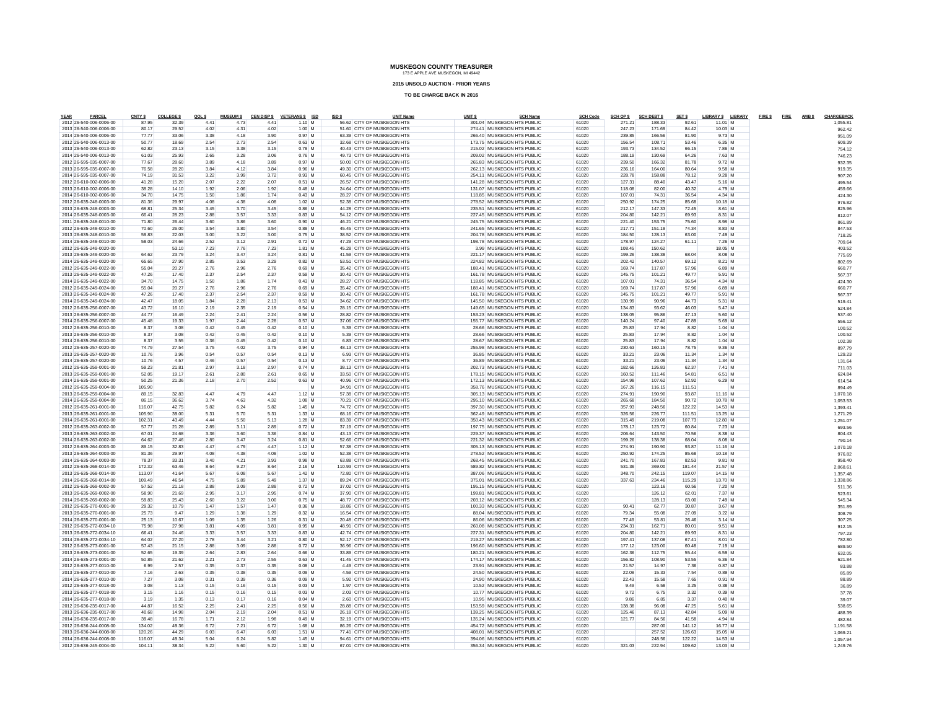**2015 UNSOLD AUCTION - PRIOR YEARS**

| YEAR<br>PARCEL                                     | CNTY \$        | <b>COLLEGE \$</b> | QOLS         | <b>MUSEUM \$</b> |              | CEN DISP \$ VETERANS \$ ISD | ISD \$ | <b>UNIT Name</b>                                         | UNIT <sub>S</sub> | <b>SCH Name</b>                                          | <b>SCH Code</b> | <b>SCH OP \$</b> | <b>SCH DEBT \$</b> | SET \$         | LIBRARY \$ LIBRARY |  | FIRE \$FIRE | AMB \$ | CHARGEBACK         |
|----------------------------------------------------|----------------|-------------------|--------------|------------------|--------------|-----------------------------|--------|----------------------------------------------------------|-------------------|----------------------------------------------------------|-----------------|------------------|--------------------|----------------|--------------------|--|-------------|--------|--------------------|
| 2012 26-540-006-0006-00<br>2013 26-540-006-0006-00 | 87.95<br>80.17 | 32.39<br>29.52    | 4.41<br>4.02 | 4.73<br>4.31     | 4.41<br>4.02 | $1.10$ M<br>1.00 M          |        | 56.62 CITY OF MUSKEGON HTS<br>51.60 CITY OF MUSKEGON HTS |                   | 301.04 MUSKEGON HTS PUBLIC<br>274.41 MUSKEGON HTS PUBLIC | 61020<br>61020  | 271.21<br>247.23 | 188.33<br>171.69   | 92.61<br>84.42 | 11.01 M<br>10.03 M |  |             |        | 1.055.81<br>962.42 |
| 2014 26-540-006-0006-00                            | 7777           | 33.06             | 3.38         | 4.18             | 3.90         | 0.97 M                      |        | 63.39 CITY OF MUSKEGON HTS                               |                   | 266.40 MUSKEGON HTS PUBLIC                               | 61020           | 239.85           | 166.56             | 81.90          | 9.73 M             |  |             |        | 951.09             |
| 2012 26-540-006-0013-00                            | 50.77          | 18.69             | 2.54         | 2.73             | 2.54         | $0.63$ M                    |        | 32.68 CITY OF MUSKEGON HTS                               |                   | 173.75 MUSKEGON HTS PUBLIC                               | 61020           | 156.54           | 108.71             | 53.46          | 6.35 M             |  |             |        | 609.39             |
| 2013 26-540-006-0013-00                            | 62.82          | 23.13             | 3.15         | 3.38             | 3.15         | $0.78$ M                    |        | 40.43 CITY OF MUSKEGON HTS                               |                   | 215.02 MUSKEGON HTS PUBLIC                               | 61020           | 193.73           | 134.52             | 66.15          | 7.86 M             |  |             |        | 754.12             |
| 2014 26-540-006-0013-00                            | 61.03          | 25.93             | 2.65         | 3.28             | 3.06         | $0.76$ M                    |        | 49.73 CITY OF MUSKEGON HTS                               |                   | 209.02 MUSKEGON HTS PUBLIC                               | 61020           | 188.19           | 130.69             | 64.26          | 7.63 M             |  |             |        | 746.23             |
| 2012 26-595-035-0007-00                            | 77.67          | 28.60             | 3.89         | 4.18             | 3.89         | 0.97M                       |        | 50.00 CITY OF MUSKEGON HTS                               |                   | 265 83 MUSKEGON HTS PUBLIC                               | 61020           | 239.50           | 166.32             | 81.78          | 9.72 M             |  |             |        | 932.35             |
| 2013 26-595-035-0007-00                            | 76.58          | 28.20             | 3.84         | 4.12             | 3.84         | $0.96$ M                    |        | 49.30 CITY OF MUSKEGON HTS                               |                   | 262.13 MUSKEGON HTS PUBLIC                               | 61020           | 236.16           | 164.00             | 80.64          | 9.58 M             |  |             |        | 919.35             |
| 2014 26-595-035-0007-00                            | 74.19          | 31.53             | 3.22         | 3.99             | 3.72         | $0.93$ M                    |        | 60.45 CITY OF MUSKEGON HTS                               |                   | 254.11 MUSKEGON HTS PUBLIC                               | 61020           | 228.78           | 158.88             | 78.12          | 9.28 M             |  |             |        | 907.20             |
| 2012 26-610-002-0006-00                            | 41.28          | 15.20             | 2.07         | 2.22             | 2.07         | 0.51 M                      |        | 26.57 CITY OF MUSKEGON HTS                               |                   | 141.28 MUSKEGON HTS PUBLIC                               | 61020           | 127.31           | 88.40              | 43.47          | 5.16 M             |  |             |        | 495.54             |
| 2013 26-610-002-0006-00                            | 38.28          | 14.10             | 1.92         | 2.06             | 1.92         | $0.48$ M                    |        | 24.64 CITY OF MUSKEGON HTS                               |                   | 131.07 MUSKEGON HTS PUBLIC                               | 61020           | 118.08           | 82.00              | 40.32          | 4.79 M             |  |             |        | 459.66             |
| 2014 26-610-002-0006-00                            | 34.70          | 14.75             | 1.50         | 1.86             | 1.74         | $0.43$ M                    |        | 28.27 CITY OF MUSKEGON HTS                               |                   | 118.85 MUSKEGON HTS PUBLIC                               | 61020           | 107.01           | 74.31              | 36.54          | 4.34 M             |  |             |        | 424.30             |
| 2012 26-635-248-0003-00                            | 81.36          | 29.97             | 4.08         | 4.38             | 4.08         | $1.02$ M                    |        | 52.38 CITY OF MUSKEGON HTS                               |                   | 278.52 MUSKEGON HTS PUBLIC                               | 61020           | 250.92           | 174.25             | 85.68          | 10.18 M            |  |             |        | 976.82             |
| 2013 26-635-248-0003-00                            | 68.81          | 25.34             | 3.45         | 3.70             | 3.45         | $0.86$ M                    |        | 44.28 CITY OF MUSKEGON HTS                               |                   | 235.51 MUSKEGON HTS PUBLIC                               | 61020           | 212.17           | 147.33             | 72.45          | 8.61 M             |  |             |        | 825.96             |
| 2014 26-635-248-0003-00                            | 66.41          | 28.23             | 2.88         | 3.57             | 3.33         | $0.83$ M                    |        | 54.12 CITY OF MUSKEGON HTS                               |                   | 227.45 MUSKEGON HTS PUBLIC                               | 61020           | 204.80           | 142.21             | 69.93          | 8.31 M             |  |             |        | 812.07             |
| 2011 26-635-248-0010-00                            | 71.80          | 26.44             | 3.60         | 3.86             | 3.60         | $0.90$ M                    |        | 46.21 CITY OF MUSKEGON HTS                               |                   | 245.75 MUSKEGON HTS PUBLIC                               | 61020           | 221.40           | 153.75             | 75.60          | 8.98 M             |  |             |        | 861.89             |
| 2012 26-635-248-0010-00                            | 70.60          | 26.00             | 3.54         | 3.80             | 3.54         | $0.88$ M                    |        | 45.45 CITY OF MUSKEGON HTS                               |                   | 241.65 MUSKEGON HTS PUBLIC                               | 61020           | 217.71           | 151.19             | 74.34          | 8.83 M             |  |             |        | 847.53             |
| 2013 26-635-248-0010-00                            | 59.83          | 22.03             | 3.00         | 3.22             | 3.00         | $0.75$ M                    |        | 38.52 CITY OF MUSKEGON HTS                               |                   | 204.78 MUSKEGON HTS PUBLIC                               | 61020           | 184.50           | 128.13             | 63.00          | 7.49 M             |  |             |        | 718.25             |
| 2014 26-635-248-0010-00                            | 58.03          | 24.66             | 2.52         | 3.12             | 2.91         | $0.72$ M                    |        | 47.29 CITY OF MUSKEGON HTS                               |                   | 198.78 MUSKEGON HTS PUBLIC                               | 61020           | 178.97           | 124.27             | 61.11          | 7.26 M             |  |             |        | 709.6              |
| 2012 26-635-249-0020-00                            |                | 53.10             | 7.23         | 7.76             | 7.23         | $1.81$ M                    |        | 45.28 CITY OF MUSKEGON HTS                               |                   | 3.99 MUSKEGON HTS PUBLIC                                 | 61020           | 108.45           | 150.62             |                | 18.05 M            |  |             |        | 403.52             |
| 2013 26-635-249-0020-00                            | 64.62          | 23.79             | 3.24         | 3.47             | 3.24         | $0.81$ M                    |        | 41.59 CITY OF MUSKEGON HTS                               |                   | 221.17 MUSKEGON HTS PUBLIC                               | 61020           | 199.26           | 138.38             | 68.04          | 8.08 M             |  |             |        | 775.69             |
| 2014 26-635-249-0020-00                            | 65.65          | 27.90             | 2.85         | 3.53             | 3.29         | $0.82$ M                    |        | 53.51 CITY OF MUSKEGON HTS                               |                   | 224.82 MUSKEGON HTS PUBLIC                               | 61020           | 202.42           | 140.57             | 69.12          | 8.21 M             |  |             |        | 802.69             |
| 2012 26-635-249-0022-00                            | 55.04          | 20.27             | 2.76         | 2.96             | 2.76         | $0.69$ M                    |        | 35.42 CITY OF MUSKEGON HTS                               |                   | 188.41 MUSKEGON HTS PUBLIC                               | 61020           | 169.74           | 117.87             | 57.96          | 6.89 M             |  |             |        | 660.77             |
| 2013 26-635-249-0022-00                            | 47.26          | 17.40             | 2.37         | 2.54             | 2.37         | $0.59$ M                    |        | 30.42 CITY OF MUSKEGON HTS                               |                   | 161.78 MUSKEGON HTS PUBLIC                               | 61020           | 145 75           | 101.21             | 49.77          | 5.91 M             |  |             |        | 567.37             |
| 2014 26-635-249-0022-00                            | 34.70          | 14.75             | 1.50         | 1.86             | 1.74         | $0.43$ M                    |        | 28.27 CITY OF MUSKEGON HTS                               |                   | 118.85 MUSKEGON HTS PUBLIC                               | 61020           | 107.01           | 74.31              | 36.54          | 4.34 M             |  |             |        | 424.30             |
| 2012 26-635-249-0024-00                            | 55.04          | 20.27             | 2.76         | 2.96             | 2.76         | $0.69$ M                    |        | 35.42 CITY OF MUSKEGON HTS                               |                   | 188.41 MUSKEGON HTS PUBLIC                               | 61020           | 169.74           | 117.87             | 57.96          | 6.89 M             |  |             |        | 660.7              |
| 2013 26-635-249-0024-00                            | 47.26          | 1740              | 2.37         | 2.54             | 2.37         | $0.59$ M                    |        | 30.42 CITY OF MUSKEGON HTS                               |                   | 161.78 MUSKEGON HTS PUBLIC                               | 61020           | 145 75           | 101.21             | 49.77          | 5.91 M             |  |             |        | 567.3              |
| 2014 26-635-249-0024-00                            | 42.47          | 18.05             | 1.84         | 2.28             | 2.13         | $0.53$ M                    |        | 34.62 CITY OF MUSKEGON HTS                               |                   | 145.50 MUSKEGON HTS PUBLIC                               | 61020           | 130.99           | 90.96              | 44.73          | 5.31 M             |  |             |        | 519.4              |
| 2012 26-635-256-0007-00                            | 43.72          | 16.10             | 2.19         | 2.35             | 2.19         | $0.54$ M                    |        | 28.15 CITY OF MUSKEGON HTS                               |                   | 149.65 MUSKEGON HTS PUBLIC                               | 61020           | 134.83           | 93.62              | 46.03          | 5.47 M             |  |             |        | 524.8              |
| 2013 26-635-256-0007-00                            | 44.77<br>45.48 | 16.49<br>19.33    | 2.24<br>1.97 | 2.41<br>2.44     | 2.24<br>2.28 | 0.56 M<br>$0.57$ M          |        | 28.82 CITY OF MUSKEGON HTS<br>37.06 CITY OF MUSKEGON HTS |                   | 153.23 MUSKEGON HTS PUBLIC<br>155.77 MUSKEGON HTS PUBLIC | 61020           | 138.05<br>140.24 | 95.86<br>97.40     | 47.13<br>47.89 | 5.60 M<br>5.69 M   |  |             |        | 537.40             |
| 2014 26-635-256-0007-00<br>2012 26-635-256-0010-00 | 8.37           | 3.08              | 0.42         | 0.45             | 0.42         | $0.10$ M                    |        | 5.39 CITY OF MUSKEGON HTS                                |                   | 28.66 MUSKEGON HTS PUBLIC                                | 61020<br>61020  | 25.83            | 17.94              | 8.82           | $1.04$ M           |  |             |        | 556.12             |
| 2013 26-635-256-0010-00                            | 8.37           | 3.08              | 0.42         | 0.45             | 0.42         | $0.10$ M                    |        | 5.39 CITY OF MUSKEGON HTS                                |                   | 28 66 MUSKEGON HTS PUBLIC                                | 61020           | 25.83            | 17.94              | 8.82           | $1.04$ M           |  |             |        | 100.52<br>100.5    |
| 2014 26-635-256-0010-00                            | 8.37           | 3.55              | 0.36         | 0.45             | 0.42         | $0.10$ M                    |        | 6.83 CITY OF MUSKEGON HTS                                |                   | 28.67 MUSKEGON HTS PUBLIC                                | 61020           | 25.83            | 17.94              | 8.82           | $1.04$ M           |  |             |        | 102.38             |
| 2012 26-635-257-0020-00                            | 74.79          | 27.54             | 3.75         | 4.02             | 3.75         | $0.94$ M                    |        | 48.13 CITY OF MUSKEGON HTS                               |                   | 255.98 MUSKEGON HTS PUBLIC                               | 61020           | 230.63           | 160.15             | 78.75          | 9.36 M             |  |             |        | 897.79             |
| 2013 26-635-257-0020-00                            | 10.76          | 3.96              | 0.54         | 0.57             | 0.54         | $0.13$ M                    |        | 6.93 CITY OF MUSKEGON HTS                                |                   | 36.85 MUSKEGON HTS PUBLIC                                | 61020           | 33.21            | 23.06              | 11.34          | $1.34$ M           |  |             |        | 129.23             |
| 2014 26-635-257-0020-00                            | 10.76          | 4.57              | 0.46         | 0.57             | 0.54         | $0.13$ M                    |        | 8.77 CITY OF MUSKEGON HTS                                |                   | 36.89 MUSKEGON HTS PUBLIC                                | 61020           | 33.21            | 23.06              | 11.34          | $1.34$ M           |  |             |        | 131.6              |
| 2012 26-635-259-0001-00                            | 59.23          | 21.81             | 2.97         | 3.18             | 2.97         | $0.74$ M                    |        | 38.13 CITY OF MUSKEGON HTS                               |                   | 202.73 MUSKEGON HTS PUBLIC                               | 61020           | 182.66           | 126.83             | 62.37          | $7.41$ M           |  |             |        | 711.03             |
| 2013 26-635-259-0001-00                            | 52.05          | 19.17             | 2.61         | 2.80             | 2.61         | $0.65$ M                    |        | 33.50 CITY OF MUSKEGON HTS                               |                   | 178.15 MUSKEGON HTS PUBLIC                               | 61020           | 160.52           | 111.46             | 54.81          | 6.51 M             |  |             |        | 624.8              |
| 2014 26-635-259-0001-00                            | 50.25          | 21.36             | 2.18         | 2.70             | 2.52         | $0.63$ M                    |        | 40.96 CITY OF MUSKEGON HTS                               |                   | 172 13 MUSKEGON HTS PUBLIC                               | 61020           | 154.98           | 107.62             | 52.92          | 6.29 M             |  |             |        | 614.5              |
| 2012 26-635-259-0004-00                            | 105.90         |                   |              |                  |              | <b>M</b>                    |        | 34 91 CITY OF MUSKEGON HTS                               |                   | 358.76 MUSKEGON HTS PUBLIC                               | 61020           | 167.26           | 116.15             | 111.51         |                    |  |             |        | 894 49             |
| 2013 26-635-259-0004-00                            | 89.15          | 32.83             | 4.47         | 4.79             | 4.47         | $1.12$ M                    |        | 57.38 CITY OF MUSKEGON HTS                               |                   | 305.13 MUSKEGON HTS PUBLIC                               | 61020           | 274.91           | 190.90             | 93.87          | 11.16 M            |  |             |        | 1.070.18           |
| 2014 26-635-259-0004-00                            | 86.15          | 36.62             | 3.74         | 4.63             | 4.32         | $1.08$ M                    |        | 70.21 CITY OF MUSKEGON HTS                               |                   | 295.10 MUSKEGON HTS PUBLIC                               | 61020           | 265.68           | 184.50             | 90.72          | 10.78 M            |  |             |        | 1.053.53           |
| 2012 26-635-261-0001-00                            | 116.07         | 4275              | 5.82         | 6.24             | 5.82         | 1.45 M                      |        | 74 72 CITY OF MUSKEGON HTS                               |                   | 397.30 MUSKEGON HTS PUBLIC                               | 61020           | 357.93           | 248.56             | 122.22         | 14.53 M            |  |             |        | 1,393.41           |
| 2013 26-635-261-0001-00                            | 105.90         | 39.00             | 5.31         | 5.70             | 5.31         | $1.33$ M                    |        | 68.16 CITY OF MUSKEGON HTS                               |                   | 362 49 MUSKEGON HTS PUBLIC                               | 61020           | 326.56           | 226.77             | 111.51         | 13.25 M            |  |             |        | 1.271.29           |
| 2014 26-635-261-0001-00                            | 102.31         | 43.49             | 4.44         | 5.50             | 5.13         | $1.28$ M                    |        | 83.39 CITY OF MUSKEGON HTS                               |                   | 350.43 MUSKEGON HTS PUBLIC                               | 61020           | 315.49           | 219.08             | 107.73         | 12.80 M            |  |             |        | 1.251.0            |
| 2012 26-635-263-0002-00                            | 57.77          | 21.28             | 2.89         | 3.11             | 2.89         | $0.72$ M                    |        | 37.19 CITY OF MUSKEGON HTS                               |                   | 197.75 MUSKEGON HTS PUBLIC                               | 61020           | 178.17           | 123.72             | 60.84          | 7.23 M             |  |             |        | 693.5              |
| 2013 26-635-263-0002-00                            | 67.01          | 24.68             | 3.36         | 3.60             | 3.36         | $0.84$ M                    |        | 43.13 CITY OF MUSKEGON HTS                               |                   | 229.37 MUSKEGON HTS PUBLIC                               | 61020           | 206.64           | 143.50             | 70.56          | 8.38 M             |  |             |        | 804.43             |
| 2014 26-635-263-0002-00                            | 64.62          | 27.46             | 2.80         | 3.47             | 3.24         | $0.81$ M                    |        | 52.66 CITY OF MUSKEGON HTS                               |                   | 221.32 MUSKEGON HTS PUBLIC                               | 61020           | 199.26           | 138.38             | 68.04          | 8.08 M             |  |             |        | 790.14             |
| 2012 26-635-264-0003-00                            | 89.15          | 32.83             | 4.47         | 4.79             | 4.47         | $1.12$ M                    |        | 57.38 CITY OF MUSKEGON HTS                               |                   | 305.13 MUSKEGON HTS PUBLIC                               | 61020           | 274.91           | 190.90             | 93.87          | 11.16 M            |  |             |        | 1.070.18           |
| 2013 26-635-264-0003-00                            | 81.36          | 29.97             | 4.08         | 4.38             | 4.08         | $1.02$ M                    |        | 52.38 CITY OF MUSKEGON HTS                               |                   | 278.52 MUSKEGON HTS PUBLIC                               | 61020           | 250.92           | 174.25             | 85.68          | 10.18 M            |  |             |        | 976.82             |
| 2014 26-635-264-0003-00                            | 78.37          | 33.31             | 3.40         | 4.21             | 3.93         | $0.98$ M                    |        | 63.88 CITY OF MUSKEGON HTS                               |                   | 268.45 MUSKEGON HTS PUBLIC                               | 61020           | 241.70           | 167.83             | 82.53          | 9.81 M             |  |             |        | 958.40             |
| 2012 26-635-268-0014-00                            | 172.32         | 63.46             | 8.64         | 9.27             | 8.64         | 2.16 M                      |        | 110.93 CITY OF MUSKEGON HTS                              |                   | 589.82 MUSKEGON HTS PUBLIC                               | 61020           | 531.36           | 369.00             | 181.44         | 21.57 M            |  |             |        | 2.068.6            |
| 2013 26-635-268-0014-00                            | 113.07         | 41.64             | 5.67         | 6.08             | 5.67         | 1.42 M                      |        | 72 80 CITY OF MUSKEGON HTS                               |                   | 387.06 MUSKEGON HTS PUBLIC                               | 61020           | 348.70           | 242.15             | 119.07         | 14.15 M            |  |             |        | 1.357.48           |
| 2014 26-635-268-0014-00                            | 109.49         | 46.54             | 4.75         | 5.89             | 5.49         | 1.37M                       |        | 89.24 CITY OF MUSKEGON HTS                               |                   | 375.01 MUSKEGON HTS PUBLIC                               | 61020           | 337.63           | 234.46             | 115.29         | 13.70 M            |  |             |        | 1.338.86           |
| 2012 26-635-269-0002-00                            | 57.52          | 21.18             | 2.88         | 3.09             | 2.88         | $0.72$ M                    |        | 37.02 CITY OF MUSKEGON HTS                               |                   | 195.15 MUSKEGON HTS PUBLIC                               | 61020           |                  | 123.16             | 60.56          | 7.20 M             |  |             |        | 511.3              |
| 2013 26-635-269-0002-00                            | 58.90          | 21.69             | 2.95         | 3.17             | 2.95         | 0.74M                       |        | 37.90 CITY OF MUSKEGON HTS                               |                   | 199.81 MUSKEGON HTS PUBLIC                               | 61020           |                  | 126.12             | 62.01          | 7.37 M             |  |             |        | 523.6              |
| 2014 26-635-269-0002-00                            | 59.83          | 25.43             | 2.60         | 3.22             | 3.00         | $0.75$ M                    |        | 48.77 CITY OF MUSKEGON HTS                               |                   | 203.12 MUSKEGON HTS PUBLIC                               | 61020           |                  | 128.13             | 63.00          | 7.49 M             |  |             |        | 545.34             |
| 2012 26-635-270-0001-00                            | 29.32          | 10.79             | 1.47         | 1.57             | 1.47         | $0.36$ M                    |        | 18.86 CITY OF MUSKEGON HTS                               |                   | 100.33 MUSKEGON HTS PUBLIC                               | 61020           | 90.41            | 62.77              | 30.87          | 3.67 M             |  |             |        | 351.89             |
| 2013 26-635-270-0001-00                            | 25.73          | 9.47              | 1.29         | 1.38             | 1.29         | 0.32M                       |        | 16.54 CITY OF MUSKEGON HTS                               |                   | 88.04 MUSKEGON HTS PUBLIC                                | 61020           | 79.34            | 55.08              | 27.09          | 3.22 M             |  |             |        | 308.79             |
| 2014 26-635-270-0001-00                            | 25.13          | 10.67             | 1.09         | 1.35             | 1.26         | $0.31$ M                    |        | 20.48 CITY OF MUSKEGON HTS                               |                   | 86.06 MUSKEGON HTS PUBLIC                                | 61020           | 77.49            | 53.81              | 26.46          | $3.14$ M           |  |             |        | 307.25             |
| 2012 26-635-272-0034-10<br>2013 26-635-272-0034-10 | 75.98<br>66.41 | 27.98<br>24.46    | 3.81<br>3.33 | 4.09<br>3.57     | 3.81<br>3.33 | $0.95$ M<br>$0.83$ M        |        | 48.91 CITY OF MUSKEGON HTS<br>42.74 CITY OF MUSKEGON HTS |                   | 260.08 MUSKEGON HTS PUBLIC<br>227.31 MUSKEGON HTS PUBLIC | 61020<br>61020  | 234.31<br>204.80 | 162.71<br>142.21   | 80.01<br>69.93 | 9.51 M<br>8.31 M   |  |             |        | 912.15             |
|                                                    |                |                   |              |                  |              |                             |        |                                                          |                   |                                                          |                 |                  |                    |                |                    |  |             |        | 797.23             |
| 2014 26-635-272-0034-10<br>2012 26-635-273-0001-00 | 64.02<br>57.43 | 27.20<br>21.15    | 2.78         | 3.44<br>3.09     | 3.21<br>2.88 | $0.80$ M<br>$0.72$ M        |        | 52.17 CITY OF MUSKEGON HTS<br>36.96 CITY OF MUSKEGON HTS |                   | 219.27 MUSKEGON HTS PUBLIC<br>196.60 MUSKEGON HTS PUBLIC | 61020<br>61020  | 197.41<br>177.12 | 137.08<br>123.00   | 67.41<br>60.48 | 8.01 M<br>7.19 M   |  |             |        | 782.80             |
| 2013 26-635-273-0001-00                            | 52.65          | 19.39             | 2.88<br>2.64 | 2.83             | 2.64         | $0.66$ M                    |        | 33.89 CITY OF MUSKEGON HTS                               |                   | 180.21 MUSKEGON HTS PUBLIC                               | 61020           | 162.36           | 112.75             | 55.44          | 6.59 M             |  |             |        | 689.50<br>632.05   |
| 2014 26-635-273-0001-00                            | 50.85          | 21.62             | 2.21         | 2.73             | 2.55         | $0.63$ M                    |        | 41 45 CITY OF MUSKEGON HTS                               |                   | 174.17 MUSKEGON HTS PUBLIC                               | 61020           | 156.82           | 108.90             | 53.55          | 6.36 M             |  |             |        |                    |
| 2012 26-635-277-0010-00                            | 6.99           | 2.57              | 0.35         | 0.37             | 0.35         | $0.08$ M                    |        | 4.49 CITY OF MUSKEGON HTS                                |                   | 23.91 MUSKEGON HTS PUBLIC                                | 61020           | 21.57            | 14.97              | 7.36           | $0.87$ M           |  |             |        | 621.8              |
| 2013 26-635-277-0010-00                            | 7.16           | 2.63              | 0.35         | 0.38             | 0.35         | $0.09$ M                    |        | 4.59 CITY OF MUSKEGON HTS                                |                   | 24.50 MUSKEGON HTS PUBLIC                                | 61020           | 22.08            | 15.33              | 7.54           | $0.89$ M           |  |             |        | 83.88<br>85.89     |
| 2014 26-635-277-0010-00                            | 7.27           | 3.08              | 0.31         | 0.39             | 0.36         | $0.09$ M                    |        | 5.92 CITY OF MUSKEGON HTS                                |                   | 24.90 MUSKEGON HTS PUBLIC                                | 61020           | 22.43            | 15.58              | 7.65           | $0.91$ M           |  |             |        | 88.89              |
| 2012 26-635-277-0018-00                            | 3.08           | 1.13              | 0.15         | 0.16             | 0.15         | $0.03$ M                    |        | 1.97 CITY OF MUSKEGON HTS                                |                   | 10.52 MUSKEGON HTS PUBLIC                                | 61020           | 9.49             | 6.58               | 3.25           | 0.38 M             |  |             |        | 36.89              |
| 2013 26-635-277-0018-00                            | 3.15           | 1.16              | 0.15         | 0.16             | 0.15         | $0.03$ M                    |        | 2.03 CITY OF MUSKEGON HTS                                |                   | 10.77 MUSKEGON HTS PUBLIC                                | 61020           | 9.72             | 6.75               | 3.32           | $0.39$ M           |  |             |        | 37.78              |
| 2014 26-635-277-0018-00                            | 3.19           | 1.35              | 0.13         | 0.17             | 0.16         | $0.04$ M                    |        | 2.60 CITY OF MUSKEGON HTS                                |                   | 10.95 MUSKEGON HTS PUBLIC                                | 61020           | 9.86             | 6.85               | 3.37           | $0.40$ M           |  |             |        | 39.0               |
| 2012 26-636-235-0017-00                            | 44.87          | 16.52             | 2.25         | 2.41             | 2.25         | 0.56 M                      |        | 28 88 CITY OF MUSKEGON HTS                               |                   | 153.59 MUSKEGON HTS PUBLIC                               | 61020           | 138.38           | 96.08              | 47.25          | 5.61 M             |  |             |        | 538.65             |
| 2013 26-636-235-0017-00                            | 40.68          | 14.98             | 2.04         | 2.19             | 2.04         | $0.51$ M                    |        | 26.18 CITY OF MUSKEGON HTS                               |                   | 139.25 MUSKEGON HTS PUBLIC                               | 61020           | 125.46           | 87.13              | 42.84          | 5.09 M             |  |             |        | 488.39             |
| 2014 26-636-235-0017-00                            | 39.48          | 16.78             | 1.71         | 2.12             | 1.98         | $0.49$ M                    |        | 32.19 CITY OF MUSKEGON HTS                               |                   | 135.24 MUSKEGON HTS PUBLIC                               | 61020           | 121.77           | 84.56              | 41.58          | 4.94 M             |  |             |        | 482.84             |
| 2012 26-636-244-0008-00                            | 134.02         | 49.36             | 6.72         | 7.21             | 6.72         | 1.68 M                      |        | 86.26 CITY OF MUSKEGON HTS                               |                   | 454.72 MUSKEGON HTS PUBLIC                               | 61020           |                  | 287.00             | 141.12         | 16.77 M            |  |             |        | 1,191.58           |
| 2013 26-636-244-0008-00                            | 120.26         | 44.29             | 6.03         | 6.47             | 6.03         | 1.51 M                      |        | 77.41 CITY OF MUSKEGON HTS                               |                   | 408.01 MUSKEGON HTS PUBLIC                               | 61020           |                  | 257.52             | 126.63         | 15.05 M            |  |             |        | 1.069.21           |
| 2014 26-636-244-0008-00                            | 116.07         | 49.34             | 5.04         | 6.24             | 5.82         | 1.45 M                      |        | 94.61 CITY OF MUSKEGON HTS                               |                   | 394.06 MUSKEGON HTS PUBLIC                               | 61020           |                  | 248.56             | 122.22         | 14.53 M            |  |             |        | 1.057.94           |
| 2012 26-636-245-0004-00                            | 104.11         | 38.34             | 5.22         | 5.60             | 5.22         | 1.30 M                      |        | 67.01 CITY OF MUSKEGON HTS                               |                   | 356.34 MUSKEGON HTS PUBLIC                               | 61020           | 32103            | 222.94             | 109.62         | 13.03 M            |  |             |        | 1.249.76           |
|                                                    |                |                   |              |                  |              |                             |        |                                                          |                   |                                                          |                 |                  |                    |                |                    |  |             |        |                    |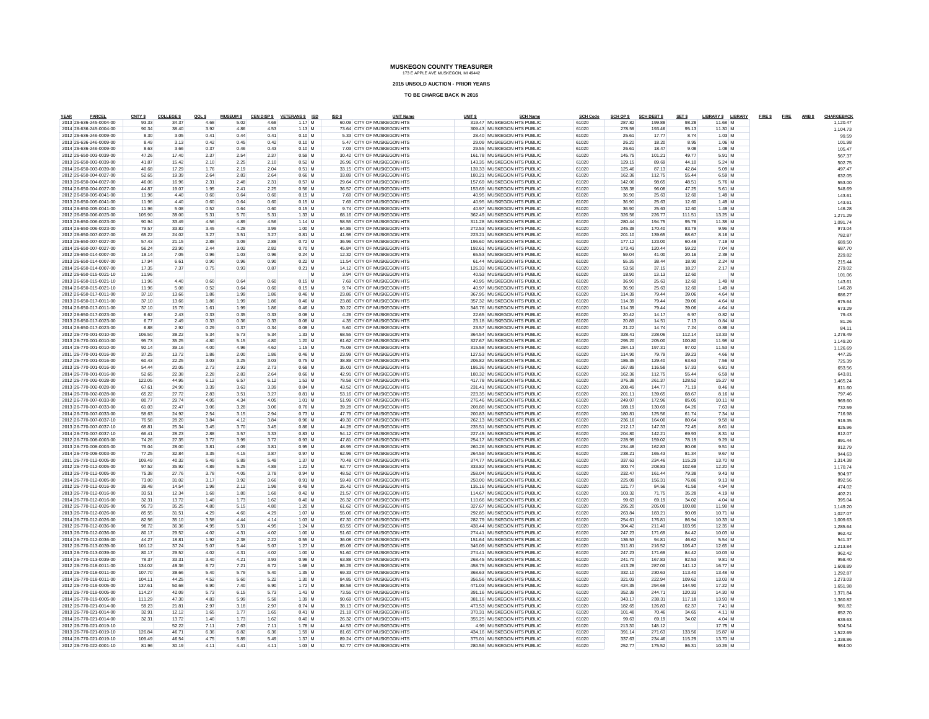**2015 UNSOLD AUCTION - PRIOR YEARS**

| PARCEL<br>YEAR                                     | CNTY \$         | <b>COLLEGE \$</b> | QOLS         | <b>MUSEUM \$</b> |              | CEN DISP \$ VETERANS \$ ISD | ISD \$ | <b>UNIT Name</b>                                         | UNIT <sub>S</sub> | <b>SCH Name</b>                                          | <b>SCH Code</b> | SCH OP \$        | <b>SCH DEBT \$</b> | SET \$          | LIBRARY \$ LIBRARY   |   | FIRE \$FIRE AMBS | CHARGEBACK           |
|----------------------------------------------------|-----------------|-------------------|--------------|------------------|--------------|-----------------------------|--------|----------------------------------------------------------|-------------------|----------------------------------------------------------|-----------------|------------------|--------------------|-----------------|----------------------|---|------------------|----------------------|
| 2013 26-636-245-0004-00<br>2014 26-636-245-0004-00 | 93.33<br>90.34  | 34.37<br>38.40    | 4.68<br>3.92 | 5.02<br>4.86     | 4.68<br>4.53 | 1.17 M<br>$1.13$ M          |        | 60.09 CITY OF MUSKEGON HTS<br>73.64 CITY OF MUSKEGON HTS |                   | 319.47 MUSKEGON HTS PUBLIC<br>309.43 MUSKEGON HTS PUBLIC | 61020<br>61020  | 287.82<br>278.59 | 199.88<br>193.46   | 98.28<br>95.13  | 11.68 M<br>11.30 M   |   |                  | 1.120.47<br>1,104.73 |
| 2012 26-636-246-0009-00                            | 8.30            | 3.05              | 0.41         | 0.44             | 0.41         | $0.10$ M                    |        | 5.33 CITY OF MUSKEGON HTS                                |                   | 28.40 MUSKEGON HTS PUBLIC                                | 61020           | 25.61            | 17.77              | 8.74            | 1.03 M               |   |                  | 99.59                |
| 2013 26-636-246-0009-00                            | 8.49            | 3.13              | 0.42         | 0.45             | 0.42         | $0.10$ M                    |        | 5.47 CITY OF MUSKEGON HTS                                |                   | 29.09 MUSKEGON HTS PUBLIC                                | 61020           | 26.20            | 18.20              | 8.95            | $1.06$ M             |   |                  | 101.98               |
| 2014 26-636-246-0009-00                            | 8.63            | 3.66              | 0.37         | 0.46             | 0.43         | $0.10$ M                    |        | 7.03 CITY OF MUSKEGON HTS                                |                   | 29.55 MUSKEGON HTS PUBLIC                                | 61020           | 26.61            | 18.47              | 9.08            | $1.08$ M             |   |                  | 105.4                |
| 2012 26-650-003-0039-00                            | 47.26           | 17.40             | 2.37         | 2.54             | 2.37         | $0.59$ M                    |        | 30.42 CITY OF MUSKEGON HTS                               |                   | 161.78 MUSKEGON HTS PUBLIC                               | 61020           | 145.75           | 101.21             | 49.77           | 5.91 M               |   |                  | 567.3                |
| 2013 26-650-003-0039-00                            | 41.87           | 15.42             | 2.10         | 2.25             | 2.10         | 0.52M                       |        | 26.96 CITY OF MUSKEGON HTS                               |                   | 143.35 MUSKEGON HTS PUBLIC                               | 61020           | 129.15           | 89.69              | 44.10           | 5.24 M               |   |                  | 502.75               |
| 2014 26-650-003-0039-00                            | 40.68           | 17.29             | 1.76         | 2.19             | 2.04         | $0.51$ M                    |        | 33.15 CITY OF MUSKEGON HTS                               |                   | 139.33 MUSKEGON HTS PUBLIC                               | 61020           | 125.46           | 87.13              | 42.84           | 5.09 M               |   |                  | 497.47               |
| 2012 26-650-004-0027-00                            | 52.65           | 19.39             | 2.64         | 2.83             | 2.64         | $0.66$ M                    |        | 33.89 CITY OF MUSKEGON HTS                               |                   | 180.21 MUSKEGON HTS PUBLIC                               | 61020           | 162.36           | 112.75             | 55.44           | 6.59 M               |   |                  | 632.05               |
| 2013 26-650-004-0027-00                            | 46.06           | 16.96             | 2.31         | 2.48             | 2.31         | 0.57 M                      |        | 29.64 CITY OF MUSKEGON HTS                               |                   | 157.69 MUSKEGON HTS PUBLIC                               | 61020           | 142.06           | 98.65              | 48.51           | 5.76 M               |   |                  | 553.00               |
| 2014 26-650-004-0027-00                            | 44.87           | 19.07             | 1.95         | 2.41             | 2.25         | $0.56$ M                    |        | 36.57 CITY OF MUSKEGON HTS                               |                   | 153.69 MUSKEGON HTS PUBLIC                               | 61020           | 138.38           | 96.08              | 47.25           | 5.61 M               |   |                  | 548.69               |
| 2012 26-650-005-0041-00                            | 11.96           | 4.40              | 0.60         | 0.64             | 0.60         | $0.15$ M                    |        | 7.69 CITY OF MUSKEGON HTS                                |                   | 40.95 MUSKEGON HTS PUBLIC                                | 61020           | 36.90            | 25.63              | 12.60           | 1.49 M               |   |                  | 143.6                |
| 2013 26-650-005-0041-00                            | 11.96           | 4.40              | 0.60         | 0.64             | 0.60         | $0.15$ M                    |        | 7.69 CITY OF MUSKEGON HTS                                |                   | 40.95 MUSKEGON HTS PUBLIC                                | 61020           | 36.90            | 25.63              | 12.60           | 1.49M                |   |                  | 143.6                |
| 2014 26-650-005-0041-00                            | 11.96           | 5.08              | 0.52         | 0.64             | 0.60         | $0.15$ M                    |        | 9.74 CITY OF MUSKEGON HTS                                |                   | 40.97 MUSKEGON HTS PUBLIC                                | 61020           | 36.90            | 25.63              | 12.60           | $1.49$ M             |   |                  | 146.28               |
| 2012 26-650-006-0023-00                            | 105.90          | 39.00             | 5.31         | 5.70             | 5.31         | 1.33 M                      |        | 68.16 CITY OF MUSKEGON HTS                               |                   | 362.49 MUSKEGON HTS PUBLIC                               | 61020           | 326.56           | 226,77             | 111.51          | 13.25 M              |   |                  | 1.271.29             |
| 2013 26-650-006-0023-00                            | 90.94           | 33.49             | 4.56         | 4.89             | 4.56         | 1.14 M                      |        | 58.55 CITY OF MUSKEGON HTS                               |                   | 311.28 MUSKEGON HTS PUBLIC                               | 61020           | 280.44           | 194.75             | 95.76           | 11.38 M              |   |                  | 1.091.74             |
| 2014 26-650-006-0023-00                            | 79.57           | 33.82             | 3.45         | 4.28             | 3.99         | 1.00 M                      |        | 64.86 CITY OF MUSKEGON HTS                               |                   | 272.53 MUSKEGON HTS PUBLIC                               | 61020           | 245.39           | 170.40             | 83.79           | 9.96 M               |   |                  | 973.04               |
| 2012 26-650-007-0027-00                            | 65.22           | 24.02             | 3.27         | 3.51             | 3.27         | $0.81$ M                    |        | 41.98 CITY OF MUSKEGON HTS                               |                   | 223.21 MUSKEGON HTS PUBLIC                               | 61020           | 201.10           | 139.65             | 68.67           | 8.16 M               |   |                  | 782.87               |
| 2013 26-650-007-0027-00                            | 57.43           | 21.15             | 2.88         | 3.09             | 2.88         | $0.72$ M                    |        | 36.96 CITY OF MUSKEGON HTS                               |                   | 196.60 MUSKEGON HTS PUBLIC                               | 61020           | 177.12           | 123.00             | 60.48           | 7.19 M               |   |                  | 689.50               |
| 2014 26-650-007-0027-00                            | 56.24           | 23.90             | 2.44         | 3.02             | 2.82         | 0.70 M                      |        | 45 84 CITY OF MUSKEGON HTS                               |                   | 192.61 MUSKEGON HTS PUBLIC                               | 61020           | 173.43           | 120.44             | 59.22           | 7.04 M               |   |                  | 687.70               |
| 2012 26-650-014-0007-00                            | 19.14           | 7.05              | 0.96         | 1.03             | 0.96         | $0.24$ M                    |        | 12.32 CITY OF MUSKEGON HTS                               |                   | 65.53 MUSKEGON HTS PUBLIC                                | 61020           | 59.04            | 41.00              | 20.16           | 2.39 M               |   |                  | 229.82               |
| 2013 26-650-014-0007-00                            | 17.94           | 6.61              | 0.90         | 0.96             | 0.90         | $0.22$ M                    |        | 11.54 CITY OF MUSKEGON HTS                               |                   | 61.44 MUSKEGON HTS PUBLIC                                | 61020           | 55.35            | 38.44              | 18.90           | 2.24M                |   |                  | 215.44               |
| 2014 26-650-014-0007-00                            | 17.35           | 7.37              | 0.75         | 0.93             | 0.87         | $0.21$ M                    |        | 14.12 CITY OF MUSKEGON HTS                               |                   | 126.33 MUSKEGON HTS PUBLIC                               | 61020           | 53.50            | 37.15              | 18.27           | 2.17 M               |   |                  | 279.02               |
| 2012 26-650-015-0021-10                            | 11.96           |                   |              |                  |              |                             |        | 3.94 CITY OF MUSKEGON HTS                                |                   | 40.53 MUSKEGON HTS PUBLIC                                | 61020           | 18.90            | 13.13              | 12.60           |                      | M |                  | 101.06               |
| 2013 26-650-015-0021-10                            | 11.96           | 4.40              | 0.60         | 0.64             | 0.60         | $0.15$ M                    |        | 7.69 CITY OF MUSKEGON HTS                                |                   | 40.95 MUSKEGON HTS PUBLIC                                | 61020           | 36.90            | 25.63              | 12.60           | 1.49 M               |   |                  | 143.61               |
| 2014 26-650-015-0021-10                            | 11.96           | 5.08              | 0.52         | 0.64             | 0.60         | $0.15$ M                    |        | 9.74 CITY OF MUSKEGON HTS                                |                   | 40.97 MUSKEGON HTS PUBLIC                                | 61020           | 36.90            | 25.63              | 12.60           | 1.49M                |   |                  | 146.28               |
| 2012 26-650-017-0011-00                            | 37.10           | 13.66             | 1.86         | 1.99             | 1.86         | 0.46 M                      |        | 23.86 CITY OF MUSKEGON HTS                               |                   | 367.95 MUSKEGON HTS PUBLIC                               | 61020           | 114.39           | 79.44              | 39.06           | 4.64 M               |   |                  | 686.27               |
| 2013 26-650-017-0011-00                            | 37.10           | 13.66             | 1.86         | 1.99             | 1.86         | $0.46$ M                    |        | 23.86 CITY OF MUSKEGON HTS                               |                   | 357.32 MUSKEGON HTS PUBLIC                               | 61020           | 114.39           | 79.44              | 39.06           | 4.64 M               |   |                  | 675.64               |
| 2014 26-650-017-0011-00                            | 37.10           | 15.76             | 1.61         | 1.99             | 1.86         | $0.46$ M                    |        | 30.22 CITY OF MUSKEGON HTS                               |                   | 346.76 MUSKEGON HTS PUBLIC                               | 61020           | 114.39           | 79.44              | 39.06           | 4.64 M               |   |                  | 673.29               |
| 2012 26-650-017-0023-00                            | 6.62<br>6.77    | 2.43              | 0.33<br>0.33 | 0.35<br>0.36     | 0.33<br>0.33 | $0.08$ M<br>$0.08$ M        |        | 4.26 CITY OF MUSKEGON HTS<br>4.35 CITY OF MUSKEGON HTS   |                   | 22.65 MUSKEGON HTS PUBLIC<br>23.18 MUSKEGON HTS PUBLIC   | 61020           | 20.42<br>20.89   | 14.17              | 6.97<br>7.13    | $0.82$ M             |   |                  | 79.43                |
| 2013 26-650-017-0023-00<br>2014 26-650-017-0023-00 | 6.88            | 2.49<br>2.92      | 0.29         | 0.37             | 0.34         | $0.08$ M                    |        | 5.60 CITY OF MUSKEGON HTS                                |                   | 23.57 MUSKEGON HTS PUBLIC                                | 61020<br>61020  | 21.22            | 14.51<br>14.74     | 7.24            | $0.84$ M<br>$0.86$ M |   |                  | 81.26<br>84.1        |
| 2012 26-770-001-0010-00                            | 106.50          | 39.22             | 5.34         | 5.73             | 5.34         | 1.33 M                      |        | 68.55 CITY OF MUSKEGON HTS                               |                   | 364.54 MUSKEGON HTS PUBLIC                               | 61020           | 328.41           | 228.06             | 112.14          | 13.33 M              |   |                  | 1.278.49             |
| 2013 26-770-001-0010-00                            | 95.73           | 35.25             | 4.80         | 5.15             | 4.80         | $1.20$ M                    |        | 61.62 CITY OF MUSKEGON HTS                               |                   | 327.67 MUSKEGON HTS PUBLIC                               | 61020           | 295.20           | 205.00             | 100.80          | 11.98 M              |   |                  | 1.149.20             |
| 2014 26-770-001-0010-00                            | 92.14           | 39.16             | 4.00         | 4.96             | 4.62         | 1.15 M                      |        | 75.09 CITY OF MUSKEGON HTS                               |                   | 315.58 MUSKEGON HTS PUBLIC                               | 61020           | 284.13           | 197.31             | 97.02           | 11.53 M              |   |                  | 1.126.69             |
| 2011 26-770-001-0016-00                            | 37.25           | 13.72             | 1.86         | 2.00             | 1.86         | $0.46$ M                    |        | 23.99 CITY OF MUSKEGON HTS                               |                   | 127.53 MUSKEGON HTS PUBLIC                               | 61020           | 114.90           | 79.79              | 39.23           | 4.66 M               |   |                  | 447.25               |
| 2012 26-770-001-0016-00                            | 60.43           | 22.25             | 3.03         | 3.25             | 3.03         | 0.75M                       |        | 38.89 CITY OF MUSKEGON HTS                               |                   | 206 82 MUSKEGON HTS PUBLIC                               | 61020           | 186.35           | 129.40             | 63.63           | 7.56 M               |   |                  | 725.39               |
| 2013 26-770-001-0016-00                            | 54.44           | 20.05             | 2.73         | 2.93             | 2.73         | $0.68$ M                    |        | 35.03 CITY OF MUSKEGON HTS                               |                   | 186.36 MUSKEGON HTS PUBLIC                               | 61020           | 167.89           | 116.58             | 57.33           | 6.81 M               |   |                  | 653.56               |
| 2014 26-770-001-0016-00                            | 52.65           | 22.38             | 2.28         | 2.83             | 2.64         | $0.66$ M                    |        | 42.91 CITY OF MUSKEGON HTS                               |                   | 180.32 MUSKEGON HTS PUBLIC                               | 61020           | 162.36           | 112.75             | 55.44           | 6.59 M               |   |                  | 643.8                |
| 2012 26-770-002-0028-00                            | 122.05          | 44.95             | 6.12         | 6.57             | 6.12         | 1.53 M                      |        | 78.58 CITY OF MUSKEGON HTS                               |                   | 417 78 MUSKEGON HTS PUBLIC                               | 61020           | 376.38           | 261.37             | 128.52          | 15.27 M              |   |                  | 1,465.24             |
| 2013 26-770-002-0028-00                            | 67.61           | 24.90             | 3.39         | 3.63             | 3.39         | 0.84 M                      |        | 43.52 CITY OF MUSKEGON HTS                               |                   | 231.41 MUSKEGON HTS PUBLIC                               | 61020           | 208.49           | 144.77             | 71.19           | 8.46 M               |   |                  | 811.60               |
| 2014 26-770-002-0028-00                            | 65.22           | 27.72             | 2.83         | 3.51             | 3.27         | $0.81$ M                    |        | 53.16 CITY OF MUSKEGON HTS                               |                   | 223.35 MUSKEGON HTS PUBLIC                               | 61020           | 201.11           | 139.65             | 68.67           | 8.16 M               |   |                  | 797.46               |
| 2012 26-770-007-0033-00                            | 80.77           | 29.74             | 4.05         | 4.34             | 4.05         | $1.01$ M                    |        | 51.99 CITY OF MUSKEGON HTS                               |                   | 276.46 MUSKEGON HTS PUBLIC                               | 61020           | 249.07           | 172.96             | 85.05           | $10.11$ M            |   |                  | 969.60               |
| 2013 26-770-007-0033-00                            | 61.03           | 22.47             | 3.06         | 3.28             | 3.06         | 0.76 M                      |        | 39.28 CITY OF MUSKEGON HTS                               |                   | 208 88 MUSKEGON HTS PUBLIC                               | 61020           | 188.19           | 130.69             | 64.26           | 763 M                |   |                  | 732.59               |
| 2014 26-770-007-0033-00                            | 58.63           | 24.92             | 2.54         | 3.15             | 2.94         | $0.73$ M                    |        | 47.79 CITY OF MUSKEGON HTS                               |                   | 200.83 MUSKEGON HTS PUBLIC                               | 61020           | 180.81           | 125.56             | 61.74           | 7.34 M               |   |                  | 716.98               |
| 2012 26-770-007-0037-10                            | 76.58           | 28.20             | 3.84         | 4.12             | 3.84         | $0.96$ M                    |        | 49.30 CITY OF MUSKEGON HTS                               |                   | 262.13 MUSKEGON HTS PUBLIC                               | 61020           | 236.16           | 164.00             | 80.64           | $9.58$ M             |   |                  | 919.35               |
| 2013 26-770-007-0037-10                            | 68.81           | 25.34             | 3.45         | 3.70             | 3.45         | $0.86$ M                    |        | 44.28 CITY OF MUSKEGON HTS                               |                   | 235.51 MUSKEGON HTS PUBLIC                               | 61020           | 212.17           | 147.33             | 72.45           | 861 M                |   |                  | 825.96               |
| 2014 26-770-007-0037-10                            | 66.41           | 28.23             | 2.88         | 3.57             | 3.33         | $0.83$ M                    |        | 54.12 CITY OF MUSKEGON HTS                               |                   | 227.45 MUSKEGON HTS PUBLIC                               | 61020           | 204.80           | 142.21             | 69.93           | 8.31 M               |   |                  | 812.07               |
| 2012 26-770-008-0003-00                            | 74.26           | 27.35             | 3.72         | 3.99             | 3.72         | $0.93$ M                    |        | 47.81 CITY OF MUSKEGON HTS                               |                   | 254.17 MUSKEGON HTS PUBLIC                               | 61020           | 228.99           | 159.02             | 78.19           | 9.29 M               |   |                  | 891.44               |
| 2013 26-770-008-0003-00                            | 76.04           | 28.00             | 3.81         | 4.09             | 3.81         | $0.95$ M                    |        | 48.95 CITY OF MUSKEGON HTS                               |                   | 260.26 MUSKEGON HTS PUBLIC                               | 61020           | 234.48           | 162.83             | 80.06           | 9.51 M               |   |                  | 912.79               |
| 2014 26-770-008-0003-00                            | 77.25           | 32.84             | 3.35         | 4.15             | 3.87         | $0.97$ M                    |        | 62.96 CITY OF MUSKEGON HTS                               |                   | 264.59 MUSKEGON HTS PUBLIC                               | 61020           | 238.21           | 165.43             | 81.34           | 9.67 M               |   |                  | 944.63               |
| 2011 26-770-012-0005-00                            | 109.49          | 40.32             | 5.49         | 5.89             | 5.49         | 1.37 M                      |        | 70.48 CITY OF MUSKEGON HTS                               |                   | 374.77 MUSKEGON HTS PUBLIC                               | 61020           | 337.63           | 234.46             | 115.29          | 13.70 M              |   |                  | 1.314.3              |
| 2012 26-770-012-0005-00                            | 97.52           | 35.92             | 4.89         | 5.25             | 4.89         | $1.22$ M                    |        | 62.77 CITY OF MUSKEGON HTS                               |                   | 333.82 MUSKEGON HTS PUBLIC                               | 61020           | 300.74           | 208.83             | 102.69          | 12.20 M              |   |                  | 1.170.7              |
| 2013 26-770-012-0005-00                            | 75.38           | 27.76             | 3.78         | 4.05             | 3.78         | 0.94 M                      |        | 48.52 CITY OF MUSKEGON HTS                               |                   | 258.04 MUSKEGON HTS PUBLIC                               | 61020           | 232 47           | 161 44             | 79.38           | 9.43 M               |   |                  | 904.97               |
| 2014 26-770-012-0005-00                            | 73.00           | 31.02             | 3.17         | 3.92             | 3.66         | $0.91$ M                    |        | 59.49 CITY OF MUSKEGON HTS                               |                   | 250.00 MUSKEGON HTS PUBLIC                               | 61020           | 225.09           | 156.31             | 76.86           | $9.13$ M             |   |                  | 892.56               |
| 2012 26-770-012-0016-00                            | 39.48           | 14.54             | 1.98         | 2.12             | 1.98         | $0.49$ M                    |        | 25.42 CITY OF MUSKEGON HTS                               |                   | 135.16 MUSKEGON HTS PUBLIC                               | 61020           | 121.77           | 84.56              | 41.58           | 4.94 M               |   |                  | 474.02               |
| 2013 26-770-012-0016-00                            | 33.51           | 12.34             | 1.68         | 1.80             | 1.68         | $0.42$ M                    |        | 21.57 CITY OF MUSKEGON HTS                               |                   | 114.67 MUSKEGON HTS PUBLIC                               | 61020           | 103.32           | 71.75              | 35.28           | 4.19 M               |   |                  | 402.21               |
| 2014 26-770-012-0016-00                            | 32.31           | 13.72             | 1.40         | 1.73             | 1.62         | 0.40 M                      |        | 26.32 CITY OF MUSKEGON HTS                               |                   | 110.66 MUSKEGON HTS PUBLIC                               | 61020           | 99.63            | 69.19              | 34.02           | 4.04 M               |   |                  | 395.04               |
| 2012 26-770-012-0026-00                            | 95.73           | 35.25             | 4.80         | 5.15             | 4.80         | $1.20$ M                    |        | 61.62 CITY OF MUSKEGON HTS                               |                   | 327.67 MUSKEGON HTS PUBLIC                               | 61020           | 295.20           | 205.00             | 100.80          | 11.98 M              |   |                  | 1.149.20             |
| 2013 26-770-012-0026-00                            | 85.55           | 31.51             | 4.29         | 4.60             | 4.29         | 1.07 M                      |        | 55.06 CITY OF MUSKEGON HTS                               |                   | 292 85 MUSKEGON HTS PUBLIC                               | 61020           | 263.84           | 183.21             | 90.09           | 10.71 M              |   |                  | 1.027.07             |
| 2014 26-770-012-0026-00                            | 82.56           | 35.10             | 3.58         | 4.44             | 4.14         | 1.03 M                      |        | 67.30 CITY OF MUSKEGON HTS                               |                   | 282.79 MUSKEGON HTS PUBLIC                               | 61020           | 254.61           | 176.81             | 86.94           | 10.33 M              |   |                  | 1.009.63             |
| 2012 26-770-012-0036-00                            | 98.72           | 36.36             | 4.95         | 5.31             | 4.95         | 1.24 M                      |        | 63.55 CITY OF MUSKEGON HTS                               |                   | 438.44 MUSKEGON HTS PUBLIC                               | 61020           | 304.42           | 211.40             | 103.95          | 12.35 M              |   |                  | 1.285.64             |
| 2013 26-770-012-0036-00                            | 80.17           | 29.52             | 4.02         | 4.31             | 4.02         | 1.00 M                      |        | 51.60 CITY OF MUSKEGON HTS                               |                   | 274.41 MUSKEGON HTS PUBLIC                               | 61020           | 247.23           | 171.69             | 84.42           | 10.03 M              |   |                  | 962.42               |
| 2014 26-770-012-0036-00                            | 44.27           | 18.81             | 1.92         | 2.38             | 2.22         | $0.55$ M                    |        | 36.08 CITY OF MUSKEGON HTS                               |                   | 151.64 MUSKEGON HTS PUBLIC                               | 61020           | 136.53           | 94.81              | 46.62           | 5.54 M               |   |                  | 541.37               |
| 2012 26-770-013-0039-00                            | 101.12          | 37.24             | 5.07         | 5.44             | 5.07         | 1.27 M                      |        | 65.09 CITY OF MUSKEGON HTS                               |                   | 346.09 MUSKEGON HTS PUBLIC                               | 61020           | 311.81           | 216.52             | 106,47          | 12.65 M              |   |                  | 1.213.84             |
| 2013 26-770-013-0039-00                            | 80.17           | 29.52             | 4.02         | 4.31             | 4.02         | 1.00 M                      |        | 51.60 CITY OF MUSKEGON HTS                               |                   | 274.41 MUSKEGON HTS PUBLIC                               | 61020           | 247.23           | 171.69             | 84.42           | 10.03 M              |   |                  | 962.42               |
| 2014 26-770-013-0039-00<br>2012 26-770-018-0011-00 | 78.37<br>134.02 | 33.31<br>49.36    | 3.40<br>6.72 | 4.21<br>7.21     | 3.93<br>6.72 | $0.98$ M<br>1.68 M          |        | 63.88 CITY OF MUSKEGON HTS<br>86.26 CITY OF MUSKEGON HTS |                   | 268 45 MUSKEGON HTS PUBLIC<br>458.75 MUSKEGON HTS PUBLIC | 61020<br>61020  | 241.70<br>413.28 | 167.83<br>287.00   | 82.53<br>141.12 | 9.81 M<br>16.77 M    |   |                  | 958.4                |
| 2013 26-770-018-0011-00                            | 107.70          | 39.66             | 5.40         | 5.79             | 5.40         | 1.35 M                      |        | 69.33 CITY OF MUSKEGON HTS                               |                   | 368.63 MUSKEGON HTS PUBLIC                               | 61020           | 332.10           | 230.63             | 113,40          | 13.48 M              |   |                  | 1,608.89             |
|                                                    | 104.11          | 44.25             | 4.52         | 5.60             |              |                             |        | 84.85 CITY OF MUSKEGON HTS                               |                   | 356.56 MUSKEGON HTS PUBLIC                               | 61020           | 321.03           | 222.94             | 109.62          | 13.03 M              |   |                  | 1.292.87             |
| 2014 26-770-018-0011-00<br>2012 26-770-019-0005-00 | 137.61          | 50.68             | 6.90         | 7.40             | 5.22<br>6.90 | $1.30$ M<br>1.72 M          |        | 88.58 CITY OF MUSKEGON HTS                               |                   | 471.03 MUSKEGON HTS PUBLIC                               | 61020           | 424.35           | 294.69             | 144.90          | 17.22 M              |   |                  | 1.273.03<br>1.651.9  |
| 2013 26-770-019-0005-00                            | 114.27          | 42.09             | 5.73         | 6.15             | 5.73         | $1.43$ M                    |        | 73.55 CITY OF MUSKEGON HTS                               |                   | 391.16 MUSKEGON HTS PUBLIC                               | 61020           | 352.39           | 244.71             | 120.33          | 14.30 M              |   |                  | 1.371.84             |
| 2014 26-770-019-0005-00                            | 111.29          | 47.30             | 4.83         | 5.99             | 5.58         | 1.39 M                      |        | 90.69 CITY OF MUSKEGON HTS                               |                   | 381.16 MUSKEGON HTS PUBLIC                               | 61020           | 343.17           | 238.31             | 117.18          | 13.93 M              |   |                  | 1.360.82             |
| 2012 26-770-021-0014-00                            | 59.23           | 21.81             | 2.97         | 3.18             | 2.97         | 0.74 M                      |        | 38.13 CITY OF MUSKEGON HTS                               |                   | 473.53 MUSKEGON HTS PUBLIC                               | 61020           | 182.65           | 126.83             | 62.37           | 7.41 M               |   |                  | 981.82               |
| 2013 26-770-021-0014-00                            | 32.91           | 12.12             | 1.65         | 1.77             | 1.65         | $0.41$ M                    |        | 21.18 CITY OF MUSKEGON HTS                               |                   | 370.31 MUSKEGON HTS PUBLIC                               | 61020           | 101.48           | 70.46              | 34.65           | 4.11 M               |   |                  | 652.70               |
| 2014 26-770-021-0014-00                            | 32.31           | 13.72             | 1.40         | 1.73             | 1.62         | $0.40$ M                    |        | 26.32 CITY OF MUSKEGON HTS                               |                   | 355.25 MUSKEGON HTS PUBLIC                               | 61020           | 99.63            | 69.19              | 34.02           | 4.04 M               |   |                  | 639.63               |
| 2012 26-770-021-0019-10                            |                 | 52.22             | 7.11         | 7.63             | 7.11         | 1.78 M                      |        | 44.53 CITY OF MUSKEGON HTS                               |                   | 4.99 MUSKEGON HTS PUBLIC                                 | 61020           | 213.30           | 148.12             |                 | 17.75 M              |   |                  | 504.54               |
| 2013 26-770-021-0019-10                            | 126.84          | 46.71             | 6.36         | 6.82             | 6.36         | 1.59 M                      |        | 81.65 CITY OF MUSKEGON HTS                               |                   | 434.16 MUSKEGON HTS PUBLIC                               | 61020           | 391.14           | 271.63             | 133.56          | 15.87 M              |   |                  | 1.522.69             |
| 2014 26-770-021-0019-10                            | 109.49          | 46.54             | 4.75         | 5.89             | 5.49         | 1.37 M                      |        | 89.24 CITY OF MUSKEGON HTS                               |                   | 375.01 MUSKEGON HTS PUBLIC                               | 61020           | 337.63           | 234.46             | 115.29          | 13.70 M              |   |                  | 1.338.86             |
| 2012 26-770-022-0001-10                            | 81.96           | 30.19             | 4.11         | 4.41             | 4.11         | $1.03$ M                    |        | 52.77 CITY OF MUSKEGON HTS                               |                   | 280.56 MUSKEGON HTS PUBLIC                               | 61020           | 252.77           | 175.52             | 86.31           | 10.26 M              |   |                  | 984.00               |
|                                                    |                 |                   |              |                  |              |                             |        |                                                          |                   |                                                          |                 |                  |                    |                 |                      |   |                  |                      |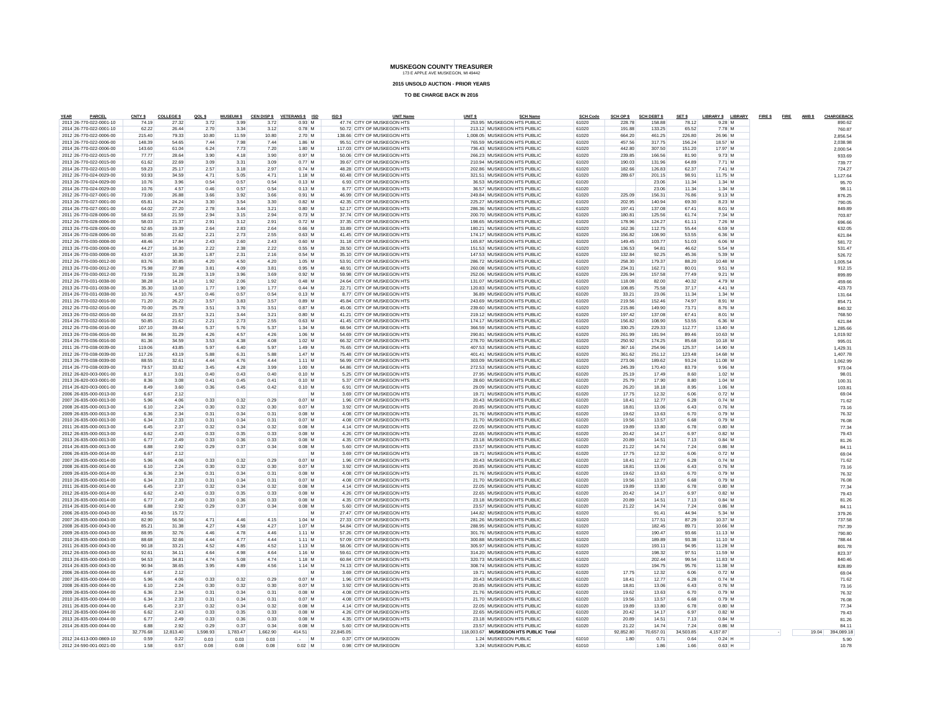**2015 UNSOLD AUCTION - PRIOR YEARS**

| PARCEL<br><b>YEAR</b>                              | CNTY \$        | <b>COLLEGE \$</b> | QOLS         | <b>MUSEUM \$</b> | <b>CEN DISP \$</b> | VETERANS \$ ISD      | ISD \$<br><b>UNIT Name</b>                               | UNIT <sub>S</sub> | <b>SCH Name</b>                                          | <b>SCH Code</b> | SCH OP \$        | <b>SCH DEBT \$</b> | SET \$         | LIBRARY \$ LIBRARY | FIRE \$FIRE | AMB \$ | CHARGEBACK         |
|----------------------------------------------------|----------------|-------------------|--------------|------------------|--------------------|----------------------|----------------------------------------------------------|-------------------|----------------------------------------------------------|-----------------|------------------|--------------------|----------------|--------------------|-------------|--------|--------------------|
| 2013 26-770-022-0001-10<br>2014 26-770-022-0001-10 | 74.19<br>62.22 | 27.32<br>26.44    | 3.72<br>2.70 | 3.99<br>3.34     | 3.72<br>3.12       | 0.93 M<br>$0.78$ M   | 47.74 CITY OF MUSKEGON HTS<br>50.72 CITY OF MUSKEGON HTS |                   | 253.95 MUSKEGON HTS PUBLIC<br>213.12 MUSKEGON HTS PUBLIC | 61020<br>61020  | 228.78<br>191.88 | 158.88<br>133.25   | 78.12<br>65.52 | 9.28 M<br>7.78 M   |             |        | 890.62             |
| 2012 26-770-022-0006-00                            | 215.40         | 79.33             | 10.80        | 11.59            | 10.80              | 2.70 M               | 138.66 CITY OF MUSKEGON HTS                              |                   | 1.008.05 MUSKEGON HTS PUBLIC                             | 61020           | 664.20           | 461.25             | 226.80         | 26.96 M            |             |        | 760.87<br>2,856.54 |
| 2013 26-770-022-0006-00                            | 148.39         | 54.65             | 7.44         | 7.98             | 7.44               | 1.86 M               | 95.51 CITY OF MUSKEGON HTS                               |                   | 765.59 MUSKEGON HTS PUBLIC                               | 61020           | 457.56           | 317.75             | 156.24         | 18.57 M            |             |        | 2,038.98           |
| 2014 26-770-022-0006-00                            | 143.60         | 61.04             | 6.24         | 7.73             | 7.20               | 1.80 M               | 117.03 CITY OF MUSKEGON HTS                              |                   | 736.43 MUSKEGON HTS PUBLIC                               | 61020           | 442.80           | 307.50             | 151.20         | 17.97 M            |             |        | 2,000.54           |
| 2012 26-770-022-0015-00                            | 77.77          | 28.64             | 3.90         | 4.18             | 3.90               | 0.97 M               | 50.06 CITY OF MUSKEGON HTS                               |                   | 266.23 MUSKEGON HTS PUBLIC                               | 61020           | 239.85           | 166.56             | 81.90          | 9.73 M             |             |        | 933.69             |
| 2013 26-770-022-0015-00                            | 61.62          | 22.69             | 3.09         | 3.31             | 3.09               | 0.77 M               | 39.67 CITY OF MUSKEGON HTS                               |                   | 210.94 MUSKEGON HTS PUBLIC                               | 61020           | 190.03           | 131.96             | 64.89          | 7.71 M             |             |        | 739.77             |
| 2014 26-770-022-0015-00                            | 59.23          | 25.17             | 2.57         | 3.18             | 2.97               | 0.74 M               | 48.28 CITY OF MUSKEGON HTS                               |                   | 202 86 MUSKEGON HTS PUBLIC                               | 61020           | 182.66           | 126.83             | 62.37          | 7.41 M             |             |        | 724.27             |
| 2012 26-770-024-0029-00                            | 93.93          | 34.59             | 4.71         | 5.05             | 4.71               | $1.18$ M             | 60.48 CITY OF MUSKEGON HTS                               |                   | 321.51 MUSKEGON HTS PUBLIC                               | 61020           | 289.67           | 201.15             | 98.91          | 11.75 M            |             |        | 1.127.64           |
| 2013 26-770-024-0029-00                            | 10.76          | 3.96              | 0.54         | 0.57             | 0.54               | $0.13$ M             | 6.93 CITY OF MUSKEGON HTS                                |                   | 36.53 MUSKEGON HTS PUBLIC                                | 61020           |                  | 23.06              | 11.34          | $1.34$ M           |             |        | 95.70              |
| 2014 26-770-024-0029-00                            | 10.76          | 4.57              | 0.46         | 0.57             | 0.54               | $0.13$ M             | 8.77 CITY OF MUSKEGON HTS                                |                   | 36.57 MUSKEGON HTS PUBLIC                                | 61020           |                  | 23.06              | 11.34          | 1.34M              |             |        | 98.11              |
| 2012 26-770-027-0001-00                            | 73.00          | 26.88             | 3.66         | 3.92             | 3.66               | $0.91$ M             | 46.99 CITY OF MUSKEGON HTS                               |                   | 249.84 MUSKEGON HTS PUBLIC                               | 61020           | 225.09           | 156.31             | 76.86          | 9.13 M             |             |        | 876.25             |
| 2013 26-770-027-0001-00                            | 65.81          | 24.24             | 3.30         | 3.54             | 3.30               | $0.82$ M             | 42.35 CITY OF MUSKEGON HTS                               |                   | 225.27 MUSKEGON HTS PUBLIC                               | 61020           | 202.95           | 140.94             | 69.30          | 8.23 M             |             |        | 790.05             |
| 2014 26-770-027-0001-00                            | 64.02          | 27.20             | 2.78         | 3.44             | 3.21               | $0.80$ M             | 52.17 CITY OF MUSKEGON HTS                               |                   | 286.36 MUSKEGON HTS PUBLIC                               | 61020           | 197.41           | 137.08             | 67.41          | 8.01 M             |             |        | 849.89             |
| 2011 26-770-028-0006-00                            | 58.63          | 21.59             | 2.94         | 3.15             | 2.94               | $0.73$ M             | 37.74 CITY OF MUSKEGON HTS                               |                   | 200.70 MUSKEGON HTS PUBLIC                               | 61020           | 180.81           | 125.56             | 61.74          | 7.34 M             |             |        | 703.87             |
| 2012 26-770-028-0006-00                            | 58.03          | 21.37             | 2.91         | 3.12             | 2.91               | $0.72$ M             | 37.35 CITY OF MUSKEGON HTS                               |                   | 198.65 MUSKEGON HTS PUBLIC                               | 61020           | 178.96           | 124.27             | 61.11          | 7.26 M             |             |        | 696.66             |
| 2013 26-770-028-0006-00                            | 52.65          | 19.39             | 2.64         | 2.83             | 2.64               | $0.66$ M             | 33.89 CITY OF MUSKEGON HTS                               |                   | 180.21 MUSKEGON HTS PUBLIC                               | 61020           | 162.36           | 112.75             | 55.44          | 6.59 M             |             |        | 632.05             |
| 2014 26-770-028-0006-00                            | 50.85          | 21.62             | 2.21         | 2.73             | 2.55               | $0.63$ M             | 41.45 CITY OF MUSKEGON HTS                               |                   | 174.17 MUSKEGON HTS PUBLIC                               | 61020           | 156.82           | 108.90             | 53.55          | 6.36 M             |             |        | 621.84             |
| 2012 26-770-030-0008-00                            | 48.46          | 17.84             | 2.43         | 2.60             | 2.43               | $0.60$ M             | 31.18 CITY OF MUSKEGON HTS                               |                   | 165.87 MUSKEGON HTS PUBLIC                               | 61020           | 149.45           | 103.77             | 51.03          | 6.06 M             |             |        | 581.72             |
| 2013 26-770-030-0008-00                            | 44.27          | 16.30             | 2.22         | 2.38             | 2.22               | $0.55$ M             | 28.50 CITY OF MUSKEGON HTS                               |                   | 151.53 MUSKEGON HTS PUBLIC                               | 61020           | 136.53           | 94.81              | 46.62          | 5.54 M             |             |        | 531.47             |
| 2014 26-770-030-0008-00                            | 43.07          | 18.30             | 1.87         | 2.31             | 2.16               | $0.54$ M             | 35.10 CITY OF MUSKEGON HTS                               |                   | 147.53 MUSKEGON HTS PUBLIC                               | 61020           | 132.84           | 92.25              | 45.36          | 5.39 M             |             |        | 526.72             |
| 2012 26-770-030-0012-00                            | 83.76          | 30.85             | 4.20         | 4.50             | 4.20               | $1.05$ M             | 53.91 CITY OF MUSKEGON HTS                               |                   | 286 72 MUSKEGON HTS PUBLIC                               | 61020           | 258.30           | 179.37             | 88.20          | 10.48 M            |             |        | 1.005.54           |
| 2013 26-770-030-0012-00                            | 75.98          | 27.98             | 3.81         | 4.09             | 3.81               | 0.95 M               | 48.91 CITY OF MUSKEGON HTS                               |                   | 260.08 MUSKEGON HTS PUBLIC                               | 61020           | 234.31           | 162.71             | 80.01          | 9.51 M             |             |        | 912.15             |
| 2014 26-770-030-0012-00                            | 73.59          | 31.28             | 3.19         | 3.96             | 3.69               | $0.92$ M             | 59.98 CITY OF MUSKEGON HTS                               |                   | 252.06 MUSKEGON HTS PUBLIC                               | 61020           | 226.94           | 157.58             | 77.49          | $9.21$ M           |             |        | 899.89             |
| 2012 26-770-031-0038-00                            | 38.28          | 14.10             | 1.92         | 2.06             | 1.92               | 0.48 M               | 24.64 CITY OF MUSKEGON HTS                               |                   | 131.07 MUSKEGON HTS PUBLIC                               | 61020           | 118.08           | 82.00              | 40.32          | 4.79 M             |             |        | 459.66             |
| 2013 26-770-031-0038-00                            | 35.30          | 13.00             | 1.77         | 1.90             | 1.77               | $0.44$ M             | 22.71 CITY OF MUSKEGON HTS                               |                   | 120.83 MUSKEGON HTS PUBLIC                               | 61020           | 108.85           | 75.58              | 37.17          | 4.41 M             |             |        | 423.73             |
| 2014 26-770-031-0038-00                            | 10.76          | 4.57              | 0.46         | 0.57             | 0.54               | $0.13$ M             | 8.77 CITY OF MUSKEGON HTS                                |                   | 36.89 MUSKEGON HTS PUBLIC                                | 61020           | 33.21            | 23.06              | 11.34          | 1.34 M             |             |        | 131.64             |
| 2011 26-770-032-0016-00                            | 71.20          | 26.22             | 3.57         | 3.83             | 3.57               | $0.89$ M             | 45.84 CITY OF MUSKEGON HTS                               |                   | 243.69 MUSKEGON HTS PUBLIC                               | 61020           | 219.56           | 152.46             | 74.97          | 8.91 M             |             |        | 854.71             |
| 2012 26-770-032-0016-00<br>2013 26-770-032-0016-00 | 70.00<br>64.02 | 25.78<br>23.57    | 3.51<br>3.21 | 3.76<br>3.44     | 3.51<br>3.21       | $0.87$ M<br>$0.80$ M | 45.06 CITY OF MUSKEGON HTS<br>41.21 CITY OF MUSKEGON HTS |                   | 239.60 MUSKEGON HTS PUBLIC<br>219.12 MUSKEGON HTS PUBLIC | 61020<br>61020  | 215.86<br>197.42 | 149.90<br>137.08   | 73.71<br>67.41 | 8.76 M<br>8.01 M   |             |        | 840.32             |
| 2014 26-770-032-0016-00                            | 50.85          | 21.62             | 2.21         | 2.73             | 2.55               | $0.63$ M             | 41.45 CITY OF MUSKEGON HTS                               |                   | 174.17 MUSKEGON HTS PUBLIC                               | 61020           | 156.82           | 108.90             | 53.55          | 6.36 M             |             |        | 768.50<br>621.84   |
| 2012 26-770-036-0016-00                            | 107.10         | 39.44             | 5.37         | 5.76             | 5.37               | 1.34 M               | 68.94 CITY OF MUSKEGON HTS                               |                   | 366.59 MUSKEGON HTS PUBLIC                               | 61020           | 330.25           | 229.33             | 11277          | 13.40 M            |             |        | 1.285.66           |
| 2013 26-770-036-0016-00                            | 84.96          | 31.29             | 4.26         | 4.57             | 4.26               | 1.06 M               | 54.69 CITY OF MUSKEGON HTS                               |                   | 290.81 MUSKEGON HTS PUBLIC                               | 61020           | 261.99           | 181.94             | 89.46          | 10.63 M            |             |        | 1.019.92           |
| 2014 26-770-036-0016-00                            | 81.36          | 34.59             | 3.53         | 4.38             | 4.08               | $1.02$ M             | 66.32 CITY OF MUSKEGON HTS                               |                   | 278.70 MUSKEGON HTS PUBLIC                               | 61020           | 250.92           | 174.25             | 85.68          | $10.18$ M          |             |        | 995.01             |
| 2011 26-770-038-0039-00                            | 119.06         | 43.85             | 5.97         | 6.40             | 5.97               | 1.49 M               | 76 65 CITY OF MUSKEGON HTS                               |                   | 407.53 MUSKEGON HTS PUBLIC                               | 61020           | 367.16           | 254.96             | 125.37         | 14.90 M            |             |        | 1,429.31           |
| 2012 26-770-038-0039-00                            | 117.26         | 43.19             | 5.88         | 6.31             | 5.88               | 1.47 M               | 75.48 CITY OF MUSKEGON HTS                               |                   | 401.41 MUSKEGON HTS PUBLIC                               | 61020           | 361.62           | 251.12             | 123.48         | 14.68 M            |             |        | 1407.78            |
| 2013 26-770-038-0039-00                            | 88.55          | 32.61             | 4.44         | 4.76             | 4.44               | $1.11$ M             | 56.99 CITY OF MUSKEGON HTS                               |                   | 303.09 MUSKEGON HTS PUBLIC                               | 61020           | 273.06           | 189.62             | 93.24          | 11.08 M            |             |        | 1,062.99           |
| 2014 26-770-038-0039-00                            | 79.57          | 33.82             | 3.45         | 4.28             | 3.99               | 1.00 M               | 64.86 CITY OF MUSKEGON HTS                               |                   | 272.53 MUSKEGON HTS PUBLIC                               | 61020           | 245.39           | 170.40             | 83.79          | 9.96 M             |             |        | 973.04             |
| 2012 26-820-003-0001-00                            | 8.17           | 3.01              | 0.40         | 0.43             | 0.40               | $0.10$ M             | 5.25 CITY OF MUSKEGON HTS                                |                   | 27.95 MUSKEGON HTS PUBLIC                                | 61020           | 25.19            | 17.49              | 8.60           | $1.02$ M           |             |        | 98.01              |
| 2013 26-820-003-0001-00                            | 8.36           | 3.08              | 0.41         | 0.45             | 0.41               | $0.10$ M             | 5.37 CITY OF MUSKEGON HTS                                |                   | 28.60 MUSKEGON HTS PUBLIC                                | 61020           | 25.79            | 17.90              | 8.80           | $1.04$ M           |             |        | 100.31             |
| 2014 26-820-003-0001-00                            | 8.49           | 3.60              | 0.36         | 0.45             | 0.42               | $0.10$ M             | 6.91 CITY OF MUSKEGON HTS                                |                   | 29.09 MUSKEGON HTS PUBLIC                                | 61020           | 26.20            | 18.18              | 8.95           | 1.06 M             |             |        | 103.81             |
| 2006 26-835-000-0013-00                            | 6.67           | 2.12              |              |                  |                    | M                    | 3.69 CITY OF MUSKEGON HTS                                |                   | 19.71 MUSKEGON HTS PUBLIC                                | 61020           | 17.75            | 12.32              | 6.06           | 0.72 M             |             |        | 69.04              |
| 2007 26-835-000-0013-00                            | 5.96           | 4.06              | 0.33         | 0.32             | 0.29               | $0.07$ M             | 1.96 CITY OF MUSKEGON HTS                                |                   | 20.43 MUSKEGON HTS PUBLIC                                | 61020           | 18.41            | 12.77              | 6.28           | $0.74$ M           |             |        | 71.62              |
| 2008 26-835-000-0013-00                            | 6.10           | 2.24              | 0.30         | 0.32             | 0.30               | $0.07$ M             | 3.92 CITY OF MUSKEGON HTS                                |                   | 20.85 MUSKEGON HTS PUBLIC                                | 61020           | 18.81            | 13.06              | 6.43           | $0.76$ M           |             |        | 73.16              |
| 2009 26-835-000-0013-00                            | 6.36           | 2.34              | 0.31         | 0.34             | 0.31               | $0.08$ M             | 4.08 CITY OF MUSKEGON HTS                                |                   | 21.76 MUSKEGON HTS PUBLIC                                | 61020           | 19.62            | 13.63              | 6.70           | $0.79$ M           |             |        | 76.32              |
| 2010 26-835-000-0013-00                            | 6.34           | 2.33              | 0.31         | 0.34             | 0.31               | $0.07$ M             | 4.08 CITY OF MUSKEGON HTS                                |                   | 21.70 MUSKEGON HTS PUBLIC                                | 61020           | 19.56            | 13.57              | 6.68           | 0.79 M             |             |        | 76.08              |
| 2011 26-835-000-0013-00                            | 6.45           | 2.37              | 0.32         | 0.34             | 0.32               | $0.08$ M             | 4.14 CITY OF MUSKEGON HTS                                |                   | 22.05 MUSKEGON HTS PUBLIC                                | 61020           | 19.89            | 13.80              | 6.78           | $0.80$ M           |             |        | 77.34              |
| 2012 26-835-000-0013-00                            | 6.62           | 2.43              | 0.33         | 0.35             | 0.33               | $0.08$ M             | 4.26 CITY OF MUSKEGON HTS                                |                   | 22.65 MUSKEGON HTS PUBLIC                                | 61020           | 20.42            | 14.17              | 6.97           | $0.82$ M           |             |        | 79.43              |
| 2013 26-835-000-0013-00                            | 6.77           | 2.49              | 0.33         | 0.36             | 0.33               | 0.08 M               | 4.35 CITY OF MUSKEGON HTS                                |                   | 23.18 MUSKEGON HTS PUBLIC                                | 61020           | 20.89            | 14.51              | 7.13           | 0.84 M             |             |        | 81.26              |
| 2014 26-835-000-0013-00                            | 6.88           | 2.92              | 0.29         | 0.37             | 0.34               | $0.08$ M             | 5.60 CITY OF MUSKEGON HTS                                |                   | 23.57 MUSKEGON HTS PUBLIC                                | 61020           | 21.22            | 14.74              | 7.24           | 0.86 M             |             |        | 84.11              |
| 2006 26-835-000-0014-00                            | 6.67           | 2.12              |              |                  |                    | M                    | 3.69 CITY OF MUSKEGON HTS                                |                   | 19.71 MUSKEGON HTS PUBLIC                                | 61020           | 17.75            | 12.32              | 6.06           | 0.72M              |             |        | 69.04              |
| 2007 26-835-000-0014-00                            | 5.96           | 4.06              | 0.33         | 0.32             | 0.29               | $0.07$ M             | 1.96 CITY OF MUSKEGON HTS                                |                   | 20.43 MUSKEGON HTS PUBLIC                                | 61020           | 18.41            | 12.77              | 6.28           | 0.74 M             |             |        | 71.62              |
| 2008 26-835-000-0014-00                            | 6.10           | 2.24              | 0.30         | 0.32             | 0.30               | $0.07$ M             | 3.92 CITY OF MUSKEGON HTS                                |                   | 20.85 MUSKEGON HTS PUBLIC                                | 61020           | 18.81            | 13.06              | 6.43           | 0.76 M             |             |        | 73.16              |
| 2009 26-835-000-0014-00                            | 6.36           | 2.34              | 0.31         | 0.34             | 0.31               | $0.08$ M             | 4.08 CITY OF MUSKEGON HTS                                |                   | 21.76 MUSKEGON HTS PUBLIC                                | 61020           | 19.62            | 13.63              | 6.70           | $0.79$ M           |             |        | 76.32              |
| 2010 26-835-000-0014-00                            | 6.34           | 2.33              | 0.31         | 0.34             | 0.31               | $0.07$ M             | 4.08 CITY OF MUSKEGON HTS                                |                   | 21.70 MUSKEGON HTS PUBLIC                                | 61020           | 19.56            | 13.57              | 6.68           | $0.79$ M           |             |        | 76.08              |
| 2011 26-835-000-0014-00                            | 6.45           | 2.37              | 0.32         | 0.34             | 0.32               | $0.08$ M             | 4.14 CITY OF MUSKEGON HTS                                |                   | 22.05 MUSKEGON HTS PUBLIC                                | 61020           | 19.89            | 13.80              | 6.78           | 0.80 M             |             |        | 77.34              |
| 2012 26-835-000-0014-00                            | 6.62           | 2.43              | 0.33         | 0.35             | 0.33               | $0.08$ M             | 4.26 CITY OF MUSKEGON HTS                                |                   | 22.65 MUSKEGON HTS PUBLIC                                | 61020           | 20.42            | 14.17              | 6.97           | 0.82N              |             |        | 79.43              |
| 2013 26-835-000-0014-00                            | 6.77           | 2.49              | 0.33         | 0.36             | 0.33               | $0.08$ M             | 4.35 CITY OF MUSKEGON HTS                                |                   | 23.18 MUSKEGON HTS PUBLIC                                | 61020           | 20.89            | 14.51              | 7.13           | $0.84$ M           |             |        | 81.26              |
| 2014 26-835-000-0014-00                            | 6.88           | 2.92              | 0.29         | 0.37             | 0.34               | $0.08$ M             | 5.60 CITY OF MUSKEGON HTS                                |                   | 23.57 MUSKEGON HTS PUBLIC                                | 61020           | 21.22            | 14.74              | 7.24           | 0.86 M             |             |        | 84.11              |
| 2006 26-835-000-0043-00                            | 49.56          | 15.72             |              |                  |                    |                      | 27.47 CITY OF MUSKEGON HTS                               |                   | 144.82 MUSKEGON HTS PUBLIC                               | 61020           |                  | 91.41              | 44.94          | 5.34 M             |             |        | 379.26             |
| 2007 26-835-000-0043-00                            | 82.90          | 56.56             | 4.71         | 4.46             | 4.15               | $1.04$ M             | 27.33 CITY OF MUSKEGON HTS                               |                   | 281.26 MUSKEGON HTS PUBLIC                               | 61020           |                  | 177.51             | 87.29          | 10.37 M            |             |        | 737.58             |
| 2008 26-835-000-0043-00                            | 85.21          | 31.38             | 4.27         | 4.58             | 4.27               | 1.07 M               | 54.84 CITY OF MUSKEGON HTS                               |                   | 288.95 MUSKEGON HTS PUBLIC                               | 61020           |                  | 182.45             | 89.71          | 10.66 M            |             |        | 757.39             |
| 2009 26-835-000-0043-00                            | 88.95          | 32.76             | 4.46         | 4.78             | 4.46               | $1.11$ M             | 57.26 CITY OF MUSKEGON HTS                               |                   | 301.76 MUSKEGON HTS PUBLIC                               | 61020           |                  | 190.47             | 93.66          | 11.13 M            |             |        | 790.80             |
| 2010 26-835-000-0043-00                            | 88.68          | 32.66             | 4.44         | 4.77             | 4.44               | $1.11$ M             | 57.09 CITY OF MUSKEGON HTS                               |                   | 300.88 MUSKEGON HTS PUBLIC                               | 61020           |                  | 189.89             | 93.38          | 11.10 M            |             |        | 788.44             |
| 2011 26-835-000-0043-00                            | 90.18          | 33.21             | 4.52         | 4.85             | 4.52               | $1.13$ M             | 58.06 CITY OF MUSKEGON HTS                               |                   | 305.97 MUSKEGON HTS PUBLIC                               | 61020           |                  | 193.11             | 94.95          | 11.28 M            |             |        | 801.78             |
| 2012 26-835-000-0043-00                            | 92.61          | 34.11             | 4.64         | 4.98             | 4.64               | 1.16 M               | 59.61 CITY OF MUSKEGON HTS                               |                   | 314.20 MUSKEGON HTS PUBLIC                               | 61020           |                  | 198.32             | 97.51          | 11.59 M            |             |        | 823.37             |
| 2013 26-835-000-0043-00<br>2014 26-835-000-0043-00 | 94.53<br>90.94 | 34.81<br>38.65    | 4.74         | 5.08<br>4.89     | 4.74<br>4.56       | 1.18 M<br>$1.14$ M   | 60.84 CITY OF MUSKEGON HTS<br>74.13 CITY OF MUSKEGON HTS |                   | 320.73 MUSKEGON HTS PUBLIC<br>308.74 MUSKEGON HTS PUBLIC | 61020<br>61020  |                  | 202.44<br>194.75   | 99.54<br>95.76 | 11.83 M<br>11.38 M |             |        | 840.46             |
|                                                    | 6.67           | 2.12              | 3.95         |                  |                    | M                    | 3.69 CITY OF MUSKEGON HTS                                |                   | 19.71 MUSKEGON HTS PUBLIC                                | 61020           | 17.75            |                    |                | 0.72M              |             |        | 828.89             |
| 2006 26-835-000-0044-00<br>2007 26-835-000-0044-00 | 5.96           | 4.06              | 0.33         | 0.32             | 0.29               | $0.07$ M             | 1.96 CITY OF MUSKEGON HTS                                |                   | 20.43 MUSKEGON HTS PUBLIC                                | 61020           | 18.41            | 12.32<br>12.77     | 6.06<br>6.28   | 0.74 M             |             |        | 69.04              |
| 2008 26-835-000-0044-00                            | 6.10           | 2.24              | 0.30         | 0.32             | 0.30               | $0.07$ M             | 3.92 CITY OF MUSKEGON HTS                                |                   | 20.85 MUSKEGON HTS PUBLIC                                | 61020           | 18.81            | 13.06              | 6.43           | $0.76$ M           |             |        | 71.62              |
| 2009 26-835-000-0044-00                            | 6.36           | 2.34              | 0.31         | 0.34             | 0.31               | $0.08$ M             | 4.08 CITY OF MUSKEGON HTS                                |                   | 21.76 MUSKEGON HTS PUBLIC                                | 61020           | 19.62            | 13.63              | 6.70           | $0.79$ M           |             |        | 73.16<br>76.32     |
| 2010 26-835-000-0044-00                            | 6.34           | 2.33              | 0.31         | 0.34             | 0.31               | 0.07M                | 4.08 CITY OF MUSKEGON HTS                                |                   | 21.70 MUSKEGON HTS PUBLIC                                | 61020           | 19.56            | 13.57              | 6.68           | 0.79 M             |             |        | 76.08              |
| 2011 26-835-000-0044-00                            | 6.45           | 2.37              | 0.32         | 0.34             | 0.32               | $0.08$ M             | 4.14 CITY OF MUSKEGON HTS                                |                   | 22.05 MUSKEGON HTS PUBLIC                                | 61020           | 19.89            | 13.80              | 6.78           | $0.80$ M           |             |        | 77.34              |
| 2012 26-835-000-0044-00                            | 6.62           | 2.43              | 0.33         | 0.35             | 0.33               | $0.08$ M             | 4.26 CITY OF MUSKEGON HTS                                |                   | 22.65 MUSKEGON HTS PUBLIC                                | 61020           | 20.42            | 14.17              | 6.97           | $0.82$ M           |             |        | 79.43              |
| 2013 26-835-000-0044-00                            | 6.77           | 2.49              | 0.33         | 0.36             | 0.33               | $0.08$ M             | 4.35 CITY OF MUSKEGON HTS                                |                   | 23.18 MUSKEGON HTS PUBLIC                                | 61020           | 20.89            | 14.51              | 7.13           | $0.84$ M           |             |        | 81.26              |
| 2014 26-835-000-0044-00                            | 6.88           | 2.92              | 0.29         | 0.37             | 0.34               | $0.08$ M             | 5.60 CITY OF MUSKEGON HTS                                |                   | 23.57 MUSKEGON HTS PUBLIC                                | 61020           | 21.22            | 14.74              | 7.24           | $0.86$ M           |             |        | 84.11              |
|                                                    | 32.776.68      | 12.813.40         | 1.598.93     | 1.783.47         | 1.662.90           | 414.51               | 22.845.05                                                |                   | 118.003.67 MUSKEGON HTS PUBLIC Total                     |                 | 92.852.80        | 70.657.01          | 34.503.85      | 4.157.87           |             |        | 19.04 394.089.18   |
| 2012 24-613-000-0869-10                            | 0.59           | 0.22              | 0.03         | 0.03             | 0.03               | $\sim$ M             | 0.37 CITY OF MUSKEGON                                    |                   | 1.24 MUSKEGON PUBLIC                                     | 61010           | 1.80             | 0.71               | 0.64           | 0.24 H             |             |        | 5.90               |
| 2012 24-590-001-0021-00                            | 1.58           | 0.57              | 0.08         | 0.08             | 0.08               | $0.02$ M             | 0.98 CITY OF MUSKEGON                                    |                   | 3.24 MUSKEGON PUBLIC                                     | 61010           |                  | 1.86               | 1.66           | $0.63$ H           |             |        | 10.78              |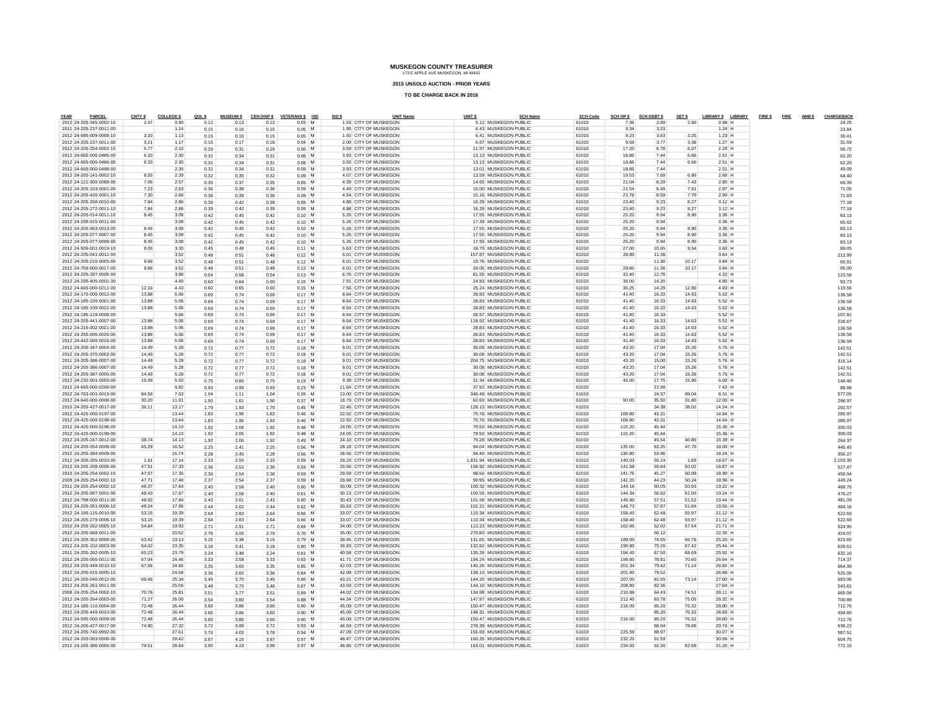**2015 UNSOLD AUCTION - PRIOR YEARS**

| YEAR<br>PARCEL                                     | CNTY \$        | <b>COLLEGE \$</b> | QOLS         | <b>MUSEUM \$</b> |              | CEN DISP \$ VETERANS \$ ISD | ISD \$ | <b>UNIT Name</b>                                 | UNIT <sub>S</sub> |                                                  | <b>SCH Name</b> | <b>SCH Code</b> | SCH OP \$        | <b>SCH DEBT \$</b> | SET \$         | LIBRARY \$ LIBRARY   | FIRE \$FIRE AMBS | CHARGEBACK       |
|----------------------------------------------------|----------------|-------------------|--------------|------------------|--------------|-----------------------------|--------|--------------------------------------------------|-------------------|--------------------------------------------------|-----------------|-----------------|------------------|--------------------|----------------|----------------------|------------------|------------------|
| 2012 24-205-345-0002-10<br>2011 24-205-237-0011-00 | 2.47           | 0.90<br>1.14      | 0.12         | 0.13             | 0.12         | $0.03$ M                    |        | 1.53 CITY OF MUSKEGON<br>1.95 CITY OF MUSKEGON   |                   | 5.12 MUSKEGON PUBLIC<br>6.43 MUSKEGON PUBLIC     |                 | 61010<br>61010  | 7.36<br>9.34     | 2.89<br>3.23       | 2.60           | $0.98$ H<br>$1.24$ H |                  | 24.25            |
| 2012 24-685-009-0008-10                            | 3.10           | 1.13              | 0.15<br>0.15 | 0.16<br>0.16     | 0.15<br>0.15 | $0.05$ M<br>$0.05$ M        |        | 1.92 CITY OF MUSKEGON                            |                   | 6.41 MUSKEGON PUBLIC                             |                 | 61010           | 9.23             | 3.63               | 3.25           | $1.23$ H             |                  | 23.84<br>30.41   |
| 2012 24-205-237-0011-00                            | 3.21           | 1.17              | 0.16         | 0.17             | 0.16         | 0.04 M                      |        | 2.00 CITY OF MUSKEGON                            |                   | 6.67 MUSKEGON PUBLIC                             |                 | 61010           | 9.59             | 3.77               | 3.38           | $1.27$ H             |                  | 31.59            |
| 2012 24-205-254-0002-10                            | 5.77           | 2.10              | 0.29         | 0.31             | 0.29         | $0.06$ M                    |        | 3.59 CITY OF MUSKEGON                            |                   | 11.97 MUSKEGON PUBLIC                            |                 | 61010           | 17.20            | 6.78               | 6.07           | 2.29 H               |                  | 56.72            |
| 2012 24-665-000-0485-00                            | 6.33           | 2.30              | 0.31         | 0.34             | 0.31         | $0.08$ M                    |        | 3.93 CITY OF MUSKEGON                            |                   | 13.13 MUSKEGON PUBLIC                            |                 | 61010           | 18.86            | 7.44               | 6.66           | $2.51$ H             |                  | 62.20            |
| 2012 24-665-000-0486-00                            | 6.33           | 2.30              | 0.31         | 0.34             | 0.31         | $0.08$ M                    |        | 3.93 CITY OF MUSKEGON                            |                   | 13.13 MUSKEGON PUBLIC                            |                 | 61010           | 18.86            | 7.44               | 6.66           | 2.51 H               |                  | 62.20            |
| 2012 24-665-000-0488-00                            |                | 2.30              | 0.31         | 0.34             | 0.31         | $0.08$ M                    |        | 3.93 CITY OF MUSKEGON                            |                   | 13.01 MUSKEGON PUBLIC                            |                 | 61010           | 18.86            | 7.44               |                | $2.51$ H             |                  | 49.09            |
| 2012 24-205-141-0002-10                            | 6.55           | 2.39              | 0.32         | 0.35             | 0.32         | $0.09$ M                    |        | 4.07 CITY OF MUSKEGON                            |                   | 13.59 MUSKEGON PUBLIC                            |                 | 61010           | 19.53            | 7.69               | 6.90           | $2.60$ H             |                  | 64.40            |
| 2012 24-121-300-0088-00                            | 7.06           | 2.57              | 0.35         | 0.37             | 0.35         | $0.09$ M                    |        | 4.39 CITY OF MUSKEGON                            |                   | 14.65 MUSKEGON PUBLIC                            |                 | 61010           | 21.04            | 8.29               | 7.43           | 2.80 H               |                  | 69.39            |
| 2012 24-205-153-0001-00                            | 7.23           | 2.63              | 0.36         | 0.38             | 0.36         | $0.09$ M                    |        | 4 49 CITY OF MUSKEGON                            |                   | 15.00 MUSKEGON PUBLIC                            |                 | 61010           | 21.54            | 8.49               | 7.61           | 2.87 H               |                  | 71.05            |
| 2012 24-205-426-0001-10                            | 7.30           | 2.66              | 0.36         | 0.39             | 0.36         | $0.09$ M                    |        | 4.54 CITY OF MUSKEGON                            |                   | 15.16 MUSKEGON PUBLIC                            |                 | 61010           | 21.78            | 8.59               | 7.70           | 2.90 H               |                  | 71.83            |
| 2012 24-205-268-0010-00                            | 7.84           | 2.86              | 0.39         | 0.42             | 0.39         | $0.09$ M                    |        | 4.88 CITY OF MUSKEGON                            |                   | 16.29 MUSKEGON PUBLIC                            |                 | 61010           | 23.40            | 9.23               | 8.27           | $3.12$ H             |                  | 77.18            |
| 2012 24-205-272-0011-10                            | 7.84           | 2.86              | 0.39         | 0.42             | 0.39         | $0.09$ M                    |        | 4 88 CITY OF MUSKEGON                            |                   | 16.29 MUSKEGON PUBLIC                            |                 | 61010           | 23.40            | 9.23               | 8.27           | $3.12$ H             |                  | 77.18            |
| 2012 24-205-014-0011-10                            | 8.45           | 3.08              | 0.42         | 0.45             | 0.42         | $0.10$ M                    |        | 5.26 CITY OF MUSKEGON                            |                   | 17.55 MUSKEGON PUBLIC                            |                 | 61010           | 25.20            | 9.94               | 8.90           | 3.36 H               |                  | 83.13            |
| 2012 24-205-015-0011-00                            |                | 3.08              | 0.42         | 0.45             | 0.42         | $0.10$ M                    |        | 5.26 CITY OF MUSKEGON                            |                   | 17.39 MUSKEGON PUBLIC                            |                 | 61010           | 25.20            | 9.94               |                | 3.36 H               |                  | 65.62            |
| 2012 24-205-063-0013-00                            | 8.45           | 3.08              | 0.42         | 0.45             | 0.42         | $0.10$ M                    |        | 5.26 CITY OF MUSKEGON                            |                   | 17.55 MUSKEGON PUBLIC                            |                 | 61010           | 25.20            | 9.94               | 8.90           | 3.36 H               |                  | 83.13            |
| 2012 24-205-077-0007-00                            | 8.45           | 3.08              | 0.42         | 0.45             | 0.42         | $0.10$ M                    |        | 5.26 CITY OF MUSKEGON                            |                   | 17.55 MUSKEGON PUBLIC                            |                 | 61010           | 25.20            | 9.94               | 8.90           | $3.36$ H             |                  | 83.13            |
| 2012 24-205-077-0008-00                            | 8.45           | 3.08              | 0.42         | 0.45             | 0.42         | $0.10$ M                    |        | 5.26 CITY OF MUSKEGON                            |                   | 17.55 MUSKEGON PUBLIC                            |                 | 61010           | 25.20            | 9.94               | 8.90           | 3.36 H               |                  | 83.13            |
| 2012 24-506-001-0019-10                            | 9.05           | 3.30              | 0.45         | 0.48             | 0.45         | $0.11$ M                    |        | 5.63 CITY OF MUSKEGON                            |                   | 18.79 MUSKEGON PUBLIC                            |                 | 61010           | 27.00            | 10.65              | 9.54           | 3.60 H               |                  | 89.05            |
| 2012 24-205-041-0011-00                            |                | 3.52              | 0.48         | 0.51             | 0.48         | $0.12$ M                    |        | 6.01 CITY OF MUSKEGON                            |                   | 157.87 MUSKEGON PUBLIC                           |                 | 61010           | 28.80            | 11.36              |                | $3.84$ H             |                  | 212.99           |
| 2012 24-205-210-0005-00                            | 9.66           | 3.52              | 0.48         | 0.51             | 0.48         | $0.12$ M                    |        | 6.01 CITY OF MUSKEGON                            |                   | 19.76 MUSKEGON PUBLIC                            |                 | 61010           |                  | 11.36              | 10.17          | 3.84 H               |                  | 65.91            |
| 2012 24-769-000-0017-00                            | 9.66           | 3.52              | 0.48         | 0.51             | 0.48         | $0.12$ M                    |        | 6.01 CITY OF MUSKEGON                            |                   | 20.05 MUSKEGON PUBLIC                            |                 | 61010           | 28.80            | 11.36              | 10.17          | 3.84 H               |                  | 95.00            |
| 2012 24-205-297-0005-00                            |                | 3.96              | 0.54         | 0.58             | 0.54         | $0.13$ M                    |        | 6.76 CITY OF MUSKEGON                            |                   | 61.55 MUSKEGON PUBLIC                            |                 | 61010           | 32.40            | 12.78              |                | 4.32 H               |                  | 123.56           |
| 2012 24-205-405-0001-30                            |                | 4.40              | 0.60         | 0.64             | 0.60         | $0.15$ M                    |        | 7.51 CITY OF MUSKEGON                            |                   | 24.83 MUSKEGON PUBLIC                            |                 | 61010           | 36.00            | 14.20              |                | 4.80 H               |                  | 93.73            |
| 2012 24-665-000-0211-00                            | 12.16          | 4.43              | 0.60         | 0.65             | 0.60         | $0.15$ M                    |        | 7.56 CITY OF MUSKEGON                            |                   | 25.24 MUSKEGON PUBLIC                            |                 | 61010           | 36.25            | 14.29              | 12.80          | 4.83 H               |                  | 119.56           |
| 2012 24-170-000-0012-00                            | 13.88          | 5.06              | 0.69         | 0.74             | 0.69         | 0.17 M                      |        | 8.64 CITY OF MUSKEGON                            |                   | 28.83 MUSKEGON PUBLIC                            |                 | 61010           | 41.40            | 16.33              | 14.63          | 5.52 H               |                  | 136,58           |
| 2012 24-185-100-0001-00                            | 13.88          | 5.06              | 0.69         | 0.74             | 0.69         | $0.17$ M                    |        | 8.64 CITY OF MUSKEGON                            |                   | 28.83 MUSKEGON PUBLIC                            |                 | 61010           | 41.40            | 16.33              | 14.63          | $5.52$ H             |                  | 136,58           |
| 2012 24-185-109-0022-00                            | 13.88          | 5.06              | 0.69         | 0.74             | 0.69         | $0.17$ M                    |        | 8.64 CITY OF MUSKEGON                            |                   | 28.83 MUSKEGON PUBLIC                            |                 | 61010           | 41.40            | 16.33              | 14.63          | 5.52 H               |                  | 136,58           |
| 2012 24-185-119-0008-00                            |                | 5.06              | 0.69         | 0.74             | 0.69         | $0.17$ M                    |        | 8.64 CITY OF MUSKEGON<br>8.64 CITY OF MUSKEGON   |                   | 28.57 MUSKEGON PUBLIC                            |                 | 61010<br>61010  | 41.40            | 16.33              | 14.63          | 5.52 H               |                  | 107.81           |
| 2012 24-205-441-0007-00                            | 13.88          | 5.06              | 0.69         | 0.74             | 0.69         | $0.17$ M                    |        |                                                  |                   | 118.92 MUSKEGON PUBLIC                           |                 |                 | 41.40            | 16.33              |                | $5.52$ H             |                  | 226.67           |
| 2012 24-215-002-0021-00                            | 13.88<br>13.88 | 5.06              | 0.69         | 0.74             | 0.69         | $0.17$ M                    |        | 8.64 CITY OF MUSKEGON<br>8.64 CITY OF MUSKEGON   |                   | 28.83 MUSKEGON PUBLIC<br>28.83 MUSKEGON PUBLIC   |                 | 61010<br>61010  | 41.40<br>41.40   | 16.33              | 14.63<br>14.63 | $5.52$ H<br>5.52 H   |                  | 136.58           |
| 2012 24-255-006-0026-00<br>2012 24-442-000-0016-00 | 13.88          | 5.06<br>5.06      | 0.69<br>0.69 | 0.74<br>0.74     | 0.69<br>0.69 | $0.17$ M<br>$0.17$ M        |        | 8.64 CITY OF MUSKEGON                            |                   | 28.83 MUSKEGON PUBLIC                            |                 | 61010           | 41.40            | 16.33<br>16.33     | 14.63          | 5.52 H               |                  | 136.58<br>136.58 |
| 2012 24-205-347-0004-00                            | 14.49          | 5.28              | 0.72         | 0.77             | 0.72         | $0.18$ M                    |        | 9.01 CITY OF MUSKEGON                            |                   | 30.08 MUSKEGON PUBLIC                            |                 | 61010           | 43.20            | 17.04              | 15.26          | 5.76 H               |                  | 142.51           |
| 2012 24-205-370-0002-00                            | 14.49          | 5.28              | 0.72         | 0.77             | 0.72         | $0.18$ M                    |        | 9.01 CITY OF MUSKEGON                            |                   | 30.08 MUSKEGON PUBLIC                            |                 | 61010           | 43.20            | 17.04              | 15.26          | 5.76 H               |                  | 142.51           |
| 2011 24-205-386-0007-00                            | 14.49          | 5.28              | 0.72         | 0.77             | 0.72         | 0.18 M                      |        | 9.01 CITY OF MUSKEGON                            |                   | 204.75 MUSKEGON PUBLIC                           |                 | 61010           | 43.20            | 15.00              | 15.26          | 5.76 H               |                  | 315.14           |
| 2012 24-205-386-0007-00                            | 14.49          | 5.28              | 0.72         | 0.77             | 0.72         | $0.18$ M                    |        | 9.01 CITY OF MUSKEGON                            |                   | 30.08 MUSKEGON PUBLIC                            |                 | 61010           | 43.20            | 17.04              | 15.26          | 5.76 H               |                  | 142.51           |
| 2012 24-205-387-0005-00                            | 14.49          | 5.28              | 0.72         | 0.77             | 0.72         | $0.18$ M                    |        | 9.01 CITY OF MUSKEGON                            |                   | 30.08 MUSKEGON PUBLIC                            |                 | 61010           | 43.20            | 17.04              | 15.26          | 5.76 H               |                  | $142.5^{\circ}$  |
| 2012 24-232-001-0003-00                            | 15.09          | 5.50              | 0.75         | 0.80             | 0.75         | $0.19$ M                    |        | 9.39 CITY OF MUSKEGON                            |                   | 31.34 MUSKEGON PUBLIC                            |                 | 61010           | 45.00            | 17.75              | 15.90          | 6.00 H               |                  | 148.46           |
| 2012 24-665-000-0269-00                            |                | 6.82              | 0.93         | 0.99             | 0.93         | $0.23$ M                    |        | 11.64 CITY OF MUSKEGON                           |                   | 37.92 MUSKEGON PUBLIC                            |                 | 61010           |                  | 21.99              |                | $7.43$ H             |                  | 88.88            |
| 2012 24-763-001-0019-00                            | 84.56          | 7.63              | 1.04         | 1.11             | 1.04         | $0.26$ M                    |        | 13.00 CITY OF MUSKEGON                           |                   | 346.49 MUSKEGON PUBLIC                           |                 | 61010           |                  | 24.57              | 89.04          | 8.31 H               |                  | 577.05           |
| 2012 24-640-000-0008-00                            | 30.20          | 11.01             | 1.50         | 1.61             | 1.50         | $0.37$ M                    |        | 18.79 CITY OF MUSKEGON                           |                   | 62.69 MUSKEGON PUBLIC                            |                 | 61010           | 90.00            | 35.50              | 31.80          | 12.00 H              |                  | 296.97           |
| 2010 24-205-427-0017-00                            | 36.11          | 13.17             | 1.79         | 1.93             | 1.79         | $0.45$ M                    |        | 22.46 CITY OF MUSKEGON                           |                   | 128.13 MUSKEGON PUBLIC                           |                 | 61010           |                  | 34.38              | 38.02          | 14.34 H              |                  | 292.57           |
| 2012 24-425-000-0197-00                            |                | 13.44             | 1.83         | 1.96             | 1.83         | $0.46$ M                    |        | 22.92 CITY OF MUSKEGON                           |                   | 75.78 MUSKEGON PUBLIC                            |                 | 61010           | 109.80           | 43.31              |                | 14.64 H              |                  | 285.97           |
| 2012 24-425-000-0198-00                            |                | 13.44             | 1.83         | 1.96             | 1.83         | $0.46$ M                    |        | 22.92 CITY OF MUSKEGON                           |                   | 75.78 MUSKEGON PUBLIC                            |                 | 61010           | 109.80           | 43.31              |                | 14.64 H              |                  | 285.97           |
| 2012 24-425-000-0196-00                            |                | 14.10             | 1.92         | 2.06             | 1.92         | $0.48$ M                    |        | 24.05 CITY OF MUSKEGON                           |                   | 79.50 MUSKEGON PUBLIC                            |                 | 61010           | 115.20           | 45.44              |                | 15.36 H              |                  | 300.03           |
| 2012 24-425-000-0199-00                            |                | 14.10             | 1.92         | 2.06             | 1.92         | $0.48$ M                    |        | 24.05 CITY OF MUSKEGON                           |                   | 79.50 MUSKEGON PUBLIC                            |                 | 61010           | 115.20           | 45.44              |                | 15.36 H              |                  | 300.03           |
| 2012 24-205-247-0012-00                            | 38.74          | 14.13             | 1.92         | 2.06             | 1.92         | $0.49$ M                    |        | 24.10 CITY OF MUSKEGON                           |                   | 79.28 MUSKEGON PUBLIC                            |                 | 61010           |                  | 45.54              | 40.80          | 15.39 H              |                  | 264.37           |
| 2012 24-205-054-0008-00                            | 45.29          | 16.52             | 2.25         | 2.41             | 2.25         | $0.56$ M                    |        | 28.18 CITY OF MUSKEGON                           |                   | 94.04 MUSKEGON PUBLIC                            |                 | 61010           | 135.00           | 53.25              | 47.70          | 18.00 H              |                  | 445.45           |
| 2012 24-205-284-0009-00                            |                | 16.74             | 2.28         | 2.45             | 2.28         | $0.56$ M                    |        | 28.56 CITY OF MUSKEGON                           |                   | 94 40 MUSKEGON PUBLIC                            |                 | 61010           | 136.80           | 53.96              |                | 18.24 H              |                  | 356.27           |
| 2012 24-205-255-0010-00                            | 1.61           | 17.14             | 2.33         | 2.50             | 2.33         | $0.59$ M                    |        | 29.23 CITY OF MUSKEGON                           |                   | 1,831.94 MUSKEGON PUBLIC                         |                 | 61010           | 140.03           | 55.24              | 1.69           | 18.67 H              |                  | 2.103.30         |
| 2012 24-205-208-0005-00                            | 47.51          | 17.33             | 2.36         | 2.53             | 2.36         | $0.59$ M                    |        | 29.56 CITY OF MUSKEGON                           |                   | 158.92 MUSKEGON PUBLIC                           |                 | 61010           | 141.58           | 55.84              | 50.02          | 18.87 H              |                  | 527.47           |
| 2010 24-205-254-0002-10                            | 47.57          | 17.35             | 2.36         | 2.54             | 2.36         | $0.59$ M                    |        | 29.59 CITY OF MUSKEGON                           |                   | 98.56 MUSKEGON PUBLIC                            |                 | 61010           | 141.76           | 45.27              | 50.09          | 18.90 H              |                  | 456.94           |
| 2009 24-205-254-0002-10                            | 47.71          | 17.40             | 2.37         | 2.54             | 2.37         | $0.59$ M                    |        | 29.68 CITY OF MUSKEGON                           |                   | 90.95 MUSKEGON PUBLIC                            |                 | 61010           | 142.20           | 44.23              | 50.24          | $18.96$ H            |                  | 449.24           |
| 2011 24-205-254-0002-10                            | 48.37          | 17.64             | 2.40         | 2.58             | 2.40         | $0.60$ M                    |        | 30.09 CITY OF MUSKEGON                           |                   | 100.32 MUSKEGON PUBLIC                           |                 | 61010           | 144.16           | 50.05              | 50.93          | 19.22 H              |                  | 468.76           |
| 2012 24-205-087-0001-00                            | 48.43          | 17.67             | 2.40         | 2.58             | 2.40         | $0.61$ M                    |        | 30.13 CITY OF MUSKEGON                           |                   | 100.55 MUSKEGON PUBLIC                           |                 | 61010           | 144.34           | 56.92              | 51.00          | 19.24 H              |                  | 476.27           |
| 2012 24-798-000-0011-00                            | 48.92          | 17.84             | 2.43         | 2.61             | 2.43         | $0.60$ M                    |        | 30.43 CITY OF MUSKEGON                           |                   | 101.56 MUSKEGON PUBLIC                           |                 | 61010           | 145.80           | 57.51              | 51.52          | 19.44 H              |                  | 481.09           |
| 2012 24-205-051-0006-10                            | 49.24          | 17.96             | 2.44         | 2.62             | 2.44         | $0.62$ M                    |        | 30.63 CITY OF MUSKEGON                           |                   | 102.21 MUSKEGON PUBLIC                           |                 | 61010           | 146.73           | 57.87              | 51.84          | 19.56 H              |                  | 484.16           |
| 2012 24-185-115-0010-00                            | 53.15          | 19.39             | 2.64         | 2.83             | 2.64         | $0.66$ M                    |        | 33.07 CITY OF MUSKEGON                           |                   | 110.34 MUSKEGON PUBLIC                           |                 | 61010           | 158.40           | 62.48              | 55.97          | 21.12 H              |                  | 522.69           |
| 2012 24-205-279-0006-10                            | 53.15          | 19.39             | 2.64         | 2.83             | 2.64         | $0.66$ M                    |        | 33.07 CITY OF MUSKEGON                           |                   | 110.34 MUSKEGON PUBLIC                           |                 | 61010           | 158,40           | 62.48              | 55.97          | 21.12 H              |                  | 522.69           |
| 2010 24-205-262-0005-10                            | 54.64          | 19.93             | 2.71         | 2.91             | 2.71         | $0.69$ M                    |        | 34.00 CITY OF MUSKEGON                           |                   | 113.23 MUSKEGON PUBLIC                           |                 | 61010           | 162.86           | 52.02              | 57.54          | 21.71 H              |                  | 524.95           |
| 2012 24-205-068-0011-00                            |                | 20.52             | 2.79         | 3.00             | 2.79         | $0.70$ M                    |        | 35.00 CITY OF MUSKEGON                           |                   | 270.80 MUSKEGON PUBLIC                           |                 | 61010           |                  | 66.12              |                | 22.35 H              |                  | 424.07           |
| 2012 24-205-352-0008-00                            | 63.42          | 23.13             | 3.15         | 3.38             | 3.15         | $0.79$ M                    |        | 39 45 CITY OF MUSKEGON                           |                   | 131 65 MUSKEGON PUBLIC                           |                 | 61010           | 189.00           | 74.55              | 66.78          | 25.20 H              |                  | 623.65           |
| 2012 24-205-102-0003-00                            | 64.02          | 23.35             | 3.18         | 3.41             | 3.18         | $0.80$ M                    |        | 39.83 CITY OF MUSKEGON                           |                   | 132.92 MUSKEGON PUBLIC                           |                 | 61010           | 190.80           | 75.26              | 67.42          | 25.44 H              |                  | 629.61           |
| 2011 24-205-262-0005-10                            | 65.23          | 23.79             | 3.24         | 3.48             | 3.24         | $0.81$ M                    |        | 40.58 CITY OF MUSKEGON                           |                   | 135.28 MUSKEGON PUBLIC                           |                 | 61010           | 194.40           | 67.50              | 68.69          | 25.92 H              |                  | 632.16           |
| 2012 24-205-055-0011-00                            | 67.04          | 24.46             | 3.33         | 3.58             | 3.33         | $0.83$ M                    |        | 41.71 CITY OF MUSKEGON                           |                   | 194 24 MUSKEGON PUBLIC                           |                 | 61010           | 199.80           | 78.81              | 70.60          | 26.64 H              |                  | 714.37           |
| 2012 24-205-449-0010-10                            | 67.56          | 24.65             | 3.35         | 3.60             | 3.35         | $0.85$ M                    |        | 42.03 CITY OF MUSKEGON                           |                   | 140.26 MUSKEGON PUBLIC                           |                 | 61010           | 201.34           | 79.42              | 71.14          | 26.84 H              |                  | 664.39           |
| 2012 24-205-015-0005-10                            |                | 24.68             | 3.36         | 3.60             | 3.36         | $0.84$ M                    |        | 42.08 CITY OF MUSKEGON                           |                   | 139.13 MUSKEGON PUBLIC                           |                 | 61010           | 201.60           | 79.52              |                | 26.88 H              |                  | 525.05           |
| 2012 24-205-046-0012-00                            | 69.46          | 25.34             | 3.45         | 3.70             | 3.45         | $0.86$ M                    |        | 43.21 CITY OF MUSKEGON<br>43.59 CITY OF MUSKEGON |                   | 144.20 MUSKEGON PUBLIC<br>144.10 MUSKEGON PUBLIC |                 | 61010<br>61010  | 207.00<br>208.80 | 81.65              | 73.14          | 27.60 H<br>27.84 H   |                  | 683.06           |
| 2012 24-205-261-0011-00<br>2008 24-205-254-0002-10 | 70.76          | 25.56<br>25.81    | 3.48         | 3.73             | 3.48         | $0.87$ M                    |        | 44.02 CITY OF MUSKEGON                           |                   | 134.88 MUSKEGON PUBLIC                           |                 | 61010           | 210.88           | 82.36<br>64.43     | 74.51          | 28.11 H              |                  | 543.81<br>665.08 |
| 2012 24-205-264-0003-00                            | 71.27          | 26.00             | 3.51         | 3.77             | 3.51         | $0.89$ M                    |        | 44.34 CITY OF MUSKEGON                           |                   | 147.97 MUSKEGON PUBLIC                           |                 | 61010           | 212.40           | 83.78              | 75.05          | 28.32 H              |                  |                  |
| 2012 24-185-110-0004-00                            | 72.48          | 26.44             | 3.54<br>3.60 | 3.80<br>3.86     | 3.54         | $0.88$ M<br>$0.90$ M        |        | 45.09 CITY OF MUSKEGON                           |                   | 150.47 MUSKEGON PUBLIC                           |                 | 61010           | 216.00           | 85.20              | 76.32          | 28.80 H              |                  | 700.89<br>712.76 |
| 2012 24-205-449-0010-00                            | 72.48          | 26.44             | 3.60         | 3.86             | 3.60<br>3.60 | $0.90$ M                    |        | 45.09 CITY OF MUSKEGON                           |                   | 148.31 MUSKEGON PUBLIC                           |                 | 61010           |                  | 85.20              | 76.32          | 28.80 H              |                  | 494.60           |
| 2012 24-595-000-0009-00                            | 72.48          | 26.44             | 3.60         | 3.86             | 3.60         | $0.90$ M                    |        | 45.09 CITY OF MUSKEGON                           |                   | 150.47 MUSKEGON PUBLIC                           |                 | 61010           | 216.00           | 85.20              | 76.32          | 28.80 H              |                  | 712.76           |
| 2012 24-205-427-0017-00                            | 74.90          | 27.32             | 3.72         | 3.99             | 3.72         | 0.93 M                      |        | 46.59 CITY OF MUSKEGON                           |                   | 278.39 MUSKEGON PUBLIC                           |                 | 61010           |                  | 88.04              | 78.86          | 29.76 H              |                  | 636.22           |
| 2012 24-205-740-9992-00                            |                | 27.61             | 3.76         | 4.03             | 3.76         | $0.94$ M                    |        | 47.09 CITY OF MUSKEGON                           |                   | 155.69 MUSKEGON PUBLIC                           |                 | 61010           | 225.59           | 88.97              |                | 30.07 H              |                  | 587.51           |
| 2012 24-205-063-0006-00                            |                | 28.42             | 3.87         | 4.15             | 3.87         | $0.97$ M                    |        | 48.47 CITY OF MUSKEGON                           |                   | 160.25 MUSKEGON PUBLIC                           |                 | 61010           | 232.20           | 91.59              |                | 30.96 H              |                  | 604.75           |
| 2012 24-205-386-0006-00                            | 78.51          | 28.64             | 3.90         | 4.19             | 3.90         | 0.97 M                      |        | 48.85 CITY OF MUSKEGON                           |                   | 163.01 MUSKEGON PUBLIC                           |                 | 61010           | 234.00           | 92.30              | 82.68          | 31.20 H              |                  | 772.15           |
|                                                    |                |                   |              |                  |              |                             |        |                                                  |                   |                                                  |                 |                 |                  |                    |                |                      |                  |                  |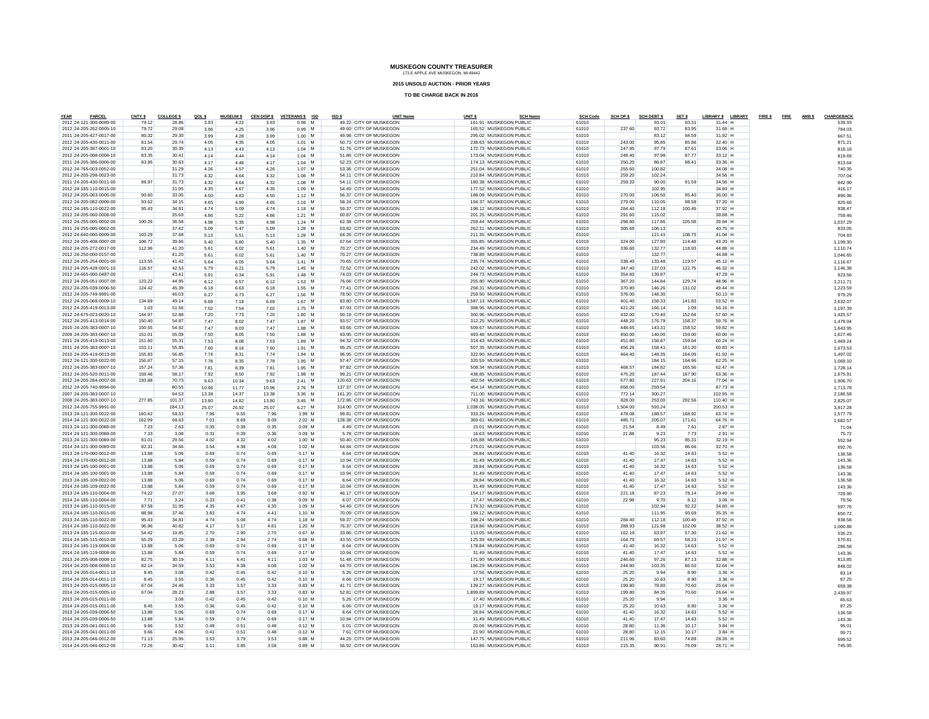**2015 UNSOLD AUCTION - PRIOR YEARS**

| YEAR<br>PARCEL          | CNTY \$ | <b>COLLEGE \$</b> | QOLS  | <b>MUSEUM \$</b> |       | CEN DISP \$ VETERANS \$ ISD | ISD \$ | <b>UNIT Name</b>        | UNIT <sub>S</sub> | <b>SCH Name</b>          | <b>SCH Code</b> | SCH OP \$ | <b>SCH DEBT \$</b> | SET \$ | LIBRARY \$ LIBRARY | FIRE \$FIRE AMBS |  | CHARGEBACK |
|-------------------------|---------|-------------------|-------|------------------|-------|-----------------------------|--------|-------------------------|-------------------|--------------------------|-----------------|-----------|--------------------|--------|--------------------|------------------|--|------------|
| 2012 24-121-300-0089-00 | 79.12   | 28.86             | 3.93  | 4.22             | 3.93  | 0.98 M                      |        | 49.22 CITY OF MUSKEGON  |                   | 161.91 MUSKEGON PUBLIC   | 61010           |           | 93.01              | 83.31  | $31.44$ H          |                  |  | 539.93     |
| 2012 24-205-262-0005-10 | 79.72   | 29.08             | 3.96  | 4.25             | 3.96  | $0.99$ M                    |        | 49.60 CITY OF MUSKEGON  |                   | 165.52 MUSKEGON PUBLIC   | 61010           | 237.60    | 93.72              | 83.95  | 31.68 H            |                  |  | 784.03     |
| 2011 24-205-427-0017-00 | 80.32   | 29.30             | 3.99  | 4.28             | 3.99  | $1.00$ M                    |        | 49.98 CITY OF MUSKEGON  |                   | 295.02 MUSKEGON PUBLIC   | 61010           |           | 83.12              | 84.59  | 31.92 H            |                  |  | 667.51     |
| 2012 24-205-430-0011-00 | 81.54   | 29.74             | 4.05  | 4.35             | 4.05  | $1.01$ M                    |        | 50.73 CITY OF MUSKEGON  |                   | 238.63 MUSKEGON PUBLIC   | 61010           | 243.00    | 95.85              | 85.86  | 32.40 H            |                  |  | 871.21     |
| 2012 24-205-387-0001-10 | 83.20   | 30.35             | 4.13  | 4.43             | 4.13  | $1.04$ M                    |        | 51.76 CITY OF MUSKEGON  |                   | 172.73 MUSKEGON PUBLIC   | 61010           | 247.95    | 97.79              | 87.61  | 33.06 H            |                  |  | 818.1      |
| 2012 24-205-008-0008-10 | 83.35   | 30.41             | 4.14  | 4.44             | 4.14  | $1.04$ M                    |        | 51.86 CITY OF MUSKEGON  |                   | 173.04 MUSKEGON PUBLIC   | 61010           | 248.40    | 97.98              | 87.77  | 33.12 H            |                  |  | 819.6      |
| 2011 24-205-386-0006-00 | 83.95   | 30.63             | 4.17  | 4.48             | 4.17  | $1.04$ M                    |        | 52.23 CITY OF MUSKEGON  |                   | 174.13 MUSKEGON PUBLIC   | 61010           | 250.20    | 86.87              | 88.41  | 33.36 H            |                  |  | 813.6      |
| 2012 24-765-003-0052-00 |         | 31.29             | 4.26  | 4.57             | 4.26  | $1.07$ M                    |        | 53.36 CITY OF MUSKEGON  |                   | 251.04 MUSKEGON PUBLIC   | 61010           | 255.60    | 100.82             |        | 34.08 H            |                  |  | 740.35     |
| 2012 24-205-298-0023-00 |         | 31.73             | 4.32  | 4.64             | 4.32  | $1.08$ M                    |        | 54.11 CITY OF MUSKEGON  |                   | 210.84 MUSKEGON PUBLIC   | 61010           | 259.20    | 102.24             |        | 34.56 H            |                  |  | 707.0      |
| 2011 24-205-430-0011-00 | 86.97   | 31.73             | 4.32  | 4.64             | 4.32  | $1.08$ M                    |        | 54.11 CITY OF MUSKEGON  |                   | 180.38 MUSKEGON PUBLIC   | 61010           | 259.20    | 90.00              | 91.59  | 34.56 H            |                  |  | 842.90     |
| 2012 24-185-110-0015-00 |         | 31.95             | 4.35  | 4.67             | 4.35  | $1.09$ M                    |        | 54 49 CITY OF MUSKEGON  |                   | 177.52 MUSKEGON PUBLIC   | 61010           |           | 102.95             |        | 34.80 H            |                  |  | 416.17     |
| 2012 24-205-063-0005-00 | 90.60   | 33.05             | 4.50  | 4.83             | 4.50  | $1.12$ M                    |        | 56.37 CITY OF MUSKEGON  |                   | 188.09 MUSKEGON PUBLIC   | 61010           | 270.00    | 106.50             | 95.40  | 36.00 H            |                  |  | 890.96     |
| 2012 24-205-082-0009-00 | 93.62   | 34.15             | 4.65  | 4.99             | 4.65  | $1.16$ M                    |        | 58.24 CITY OF MUSKEGON  |                   | 194.37 MUSKEGON PUBLIC   | 61010           | 279.00    | 110.05             | 98.58  | 37.20 H            |                  |  | 920.66     |
| 2012 24-185-110-0022-00 | 95.43   | 34.81             | 4.74  | 5.09             | 474   | $1.18$ M                    |        | 59.37 CITY OF MUSKEGON  |                   | 198.12 MUSKEGON PUBLIC   | 61010           | 284.40    | 112.18             | 100.49 | 37.92 H            |                  |  | 938.47     |
| 2012 24-205-060-0008-00 |         | 35.69             | 4.86  | 5.22             | 4.86  | $1.21$ M                    |        | 60.87 CITY OF MUSKEGON  |                   | 201.25 MUSKEGON PUBLIC   | 61010           | 291.60    | 115.02             |        | 38.88 H            |                  |  | 759.46     |
| 2012 24-255-005-0002-00 | 100.26  | 36.58             | 4.98  | 5.35             | 4.98  | $1.24$ M                    |        | 62.38 CITY OF MUSKEGON  |                   | 259.44 MUSKEGON PUBLIC   | 61010           | 298.80    | 117.86             | 105.58 | 39.84 H            |                  |  | 1,037.29   |
| 2011 24-255-005-0002-00 |         | 37.42             | 5.09  | 5.47             | 5.09  | $1.28$ M                    |        | 63.82 CITY OF MUSKEGON  |                   | 262.31 MUSKEGON PUBLIC   | 61010           | 305.69    | 106 13             |        | 40.75 H            |                  |  | 833.05     |
| 2012 24-640-000-0009-00 | 103.29  | 37.68             | 5.13  | 5.51             | 5.13  | $1.28$ M                    |        | 64.26 CITY OF MUSKEGON  |                   | 211.35 MUSKEGON PUBLIC   | 61010           |           | 121.41             | 108.75 | 41.04 H            |                  |  | 704.83     |
| 2012 24-205-408-0007-00 | 108.72  | 39.66             | 5.40  | 5.80             | 5.40  | $1.35$ M                    |        | 67.64 CITY OF MUSKEGON  |                   | 355.85 MUSKEGON PUBLIC   | 61010           | 324.00    | 127.80             | 114.48 | 43.20 H            |                  |  | 1.199.30   |
| 2012 24-205-272-0017-00 | 112.96  | 41.20             | 5.61  | 6.02             | 5.61  | $1.40$ M                    |        | 70.27 CITY OF MUSKEGON  |                   | 234 49 MUSKEGON PUBLIC   | 61010           | 336.60    | 132.77             | 118.93 | 44.88 H            |                  |  | 1,110.74   |
| 2012 24-250-000-0157-00 |         | 41.20             | 5.61  | 6.02             | 5.61  | $1.40$ M                    |        | 70.27 CITY OF MUSKEGON  |                   | 738.89 MUSKEGON PUBLIC   | 61010           |           | 132.77             |        | 44.88 H            |                  |  | 1.046.65   |
| 2012 24-205-254-0001-00 | 113.55  | 41.42             | 5.64  | 6.05             | 5.64  | $1.41$ M                    |        | 70.65 CITY OF MUSKEGON  |                   | 235.74 MUSKEGON PUBLIC   | 61010           | 338.40    | 133.48             | 119.57 | 45.12 H            |                  |  | 1.116.67   |
| 2012 24-205-428-0001-10 | 116.57  | 42.53             | 5.79  | 6.21             | 5.79  | $1.45$ M                    |        | 72.52 CITY OF MUSKEGON  |                   | 242.02 MUSKEGON PUBLIC   | 61010           | 347.40    | 137.03             | 122.75 | 46.32 H            |                  |  | 1.146.38   |
| 2012 24-665-000-0487-00 |         | 43.41             | 5.91  | 6.34             | 5.91  | $1.48$ M                    |        | 74.03 CITY OF MUSKEGON  |                   | 244.73 MUSKEGON PUBLIC   | 61010           | 354.60    | 139.87             |        | 47.28 H            |                  |  | 923.56     |
| 2012 24-205-051-0007-00 | 123.22  | 44.95             | 6.12  | 6.57             | 6.12  | $1.53$ M                    |        | 76.66 CITY OF MUSKEGON  |                   | 255.80 MUSKEGON PUBLIC   | 61010           | 367.20    | 144.84             | 129.74 | 48.96 H            |                  |  | 1.211.7    |
| 2012 24-205-039-0006-50 | 124.42  | 45.39             | 6.18  | 6.63             | 6.18  | 1.55 M                      |        | 77.41 CITY OF MUSKEGON  |                   | 258.31 MUSKEGON PUBLIC   | 61010           | 370.80    | 146.26             | 131.02 | 49.44 H            |                  |  | 1.223.5    |
| 2012 24-205-749-9991-00 |         | 46.03             | 6.27  | 6.73             | 6.27  | 1.56 M                      |        | 78.50 CITY OF MUSKEGON  |                   | 259.50 MUSKEGON PUBLIC   | 61010           | 376.00    | 148.30             |        | 50 13 H            |                  |  | 979.29     |
| 2012 24-205-068-0009-10 | 134.69  | 49.14             | 6.69  | 7.18             | 6.69  | $1.67$ M                    |        | 83.80 CITY OF MUSKEGON  |                   | 1.587.13 MUSKEGON PUBLIC | 61010           | 401.40    | 158.33             | 141.83 | 53.52 H            |                  |  | 2.632.0    |
| 2012 24-205-419-0013-00 | 1.03    | 51.56             | 7.02  | 7.54             | 7.02  | 1.75 M                      |        | 87.93 CITY OF MUSKEGON  |                   | 388.95 MUSKEGON PUBLIC   | 61010           | 421.20    | 166.14             | 1.09   | 56.16 H            |                  |  | 1.197.39   |
| 2012 24-675-023-0020-10 | 144.97  | 52.88             | 7.20  | 7.73             | 7.20  | 1.80 M                      |        | 90.19 CITY OF MUSKEGON  |                   | 300.96 MUSKEGON PUBLIC   | 61010           | 432.00    | 170.40             | 152.64 | 57.60 H            |                  |  | 1,425.57   |
| 2012 24-205-413-0014-00 | 150.40  | 54.87             | 7.47  | 8.02             | 7.47  | 1.87 M                      |        | 93.57 CITY OF MUSKEGON  |                   | 312.25 MUSKEGON PUBLIC   | 61010           | 448.20    | 176.79             | 158.37 | 59.76 H            |                  |  | 1.479.04   |
| 2010 24-205-383-0007-10 | 150.55  | 54.92             | 7.47  | 8.03             | 7.47  | $1.88$ M                    |        | 93.66 CITY OF MUSKEGON  |                   | 509.67 MUSKEGON PUBLIC   | 61010           | 448.65    | 143.31             | 158.52 | 59.82 H            |                  |  | 1.643.95   |
| 2009 24-205-383-0007-10 | 151.01  | 55.09             | 7.50  | 8.05             | 7.50  | $1.88$ M                    |        | 93.95 CITY OF MUSKEGON  |                   | 493 48 MUSKEGON PUBLIC   | 61010           | 450.00    | 140.00             | 159.00 | 60.00 H            |                  |  | 1.627.46   |
| 2011 24-205-419-0013-00 | 151.60  | 55.31             | 7.53  | 8.08             | 7.53  | 1.89 M                      |        | 94.32 CITY OF MUSKEGON  |                   | 314.43 MUSKEGON PUBLIC   | 61010           | 451.80    | 156.87             | 159.64 | 60.24 H            |                  |  | 1.469.24   |
| 2011 24-205-383-0007-10 | 153.11  | 55.85             | 7.60  | 8.16             | 7.60  | $1.91$ M                    |        | 95.25 CITY OF MUSKEGON  |                   | 507.35 MUSKEGON PUBLIC   | 61010           | 456.26    | 158.41             | 161.20 | 60.83 H            |                  |  | 1,673.53   |
| 2010 24-205-419-0013-00 | 155.83  | 56.85             | 7.74  | 8.31             | 7.74  | $1.94$ M                    |        | 96.95 CITY OF MUSKEGON  |                   | 322.90 MUSKEGON PUBLIC   | 61010           | 464.40    | 148.35             | 164.09 | 61.92 H            |                  |  | 1,497.02   |
| 2012 24-121-300-0022-00 | 156.67  | 57.15             | 7.78  | 8.35             | 7.78  | $1.95$ M                    |        | 97.47 CITY OF MUSKEGON  |                   | 320.59 MUSKEGON PUBLIC   | 61010           |           | 184.15             | 164.96 | 62.25 H            |                  |  | 1.069.10   |
| 2012 24-205-383-0007-10 | 157.24  | 57.36             | 7.81  | 8.39             | 7.81  | 1.95 M                      |        | 97.82 CITY OF MUSKEGON  |                   | 508.34 MUSKEGON PUBLIC   | 61010           | 468.57    | 184.82             | 165.56 | 62.47 H            |                  |  | 1.728.14   |
| 2012 24-205-520-0011-00 | 159.46  | 58.17             | 7.92  | 8.50             | 7.92  | $1.98$ M                    |        | 99.21 CITY OF MUSKEGON  |                   | 438.85 MUSKEGON PUBLIC   | 61010           | 475.20    | 187.44             | 167.90 | 63.36 H            |                  |  | 1.675.9    |
| 2012 24-205-284-0007-00 | 193.88  | 70.73             | 9.63  | 10.34            | 9.63  | $2.41$ M                    |        | 120.63 CITY OF MUSKEGON |                   | 402.54 MUSKEGON PUBLIC   | 61010           | 577.80    | 227.91             | 204.16 | 77.04 H            |                  |  | 1,906.70   |
| 2012 24-205-740-9994-00 |         | 80.55             | 10.96 | 11.77            | 10.96 | 2.76 M                      |        | 137.37 CITY OF MUSKEGON |                   | 454.14 MUSKEGON PUBLIC   | 61010           | 658.00    | 259.54             |        | 87.73 H            |                  |  | 1.713.78   |
| 2007 24-205-383-0007-10 |         | 94.53             | 13.38 | 14.37            | 13.38 | $3.36$ M                    |        | 161.20 CITY OF MUSKEGON |                   | 711.00 MUSKEGON PUBLIC   | 61010           | 772.14    | 300.27             |        | 102.95 H           |                  |  | 2.186.58   |
| 2008 24-205-383-0007-10 | 277.85  | 101.37            | 13.80 | 14.82            | 13.80 | $3.45$ M                    |        | 172.86 CITY OF MUSKEGON |                   | 743.16 MUSKEGON PUBLIC   | 61010           | 828.00    | 253.00             | 292.56 | 110.40 H           |                  |  | 2.825.07   |
| 2012 24-205-755-9991-00 |         | 184.13            | 25.07 | 26.92            | 25.07 | $6.27$ M                    |        | 314.00 CITY OF MUSKEGON |                   | 1.038.05 MUSKEGON PUBLIC | 61010           | 1.504.00  | 593.24             |        | 200.53 H           |                  |  | 3,917.28   |
| 2013 24-121-300-0022-00 | 160.42  | 58.53             | 7.96  | 8.55             | 7.96  | 1.99 M                      |        | 99.81 CITY OF MUSKEGON  |                   | 333.26 MUSKEGON PUBLIC   | 61010           | 478.08    | 188,57             | 168.92 | 63.74 H            |                  |  | 1.577.79   |
| 2014 24-121-300-0022-00 | 162.99  | 68.63             | 7.01  | 8.69             | 8.09  | $2.02$ M                    |        | 128.38 CITY OF MUSKEGON |                   | 369.61 MUSKEGON PUBLIC   | 61010           | 485.71    | 205.07             | 171.61 | 64.76 H            |                  |  | 1.682.5    |
| 2013 24-121-300-0088-00 | 7.23    | 2.63              | 0.35  | 0.38             | 0.35  | $0.09$ M                    |        | 4.49 CITY OF MUSKEGON   |                   | 15.01 MUSKEGON PUBLIC    | 61010           | 21.54     | 8.49               | 7.61   | 2.87 H             |                  |  | 71.04      |
| 2014 24-121-300-0088-00 | 7.33    | 3.08              | 0.31  | 0.39             | 0.36  | $0.09$ M                    |        | 5.78 CITY OF MUSKEGON   |                   | 16.63 MUSKEGON PUBLIC    | 61010           | 21.88     | 9.23               | 7.73   | $2.91$ H           |                  |  | 75.72      |
| 2013 24-121-300-0089-00 | 81.01   | 29.56             | 4.02  | 4.32             | 4.02  | $1.00$ M                    |        | 50.40 CITY OF MUSKEGON  |                   | 165.88 MUSKEGON PUBLIC   | 61010           |           | 95.23              | 85.31  | 32.19 H            |                  |  | 552.9      |
| 2014 24-121-300-0089-00 | 82.31   | 34.66             | 3.54  | 4.38             | 4.08  | $1.02$ M                    |        | 64 84 CITY OF MUSKEGON  |                   | 275.01 MUSKEGON PUBLIC   | 61010           |           | 103.56             | 86.66  | 32.70 H            |                  |  | 692.76     |
| 2013 24-170-000-0012-00 | 13.88   | 5.06              | 0.69  | 0.74             | 0.69  | $0.17$ M                    |        | 8.64 CITY OF MUSKEGON   |                   | 28.84 MUSKEGON PUBLIC    | 61010           | 41.40     | 16.32              | 14.63  | 5.52 H             |                  |  | 136.58     |
| 2014 24-170-000-0012-00 | 13.88   | 5.84              | 0.59  | 0.74             | 0.69  | $0.17$ M                    |        | 10.94 CITY OF MUSKEGON  |                   | 31.49 MUSKEGON PUBLIC    | 61010           | 41.40     | 17.47              | 14.63  | 5.52 H             |                  |  | 143.3      |
| 2013 24-185-100-0001-00 | 13.88   | 5.06              | 0.69  | 0.74             | 0.69  | $0.17$ M                    |        | 8.64 CITY OF MUSKEGON   |                   | 28.84 MUSKEGON PUBLIC    | 61010           | 41.40     | 16.32              | 14.63  | 5.52 H             |                  |  | 136,58     |
| 2014 24-185-100-0001-00 | 13,88   | 5.84              | 0.59  | 0.74             | 0.69  | $0.17$ M                    |        | 10.94 CITY OF MUSKEGON  |                   | 31.49 MUSKEGON PUBLIC    | 61010           | 41.40     | 17.47              | 14.63  | 5.52 H             |                  |  | 143.36     |
| 2013 24-185-109-0022-00 | 13.88   | 5.06              | 0.69  | 0.74             | 0.69  | $0.17$ M                    |        | 8.64 CITY OF MUSKEGON   |                   | 28.84 MUSKEGON PUBLIC    | 61010           | 41.40     | 16.32              | 14.63  | 5.52 H             |                  |  | 136.58     |
| 2014 24-185-109-0022-00 | 13.88   | 5.84              | 0.59  | 0.74             | 0.69  | $0.17$ M                    |        | 10.94 CITY OF MUSKEGON  |                   | 31.49 MUSKEGON PUBLIC    | 61010           | 41.40     | 17.47              | 14.63  | 5.52 H             |                  |  | 143.36     |
| 2013 24-185-110-0004-00 | 74.22   | 27.07             | 3.68  | 3.95             | 3.68  | $0.92$ M                    |        | 46.17 CITY OF MUSKEGON  |                   | 154.17 MUSKEGON PUBLIC   | 61010           | 221.18    | 87.23              | 78.14  | 29.49 H            |                  |  | 729.90     |
| 2014 24-185-110-0004-00 | 7.71    | 3.24              | 0.33  | 0.41             | 0.38  | $0.09$ M                    |        | 6.07 CITY OF MUSKEGON   |                   | 17.47 MUSKEGON PUBLIC    | 61010           | 22.98     | 9.70               | 8.12   | $3.06$ H           |                  |  | 79.56      |
| 2013 24-185-110-0015-00 | 87.58   | 31.95             | 4.35  | 4.67             | 4.35  | 1.09 M                      |        | 54 49 CITY OF MUSKEGON  |                   | 179.32 MUSKEGON PUBLIC   | 61010           |           | 102.94             | 92.22  | 34.80 H            |                  |  | 597.76     |
| 2014 24-185-110-0015-00 | 88.98   | 37.46             | 3.83  | 474              | 4.41  | 1.10 M                      |        | 70.09 CITY OF MUSKEGON  |                   | 199.12 MUSKEGON PUBLIC   | 61010           |           | 111.95             | 93.69  | 35.35 H            |                  |  | 650.72     |
| 2013 24-185-110-0022-00 | 95.43   | 34.81             | 4.74  | 5.08             | 4.74  | $1.18$ M                    |        | 59.37 CITY OF MUSKEGON  |                   | 198.24 MUSKEGON PUBLIC   | 61010           | 284.40    | 112.18             | 100.49 | 37.92 H            |                  |  | 938.58     |
| 2014 24-185-110-0022-00 | 96.96   | 40.82             | 4.17  | 5.17             | 4.81  | 1.20 M                      |        | 76.37 CITY OF MUSKEGON  |                   | 219.86 MUSKEGON PUBLIC   | 61010           | 288.93    | 121.98             | 102.09 | 38.52 H            |                  |  | 1.000.8    |
| 2013 24-185-115-0010-00 | 5442    | 19.85             | 2.70  | 2.90             | 2.70  | 0.67 M                      |        | 33.86 CITY OF MUSKEGON  |                   | 113.05 MUSKEGON PUBLIC   | 61010           | 162.19    | 63.97              | 57.30  | 21.62 H            |                  |  | 535.23     |
| 2014 24-185-115-0010-00 | 55.29   | 23.28             | 2.38  | 2.94             | 2.74  | $0.68$ M                    |        | 43.55 CITY OF MUSKEGON  |                   | 125.39 MUSKEGON PUBLIC   | 61010           | 164.79    | 69.57              | 58.23  | 21.97 H            |                  |  | 570.8      |
| 2013 24-185-119-0008-00 | 13.88   | 5.06              | 0.69  | 0.74             | 0.69  | $0.17$ M                    |        | 8.64 CITY OF MUSKEGON   |                   | 178.84 MUSKEGON PUBLIC   | 61010           | 41.40     | 16.32              | 14.63  | 5.52 H             |                  |  | 286.5      |
| 2014 24-185-119-0008-00 | 13.88   | 5.84              | 0.59  | 0.74             | 0.69  | $0.17$ M                    |        | 10.94 CITY OF MUSKEGON  |                   | 31.49 MUSKEGON PUBLIC    | 61010           | 41.40     | 17.47              | 14.63  | 5.52 H             |                  |  | 143.36     |
| 2013 24-205-008-0008-10 | 82.75   | 30.19             | 4.11  | 4 4 1            | 4.11  | $1.03$ M                    |        | 51.48 CITY OF MUSKEGON  |                   | 171.90 MUSKEGON PUBLIC   | 61010           | 246.60    | 97.26              | 87.13  | 32 88 H            |                  |  | 813.85     |
| 2014 24-205-008-0008-10 | 82.14   | 34.59             | 3.53  | 4.38             | 4.08  | $1.02$ M                    |        | 64 70 CITY OF MUSKEGON  |                   | 186.29 MUSKEGON PUBLIC   | 61010           | 244.80    | 103.35             | 86.50  | 32.64 H            |                  |  | 848.02     |
| 2013 24-205-014-0011-10 | 8.45    | 3.08              | 0.42  | 0.45             | 0.42  | $0.10$ M                    |        | 5.26 CITY OF MUSKEGON   |                   | 17.56 MUSKEGON PUBLIC    | 61010           | 25.20     | 9.94               | 8.90   | 3.36 H             |                  |  | 83.14      |
| 2014 24-205-014-0011-10 | 8.45    | 3.55              | 0.36  | 0.45             | 0.42  | $0.10$ M                    |        | 6.66 CITY OF MUSKEGON   |                   | 19.17 MUSKEGON PUBLIC    | 61010           | 25.20     | 10.63              | 8.90   | 3.36 H             |                  |  | 87.25      |
| 2013 24-205-015-0005-10 | 67.04   | 24.46             | 3.33  | 3.57             | 3.33  | $0.83$ M                    |        | 41.71 CITY OF MUSKEGON  |                   | 139.27 MUSKEGON PUBLIC   | 61010           | 199.80    | 78.80              | 70.60  | 26.64 H            |                  |  | 659.38     |
| 2014 24-205-015-0005-10 | 67.04   | 28.23             | 2.88  | 3.57             | 3.33  | $0.83$ M                    |        | 52.81 CITY OF MUSKEGON  |                   | 1.899.89 MUSKEGON PUBLIC | 61010           | 199.80    | 84.35              | 70.60  | 26.64 H            |                  |  | 2,439.97   |
| 2013 24-205-015-0011-00 |         | 3.08              | 0.42  | 0.45             | 0.42  | $0.10$ M                    |        | 5.26 CITY OF MUSKEGON   |                   | 17.40 MUSKEGON PUBLIC    | 61010           | 25.20     | 9.94               |        | 3.36 H             |                  |  | 65.63      |
| 2014 24-205-015-0011-00 | 8.45    | 3.55              | 0.36  | 0.45             | 0.42  | $0.10$ M                    |        | 6.66 CITY OF MUSKEGON   |                   | 19.17 MUSKEGON PUBLIC    | 61010           | 25.20     | 10.63              | 8.90   | $3.36$ H           |                  |  | 87.25      |
| 2013 24-205-039-0006-50 | 13.88   | 5.06              | 0.69  | 0.74             | 0.69  | $0.17$ M                    |        | 8.64 CITY OF MUSKEGON   |                   | 28.84 MUSKEGON PUBLIC    | 61010           | 41.40     | 16.32              | 14.63  | 5.52 H             |                  |  | 136,58     |
| 2014 24-205-039-0006-50 | 13.88   | 5.84              | 0.59  | 0.74             | 0.69  | $0.17$ M                    |        | 10.94 CITY OF MUSKEGON  |                   | 31.49 MUSKEGON PUBLIC    | 61010           | 41.40     | 17.47              | 14.63  | 5.52 H             |                  |  | 143.36     |
| 2013 24-205-041-0011-00 | 9.66    | 3.52              | 0.48  | 0.51             | 0.48  | $0.12$ M                    |        | 6.01 CITY OF MUSKEGON   |                   | 20.06 MUSKEGON PUBLIC    | 61010           | 28.80     | 11.36              | 10.17  | $3.84$ H           |                  |  | 95.01      |
| 2014 24-205-041-0011-00 | 9.66    | 4.06              | 0.41  | 0.51             | 0.48  | $0.12$ M                    |        | 7.61 CITY OF MUSKEGON   |                   | 21.90 MUSKEGON PUBLIC    | 61010           | 28.80     | 12.15              | 10.17  | 3.84 H             |                  |  | 99.7       |
| 2013 24-205-046-0012-00 | 71.13   | 25.95             | 3.53  | 3.79             | 3.53  | $0.88$ M                    |        | 44.25 CITY OF MUSKEGON  |                   | 147.75 MUSKEGON PUBLIC   | 61010           | 211.96    | 83.60              | 74.89  | 28.26 H            |                  |  | 699.52     |
| 2014 24-205-046-0012-00 | 72.26   | 30.42             | 3.11  | 3.85             | 3.58  | 0.89 M                      |        | 56.92 CITY OF MUSKEGON  |                   | 163.86 MUSKEGON PUBLIC   | 61010           | 215.35    | 90.91              | 76.09  | 28.71 H            |                  |  | 745.95     |
|                         |         |                   |       |                  |       |                             |        |                         |                   |                          |                 |           |                    |        |                    |                  |  |            |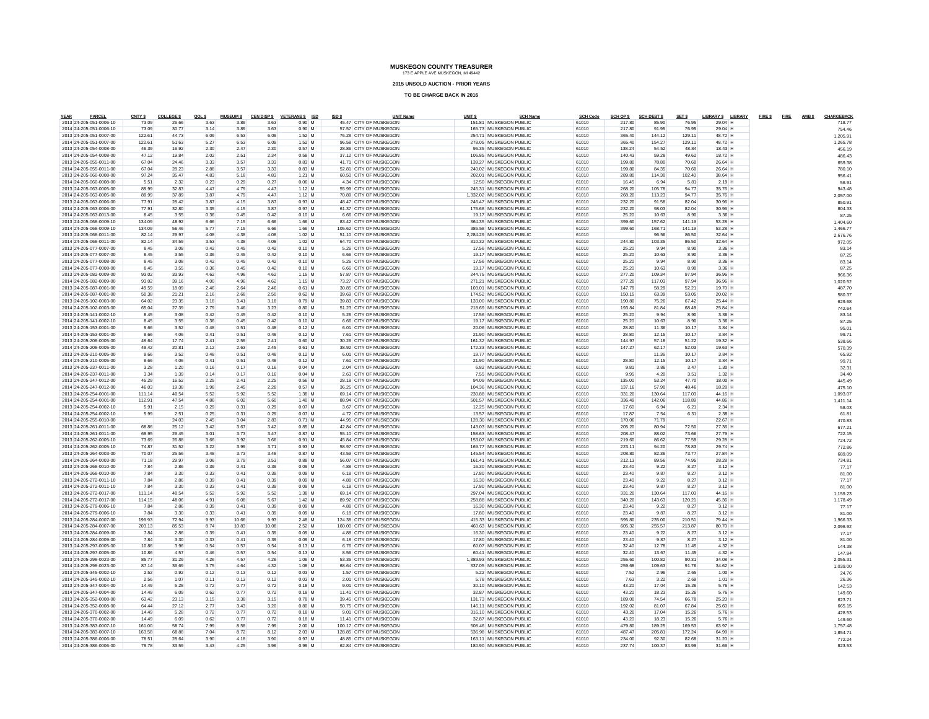**2015 UNSOLD AUCTION - PRIOR YEARS**

| YEAR<br>PARCEL                                     | CNTY \$        | <b>COLLEGE \$</b> | QOLS         | <b>MUSEUM \$</b> |              | CEN DISP \$ VETERANS \$ ISD | ISD \$ | <b>UNIT Name</b>                                 | UNIT <sub>S</sub> |                                                   | <b>SCH Name</b> | <b>SCH Code</b> | SCH OP \$        | <b>SCH DEBT \$</b> | SET \$         | LIBRARY \$ LIBRARY |  | FIRE \$FIRE AMBS | CHARGEBACK        |
|----------------------------------------------------|----------------|-------------------|--------------|------------------|--------------|-----------------------------|--------|--------------------------------------------------|-------------------|---------------------------------------------------|-----------------|-----------------|------------------|--------------------|----------------|--------------------|--|------------------|-------------------|
| 2013 24-205-051-0006-10<br>2014 24-205-051-0006-10 | 73.09<br>73.09 | 26.66<br>30.77    | 3.63<br>3.14 | 3.89<br>3.89     | 3.63<br>3.63 | $0.90$ M<br>$0.90$ M        |        | 45.47 CITY OF MUSKEGON<br>57.57 CITY OF MUSKEGON |                   | 151.81 MUSKEGON PUBLIC<br>165.73 MUSKEGON PUBLIC  |                 | 61010<br>61010  | 217.80<br>217.80 | 85.90<br>91.95     | 76.95<br>76.95 | 29.04 H<br>29.04 H |  |                  | 718.77<br>754 46  |
| 2013 24-205-051-0007-00                            | 122.61         | 44.73             | 6.09         | 6.53             | 6.09         | 1.52 M                      |        | 76.28 CITY OF MUSKEGON                           |                   | 254.71 MUSKEGON PUBLIC                            |                 | 61010           | 365.40           | 144.12             | 129.11         | 48.72 H            |  |                  | 1.205.91          |
| 2014 24-205-051-0007-00                            | 122.61         | 51.63             | 5.27         | 6.53             | 6.09         | 1.52 M                      |        | 96.58 CITY OF MUSKEGON                           |                   | 278.05 MUSKEGON PUBLIC                            |                 | 61010           | 365.40           | 154.27             | 129.11         | 48.72 H            |  |                  | 1.265.78          |
| 2013 24-205-054-0008-00                            | 46.39          | 16.92             | 2.30         | 2.47             | 2.30         | $0.57$ M                    |        | 28.86 CITY OF MUSKEGON                           |                   | 96.35 MUSKEGON PUBLIC                             |                 | 61010           | 138.24           | 54.52              | 48.84          | 18.43 H            |  |                  | 456.19            |
| 2014 24-205-054-0008-00                            | 47.12          | 19.84             | 2.02         | 2.51             | 2.34         | $0.58$ M                    |        | 37.12 CITY OF MUSKEGON                           |                   | 106.85 MUSKEGON PUBLIC                            |                 | 61010           | 140.43           | 59.28              | 49.62          | 18.72 H            |  |                  | 486.4             |
| 2013 24-205-055-0011-00                            | 67.04          | 24.46             | 3.33         | 3.57             | 3.33         | $0.83$ M                    |        | 41.71 CITY OF MUSKEGON                           |                   | 139.27 MUSKEGON PUBLIC                            |                 | 61010           | 199.80           | 78.80              | 70.60          | 26.64 H            |  |                  | 659.38            |
| 2014 24-205-055-0011-00                            | 67.04          | 28.23             | 2.88         | 3.57             | 3.33         | $0.83$ M                    |        | 52.81 CITY OF MUSKEGON                           |                   | 240.02 MUSKEGON PUBLIC                            |                 | 61010           | 199.80           | 84.35              | 70.60          | 26.64 H            |  |                  | 780.10            |
| 2013 24-205-060-0008-00                            | 97.24          | 35.47             | 4.83         | 5.18             | 4.83         | $1.21$ M                    |        | 60.50 CITY OF MUSKEGON                           |                   | 202.01 MUSKEGON PUBLIC                            |                 | 61010           | 289.80           | 114.30             | 102.40         | 38.64 H            |  |                  | 956.4             |
| 2014 24-205-060-0008-00                            | 5.51           | 2.32              | 0.23         | 0.29             | 0.27         | $0.06$ M                    |        | 4.34 CITY OF MUSKEGON                            |                   | 12.50 MUSKEGON PUBLIC                             |                 | 61010           | 16.45            | 6.94               | 5.81           | 2.19 H             |  |                  | 56.9              |
| 2013 24-205-063-0005-00                            | 89.99          | 32.83             | 447          | 4.79             | 4.47         | $1.12$ M                    |        | 55.99 CITY OF MUSKEGON                           |                   | 245.31 MUSKEGON PUBLIC                            |                 | 61010           | 268.20           | 105.78             | 94.77          | 35.76 H            |  |                  | 943.48            |
| 2014 24-205-063-0005-00                            | 89.99          | 37.89             | 3.87         | 4.79             | 4.47         | $1.12$ M                    |        | 70.89 CITY OF MUSKEGON                           |                   | 1,332.02 MUSKEGON PUBLIC                          |                 | 61010           | 268.20           | 113.23             | 94.77          | 35.76 H            |  |                  | 2.057.0           |
| 2013 24-205-063-0006-00                            | 77.91          | 28.42             | 3.87         | 4.15             | 3.87         | 0.97 M                      |        | 48 47 CITY OF MUSKEGON                           |                   | 246.47 MUSKEGON PUBLIC                            |                 | 61010           | 232.20           | 91.58              | 82.04          | 30.96 H            |  |                  | 850.9             |
| 2014 24-205-063-0006-00                            | 77.91          | 32.80             | 3.35         | 4.15             | 3.87         | $0.97$ M                    |        | 61.37 CITY OF MUSKEGON                           |                   | 176.68 MUSKEGON PUBLIC                            |                 | 61010           | 232.20           | 98.03              | 82.04          | 30.96 H            |  |                  | 804.33            |
| 2014 24-205-063-0013-00                            | 8.45           | 3.55              | 0.36         | 0.45             | 0.42         | $0.10$ M                    |        | 6.66 CITY OF MUSKEGON                            |                   | 19.17 MUSKEGON PUBLIC                             |                 | 61010           | 25.20            | 10.63              | 8.90           | 3.36 H             |  |                  | 87.25             |
| 2013 24-205-068-0009-10                            | 134.09         | 48.92             | 6.66         | 7.15             | 6.66         | 1.66 M                      |        | 83.42 CITY OF MUSKEGON                           |                   | 364.35 MUSKEGON PUBLIC                            |                 | 61010           | 399.60           | 157.62             | 141.19         | 53.28 H            |  |                  | 1,404.60          |
| 2014 24-205-068-0009-10                            | 134.09         | 56.46             | 5.77         | 7.15             | 6.66         | $1.66$ M                    |        | 105.62 CITY OF MUSKEGON                          |                   | 386.58 MUSKEGON PUBLIC                            |                 | 61010           | 399.60           | 168.71             | 141.19         | 53.28 H            |  |                  | 1.466.77          |
| 2013 24-205-068-0011-00                            | 82.14          | 29.97             | 4.08         | 4.38             | 4.08         | $1.02$ M                    |        | 51.10 CITY OF MUSKEGON                           |                   | 2.284.29 MUSKEGON PUBLIC                          |                 | 61010           |                  | 96.56              | 86.50          | 32.64 H            |  |                  | 2.676.76          |
| 2014 24-205-068-0011-00                            | 82.14          | 34.59             | 3.53         | 4.38             | 4.08         | $1.02$ M                    |        | 64.70 CITY OF MUSKEGON                           |                   | 310.32 MUSKEGON PUBLIC                            |                 | 61010           | 244.80           | 103.35             | 86.50          | 32.64 H            |  |                  | 972.05            |
| 2013 24-205-077-0007-00                            | 8.45           | 3.08              | 0.42         | 0.45             | 0.42         | $0.10$ M                    |        | 5.26 CITY OF MUSKEGON                            |                   | 17.56 MUSKEGON PUBLIC                             |                 | 61010           | 25.20            | 9.94               | 8.90           | 3.36 H             |  |                  | 83.1              |
| 2014 24-205-077-0007-00                            | 8.45           | 3.55              | 0.36         | 0.45             | 0.42         | $0.10$ M                    |        | 6.66 CITY OF MUSKEGON                            |                   | 19.17 MUSKEGON PUBLIC                             |                 | 61010           | 25.20            | 10.63              | 8.90           | 3.36 H             |  |                  | 87.25             |
| 2013 24-205-077-0008-00                            | 8.45           | 3.08              | 0.42         | 0.45             | 0.42         | $0.10$ M                    |        | 5.26 CITY OF MUSKEGON                            |                   | 17.56 MUSKEGON PUBLIC                             |                 | 61010           | 25.20            | 9.94               | 8.90           | 3.36 H             |  |                  | 83.14             |
| 2014 24-205-077-0008-00                            | 8.45           | 3.55              | 0.36         | 0.45             | 0.42         | $0.10$ M                    |        | 6.66 CITY OF MUSKEGON                            |                   | 19.17 MUSKEGON PUBLIC                             |                 | 61010           | 25.20            | 10.63              | 8.90           | $3.36$ H           |  |                  | 87.25             |
| 2013 24-205-082-0009-00                            | 93.02          | 33.93             | 4.62         | 4.96             | 4.62         | $1.15$ M                    |        | 57.87 CITY OF MUSKEGON                           |                   | 244.75 MUSKEGON PUBLIC                            |                 | 61010           | 277.20           | 109.34             | 97.94          | 36.96 H            |  |                  | 966.36            |
| 2014 24-205-082-0009-00                            | 93.02          | 39.16             | 4.00         | 4.96             | 4.62         | $1.15$ M                    |        | 73.27 CITY OF MUSKEGON                           |                   | 271.21 MUSKEGON PUBLIC                            |                 | 61010           | 277.20           | 117.03             | 97.94          | 36.96 H            |  |                  | 1.020.52          |
| 2013 24-205-087-0001-00                            | 49.59          | 18.09             | 2.46         | 2.64             | 2.46         | $0.61$ M                    |        | 30.85 CITY OF MUSKEGON                           |                   | 103.01 MUSKEGON PUBLIC                            |                 | 61010           | 147.79           | 58.29              | 52.21          | 19.70 H            |  |                  | 487.70            |
| 2014 24-205-087-0001-00                            | 50.38          | 21.21             | 2.16         | 2.68             | 2.50         | $0.62$ M                    |        | 39.69 CITY OF MUSKEGON                           |                   | 174.52 MUSKEGON PUBLIC                            |                 | 61010           | 150.15           | 63.39              | 53.05          | 20.02 H            |  |                  | 580.37            |
| 2013 24-205-102-0003-00                            | 64.02          | 23.35             | 3.18         | 3.41             | 3.18         | $0.79$ M                    |        | 39.83 CITY OF MUSKEGON                           |                   | 133.00 MUSKEGON PUBLIC                            |                 | 61010           | 190.80           | 75.26              | 67.42          | 25.44 H            |  |                  | 629.68            |
| 2014 24-205-102-0003-00                            | 65.04          | 27.39             | 2.79         | 3.46             | 3.23         | $0.80$ M                    |        | 51.23 CITY OF MUSKEGON                           |                   | 218.69 MUSKEGON PUBLIC                            |                 | 61010           | 193.84           | 81.84              | 68.49          | 25.84 H            |  |                  | 742.64            |
| 2013 24-205-141-0002-10<br>2014 24-205-141-0002-10 | 8.45<br>8.45   | 3.08<br>3.55      | 0.42<br>0.36 | 0.45<br>0.45     | 0.42<br>0.42 | $0.10$ M<br>$0.10$ M        |        | 5.26 CITY OF MUSKEGON<br>6.66 CITY OF MUSKEGON   |                   | 17.56 MUSKEGON PUBLIC<br>19.17 MUSKEGON PUBLIC    |                 | 61010<br>61010  | 25.20<br>25.20   | 9.94<br>10.63      | 8.90<br>8.90   | 3.36 H<br>3.36 H   |  |                  | 83.14             |
| 2013 24-205-153-0001-00                            | 9.66           | 3.52              | 0.48         | 0.51             | 0.48         | $0.12$ M                    |        | 6.01 CITY OF MUSKEGON                            |                   | 20.06 MUSKEGON PUBLIC                             |                 | 61010           | 28.80            | 11.36              | 10.17          | 3.84 H             |  |                  | 87.25<br>95.0     |
| 2014 24-205-153-0001-00                            | 9.66           | 4.06              | 0.41         | 0.51             | 0.48         | $0.12$ M                    |        | 7.61 CITY OF MUSKEGON                            |                   | 21.90 MUSKEGON PUBLIC                             |                 | 61010           | 28.80            | 12.15              | 10.17          | 3.84 H             |  |                  |                   |
| 2013 24-205-208-0005-00                            | 48.64          | 17.74             | 2.41         | 2.59             | 2.41         | $0.60$ M                    |        | 30.26 CITY OF MUSKEGON                           |                   | 161.32 MUSKEGON PUBLIC                            |                 | 61010           | 144.97           | 57.18              | 51.22          | 19.32 H            |  |                  | 99.7<br>538.66    |
| 2014 24-205-208-0005-00                            | 49.42          | 20.81             | 2.12         | 2.63             | 2.45         | $0.61$ M                    |        | 38.92 CITY OF MUSKEGON                           |                   | 172.33 MUSKEGON PUBLIC                            |                 | 61010           | 147.27           | 62.17              | 52.03          | 19.63 H            |  |                  | 570.39            |
| 2013 24-205-210-0005-00                            | 9.66           | 3.52              | 0.48         | 0.51             | 0.48         | $0.12$ M                    |        | 6.01 CITY OF MUSKEGON                            |                   | 19.77 MUSKEGON PUBLIC                             |                 | 61010           |                  | 11.36              | 10.17          | 3.84 H             |  |                  | 65.92             |
| 2014 24-205-210-0005-00                            | 9.66           | 4.06              | 0.41         | 0.51             | 0.48         | $0.12$ M                    |        | 7.61 CITY OF MUSKEGON                            |                   | 21.90 MUSKEGON PUBLIC                             |                 | 61010           | 28.80            | 12.15              | 10.17          | $3.84$ H           |  |                  | 99.7              |
| 2013 24-205-237-0011-00                            | 3.28           | 1.20              | 0.16         | 0.17             | 0.16         | $0.04$ M                    |        | 2.04 CITY OF MUSKEGON                            |                   | 6.82 MUSKEGON PUBLIC                              |                 | 61010           | 9.81             | 3.86               | 3.47           | $1.30$ H           |  |                  | 32.3              |
| 2014 24-205-237-0011-00                            | 3.34           | 1.39              | 0.14         | 0.17             | 0.16         | $0.04$ M                    |        | 2.63 CITY OF MUSKEGON                            |                   | 7.55 MUSKEGON PUBLIC                              |                 | 61010           | 9.95             | 4.20               | 3.51           | $1.32$ H           |  |                  | 34.40             |
| 2013 24-205-247-0012-00                            | 45.29          | 16.52             | 2.25         | 2.41             | 2.25         | $0.56$ M                    |        | 28.18 CITY OF MUSKEGON                           |                   | 94.09 MUSKEGON PUBLIC                             |                 | 61010           | 135.00           | 53.24              | 47.70          | 18.00 H            |  |                  | 445.49            |
| 2014 24-205-247-0012-00                            | 46.03          | 19.38             | 1.98         | 2.45             | 2.28         | $0.57$ M                    |        | 36.25 CITY OF MUSKEGON                           |                   | 104.36 MUSKEGON PUBLIC                            |                 | 61010           | 137.16           | 57.90              | 48.46          | 18.28 H            |  |                  | 475.10            |
| 2013 24-205-254-0001-00                            | 111.14         | 40.54             | 5.52         | 5.92             | 5.52         | 1.38 M                      |        | 69.14 CITY OF MUSKEGON                           |                   | 230.88 MUSKEGON PUBLIC                            |                 | 61010           | 331.20           | 130.64             | 117.03         | 44.16 H            |  |                  | 1.093.07          |
| 2014 24-205-254-0001-00                            | 112.91         | 47.54             | 4.86         | 6.02             | 5.60         | 1.40 M                      |        | 88.94 CITY OF MUSKEGON                           |                   | 501.57 MUSKEGON PUBLIC                            |                 | 61010           | 336.49           | 142.06             | 118.89         | 44.86 H            |  |                  | 1.411.1           |
| 2013 24-205-254-0002-10                            | 5.91           | 2.15              | 0.29         | 0.31             | 0.29         | $0.07$ M                    |        | 3.67 CITY OF MUSKEGON                            |                   | 12.25 MUSKEGON PUBLIC                             |                 | 61010           | 17.60            | 6.94               | 6.21           | $2.34$ H           |  |                  | 58.03             |
| 2014 24-205-254-0002-10                            | 5.99           | 2.51              | 0.25         | 0.31             | 0.29         | $0.07$ M                    |        | 4.72 CITY OF MUSKEGON                            |                   | 13.57 MUSKEGON PUBLIC                             |                 | 61010           | 17.87            | 7.54               | 6.31           | $2.38$ H           |  |                  | 61.8              |
| 2014 24-205-255-0010-00                            |                | 24.03             | 2.45         | 3.04             | 2.83         | $0.71$ M                    |        | 44.95 CITY OF MUSKEGON                           |                   | 128.30 MUSKEGON PUBLIC                            |                 | 61010           | 170.06           | 71.79              |                | 22.67 H            |  |                  | 470.83            |
| 2013 24-205-261-0011-00                            | 68.86          | 25.12             | 3.42         | 3.67             | 3.42         | $0.85$ M                    |        | 42 84 CITY OF MUSKEGON                           |                   | 143.03 MUSKEGON PUBLIC                            |                 | 61010           | 205.20           | 80.94              | 72.50          | 27.36 H            |  |                  | 677.2             |
| 2014 24-205-261-0011-00                            | 69.95          | 29.45             | 3.01         | 3.73             | 3.47         | $0.87$ M                    |        | 55.10 CITY OF MUSKEGON                           |                   | 158.63 MUSKEGON PUBLIC                            |                 | 61010           | 208.47           | 88.02              | 73.66          | 27.79 H            |  |                  | 722.15            |
| 2013 24-205-262-0005-10                            | 73.69          | 26.88             | 3.66         | 3.92             | 3.66         | $0.91$ M                    |        | 45.84 CITY OF MUSKEGON                           |                   | 153.07 MUSKEGON PUBLIC                            |                 | 61010           | 219.60           | 86.62              | 77.59          | 29.28 H            |  |                  | 724.72            |
| 2014 24-205-262-0005-10                            | 74.87          | 31.52             | 322          | 3.99             | 3.71         | 0.93M                       |        | 58.97 CITY OF MUSKEGON                           |                   | 169.77 MUSKEGON PUBLIC                            |                 | 61010           | 223.11           | 94.20              | 78.83          | 29.74 H            |  |                  | 772.86            |
| 2013 24-205-264-0003-00                            | 70.07          | 25.56             | 3.48         | 3.73             | 3.48         | $0.87$ M                    |        | 43.59 CITY OF MUSKEGON                           |                   | 145.54 MUSKEGON PUBLIC                            |                 | 61010           | 208.80           | 82.36              | 73.77          | 27.84 H            |  |                  | 689.09            |
| 2014 24-205-264-0003-00                            | 71.18          | 29.97             | 3.06         | 3.79             | 3.53         | $0.88$ M                    |        | 56.07 CITY OF MUSKEGON                           |                   | 161.41 MUSKEGON PUBLIC                            |                 | 61010           | 212.13           | 89.56              | 74.95          | 28.28 H            |  |                  | 734.81            |
| 2013 24-205-268-0010-00                            | 7.84           | 2.86              | 0.39         | 0.41             | 0.39         | $0.09$ M                    |        | 4.88 CITY OF MUSKEGON                            |                   | 16.30 MUSKEGON PUBLIC                             |                 | 61010           | 23.40            | 9.22               | 8.27           | $3.12$ H           |  |                  | 77.1              |
| 2014 24-205-268-0010-00                            | 7.84           | 3.30              | 0.33         | 0.41             | 0.39         | $0.09$ M                    |        | 6.18 CITY OF MUSKEGON                            |                   | 17.80 MUSKEGON PUBLIC                             |                 | 61010           | 23.40            | 9.87               | 8.27           | $3.12$ H           |  |                  | 81.00             |
| 2013 24-205-272-0011-10                            | 7.84           | 2.86              | 0.39         | 0.41             | 0.39         | $0.09$ M                    |        | 4.88 CITY OF MUSKEGON                            |                   | 16.30 MUSKEGON PUBLIC                             |                 | 61010           | 23.40            | 9.22               | 8.27           | $3.12$ H           |  |                  | 77.13             |
| 2014 24-205-272-0011-10                            | 7.84           | 3.30              | 0.33         | 0.41             | 0.39         | $0.09$ M                    |        | 6.18 CITY OF MUSKEGON                            |                   | 17.80 MUSKEGON PUBLIC                             |                 | 61010           | 23.40            | 9.87               | 8.27           | $3.12$ H           |  |                  | 81.00             |
| 2013 24-205-272-0017-00                            | 111.14         | 40.54             | 5.52         | 5.92             | 5.52         | 1.38 M                      |        | 69.14 CITY OF MUSKEGON                           |                   | 297.04 MUSKEGON PUBLIC                            |                 | 61010           | 331.20           | 130.64             | 117.03         | 44.16 H            |  |                  | 1.159.23          |
| 2014 24-205-272-0017-00                            | 114.15         | 48.06             | 4.91         | 6.08             | 5.67         | $1.42$ M                    |        | 89.92 CITY OF MUSKEGON                           |                   | 258.88 MUSKEGON PUBLIC                            |                 | 61010           | 340.20           | 143.63             | 120.21         | 45.36 H            |  |                  | 1.178.49          |
| 2013 24-205-279-0006-10                            | 7.84           | 2.86              | 0.39         | 0.41             | 0.39         | $0.09$ M                    |        | 4.88 CITY OF MUSKEGON                            |                   | 16.30 MUSKEGON PUBLIC                             |                 | 61010           | 23.40            | 9.22               | 8.27           | $3.12$ H           |  |                  | 77.17             |
| 2014 24-205-279-0006-10                            | 7.84           | 3.30              | 0.33         | 0.41             | 0.39         | $0.09$ M                    |        | 6.18 CITY OF MUSKEGON                            |                   | 17.80 MUSKEGON PUBLIC                             |                 | 61010           | 23.40            | 9.87               | 8.27           | 3.12 H             |  |                  | 81.00             |
| 2013 24-205-284-0007-00                            | 199.93         | 72.94             | 9.93         | 10.66            | 9.93         | 2.48 M                      |        | 124.38 CITY OF MUSKEGON                          |                   | 415.33 MUSKEGON PUBLIC                            |                 | 61010           | 595.80           | 235.00             | 210.51         | 79.44 H            |  |                  | 1.966.33          |
| 2014 24-205-284-0007-00                            | 203.13         | 85.53             | 8.74         | 10.83            | 10.08        | 2.52 M                      |        | 160.00 CITY OF MUSKEGON                          |                   | 460.63 MUSKEGON PUBLIC                            |                 | 61010           | 605.32           | 255.57             | 213.87         | 80.70 H            |  |                  | 2.096.92          |
| 2013 24-205-284-0009-00                            | 7.84           | 2.86              | 0.39<br>0.33 | 0.41             | 0.39<br>0.39 | $0.09$ M<br>$0.09$ M        |        | 4.88 CITY OF MUSKEGON<br>6.18 CITY OF MUSKEGON   |                   | 16.30 MUSKEGON PUBLIC<br>17.80 MUSKEGON PUBLIC    |                 | 61010<br>61010  | 23.40            | 9.22<br>9.87       | 8.27<br>8.27   | 3.12 H<br>3.12 H   |  |                  | 77.17             |
| 2014 24-205-284-0009-00                            | 7.84           | 3.30              |              | 0.41             |              |                             |        |                                                  |                   |                                                   |                 |                 | 23.40            |                    |                |                    |  |                  | 81.00             |
| 2013 24-205-297-0005-00                            | 10.86          | 3.96              | 0.54         | 0.57             | 0.54         | $0.13$ M                    |        | 6.76 CITY OF MUSKEGON                            |                   | 60.07 MUSKEGON PUBLIC                             |                 | 61010           | 32.40            | 12.78              | 11.45          | 4.32 H             |  |                  | 144.3             |
| 2014 24-205-297-0005-00<br>2013 24-205-298-0023-00 | 10.86<br>85.77 | 4.57<br>31.29     | 0.46<br>4.26 | 0.57<br>4.57     | 0.54<br>4.26 | $0.13$ M<br>$1.06$ M        |        | 8.56 CITY OF MUSKEGON<br>53.36 CITY OF MUSKEGON  |                   | 60.41 MUSKEGON PUBLIC<br>1.389.93 MUSKEGON PUBLIC |                 | 61010<br>61010  | 32.40<br>255.60  | 13.67<br>100.82    | 11.45<br>90.31 | 4.32 H<br>34.08 H  |  |                  | 147.9             |
| 2014 24-205-298-0023-00                            | 87.14          | 36.69             | 3.75         | 4.64             | 4.32         | $1.08$ M                    |        | 68.64 CITY OF MUSKEGON                           |                   | 337.05 MUSKEGON PUBLIC                            |                 | 61010           | 259.68           | 109.63             | 91.76          | 34.62 H            |  |                  | 2.055.3           |
| 2013 24-205-345-0002-10                            | 2.52           | 0.92              | 0.12         | 0.13             | 0.12         | $0.03$ M                    |        | 1.57 CITY OF MUSKEGON                            |                   | 5.22 MUSKEGON PUBLIC                              |                 | 61010           | 7.52             | 2.96               | 2.65           | $1.00$ H           |  |                  | 1.039.00<br>24.76 |
| 2014 24-205-345-0002-10                            | 2.56           | 1.07              | 0.11         | 0.13             | 0.12         | $0.03$ M                    |        | 2.01 CITY OF MUSKEGON                            |                   | 5.78 MUSKEGON PUBLIC                              |                 | 61010           | 7.63             | 3.22               | 2.69           | 1.01 H             |  |                  | 26.36             |
| 2013 24-205-347-0004-00                            | 14.49          | 5.28              | 0.72         | 0.77             | 0.72         | $0.18$ M                    |        | 9.01 CITY OF MUSKEGON                            |                   | 30.10 MUSKEGON PUBLIC                             |                 | 61010           | 43.20            | 17.04              | 15.26          | 5.76 H             |  |                  | 142.53            |
| 2014 24-205-347-0004-00                            | 14.49          | 6.09              | 0.62         | 0.77             | 0.72         | $0.18$ M                    |        | 11.41 CITY OF MUSKEGON                           |                   | 32.87 MUSKEGON PUBLIC                             |                 | 61010           | 43.20            | 18.23              | 15.26          | 5.76 H             |  |                  | 149.60            |
| 2013 24-205-352-0008-00                            | 63.42          | 23.13             | 3.15         | 3.38             | 3.15         | $0.78$ M                    |        | 39.45 CITY OF MUSKEGON                           |                   | 131.73 MUSKEGON PUBLIC                            |                 | 61010           | 189.00           | 74.54              | 66.78          | 25.20 H            |  |                  | 623.7             |
| 2014 24-205-352-0008-00                            | 64.44          | 27.12             | 2.77         | 3.43             | 3.20         | $0.80$ M                    |        | 50.75 CITY OF MUSKEGON                           |                   | 146.11 MUSKEGON PUBLIC                            |                 | 61010           | 192.02           | 81.07              | 67.84          | 25.60 H            |  |                  | 665.15            |
| 2013 24-205-370-0002-00                            | 14.49          | 5.28              | 0.72         | 0.77             | 0.72         | $0.18$ M                    |        | 9.01 CITY OF MUSKEGON                            |                   | 316.10 MUSKEGON PUBLIC                            |                 | 61010           | 43.20            | 17.04              | 15.26          | 5.76 H             |  |                  | 428.53            |
| 2014 24-205-370-0002-00                            | 14.49          | 6.09              | 0.62         | 0.77             | 0.72         | $0.18$ M                    |        | 11.41 CITY OF MUSKEGON                           |                   | 32.87 MUSKEGON PUBLIC                             |                 | 61010           | 43.20            | 18.23              | 15.26          | 5.76 H             |  |                  | 149.6             |
| 2013 24-205-383-0007-10                            | 161.00         | 58.74             | 7.99         | 8.58             | 7.99         | 2.00 M                      |        | 100.17 CITY OF MUSKEGON                          |                   | 508.46 MUSKEGON PUBLIC                            |                 | 61010           | 479.80           | 189.25             | 169.53         | 63.97 H            |  |                  | 1.757.48          |
| 2014 24-205-383-0007-10                            | 163.58         | 68.88             | 7.04         | 8.72             | 8.12         | $2.03$ M                    |        | 128.85 CITY OF MUSKEGON                          |                   | 536.98 MUSKEGON PUBLIC                            |                 | 61010           | 487.47           | 205.81             | 172.24         | 64.99 H            |  |                  | 1.854.7           |
| 2013 24-205-386-0006-00                            | 78.51          | 28.64             | 3.90         | 4.18             | 3.90         | 0.97M                       |        | 48.85 CITY OF MUSKEGON                           |                   | 163.11 MUSKEGON PUBLIC                            |                 | 61010           | 234.00           | 92.30              | 82.68          | 31.20 H            |  |                  | 772.2             |
| 2014 24-205-386-0006-00                            | 79.78          | 33.59             | 3.43         | 4.25             | 3.96         | 0.99 M                      |        | 62 84 CITY OF MUSKEGON                           |                   | 180.90 MUSKEGON PUBLIC                            |                 | 61010           | 237 74           | 100.37             | 83.99          | 31.69 H            |  |                  | 823.53            |
|                                                    |                |                   |              |                  |              |                             |        |                                                  |                   |                                                   |                 |                 |                  |                    |                |                    |  |                  |                   |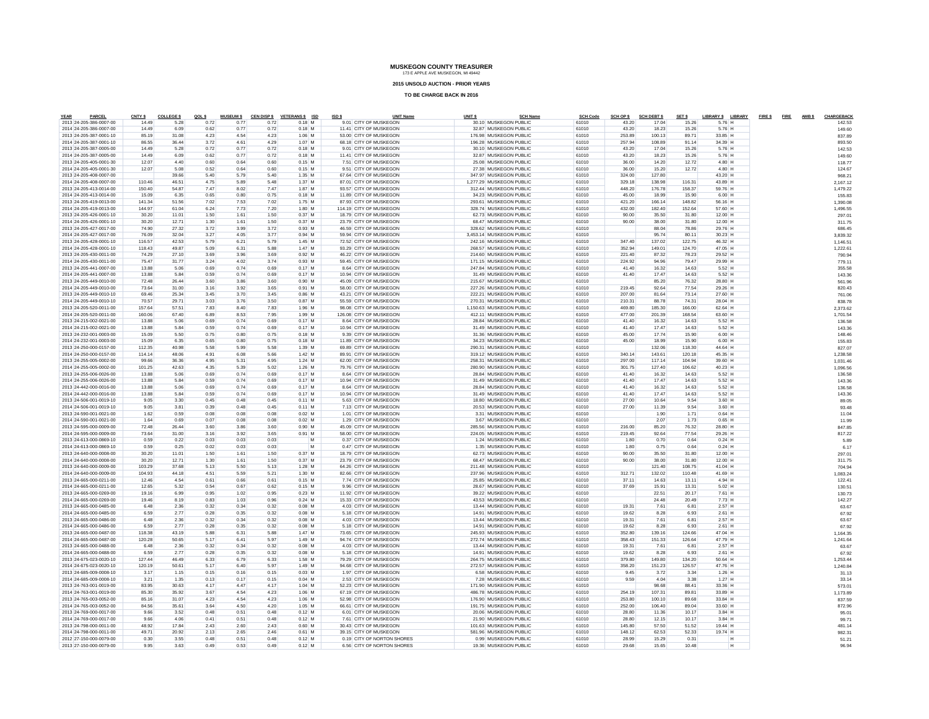**2015 UNSOLD AUCTION - PRIOR YEARS**

| YEAR<br>PARCEL                                     | CNTY \$        | <b>COLLEGE \$</b> | QOLS         | <b>MUSEUM \$</b> |              | CEN DISP \$ VETERANS \$ ISD | ISD \$ |                                                  | <b>UNIT Name</b> | UNIT <sub>S</sub> |                                                 | <b>SCH Name</b> | <b>SCH Code</b> | SCH OP \$       | <b>SCH DEBT \$</b> | SET \$         | LIBRARY \$ LIBRARY   | FIRE \$FIRE AMBS | CHARGEBACK           |
|----------------------------------------------------|----------------|-------------------|--------------|------------------|--------------|-----------------------------|--------|--------------------------------------------------|------------------|-------------------|-------------------------------------------------|-----------------|-----------------|-----------------|--------------------|----------------|----------------------|------------------|----------------------|
| 2013 24-205-386-0007-00                            | 14.49          | 5.28              | 0.72         | 0.77             | 0.72         | $0.18$ M                    |        | 9.01 CITY OF MUSKEGON                            |                  |                   | 30.10 MUSKEGON PUBLIC                           |                 | 61010           | 43.20           | 17.04              | 15.26          | 5.76 H               |                  | 142.53               |
| 2014 24-205-386-0007-00                            | 14.49          | 6.09              | 0.62         | 0.77             | 0.72         | $0.18$ M                    |        | 11.41 CITY OF MUSKEGON                           |                  |                   | 32.87 MUSKEGON PUBLIC                           |                 | 61010           | 43.20           | 18.23              | 15.26          | 5.76 H               |                  | 149.60               |
| 2013 24-205-387-0001-10                            | 85.19          | 31.08             | 4.23         | 4.54             | 4.23         | 1.06 M                      |        | 53.00 CITY OF MUSKEGON                           |                  |                   | 176.98 MUSKEGON PUBLIC                          |                 | 61010           | 253.89          | 100.13             | 89.71          | 33.85 H              |                  | 837.89               |
| 2014 24-205-387-0001-10                            | 86.55          | 36.44             | 3.72         | 4.61             | 4.29         | 1.07 M                      |        | 68.18 CITY OF MUSKEGON                           |                  |                   | 196.28 MUSKEGON PUBLIC                          |                 | 61010           | 257.94          | 108.89             | 91.14          | 34.39 H              |                  | 893.50               |
| 2013 24-205-387-0005-00                            | 14.49          | 5.28              | 0.72         | 0.77             | 0.72         | $0.18$ M                    |        | 9.01 CITY OF MUSKEGON                            |                  |                   | 30.10 MUSKEGON PUBLIC                           |                 | 61010           | 43.20           | 17.04              | 15.26          | 5.76 H               |                  | 142.53               |
| 2014 24-205-387-0005-00                            | 14.49          | 6.09              | 0.62         | 0.77             | 0.72         | $0.18$ M                    |        | 11.41 CITY OF MUSKEGON                           |                  |                   | 32.87 MUSKEGON PUBLIC                           |                 | 61010           | 43.20           | 18.23              | 15.26          | 5.76 H               |                  | 149.60               |
| 2013 24-205-405-0001-30                            | 12.07          | 4.40              | 0.60         | 0.64             | 0.60         | $0.15$ M                    |        | 7.51 CITY OF MUSKEGON                            |                  |                   | 25.08 MUSKEGON PUBLIC                           |                 | 61010           | 36.00           | 14.20              | 12.72          | 4.80 H               |                  | 118.77               |
| 2014 24-205-405-0001-30                            | 12.07          | 5.08              | 0.52         | 0.64             | 0.60         | $0.15$ M                    |        | 9.51 CITY OF MUSKEGON                            |                  |                   | 27.38 MUSKEGON PUBLIC                           |                 | 61010           | 36.00           | 15.20              | 12.72          | 4.80 H               |                  | 124.67               |
| 2013 24-205-408-0007-00                            |                | 39.66             | 5.40         | 5.79             | 5.40         | 1.35 M                      |        | 67.64 CITY OF MUSKEGON                           |                  |                   | 347.97 MUSKEGON PUBLIC                          |                 | 61010           | 324.00          | 127.80             |                | 43.20 H              |                  | 968.21               |
| 2014 24-205-408-0007-00                            | 110.46         | 46.51             | 4.75         | 5.89             | 5.48         | 1.37 M                      |        | 87.01 CITY OF MUSKEGON                           |                  |                   | 1.277.29 MUSKEGON PUBLIC                        |                 | 61010           | 329.18          | 138.98             | 116.31         | 43.89 H              |                  | 2,167.12             |
| 2013 24-205-413-0014-00                            | 150.40         | 54.87             | 7.47         | 8.02             | 7.47         | 1.87 M                      |        | 93.57 CITY OF MUSKEGON                           |                  |                   | 312.44 MUSKEGON PUBLIC                          |                 | 61010           | 448.20          | 176.78             | 158.37         | 59.76 H              |                  | 1479.22              |
| 2014 24-205-413-0014-00                            | 15.09          | 6.35              | 0.65         | 0.80             | 0.75         | $0.18$ M                    |        | 11.89 CITY OF MUSKEGON                           |                  |                   | 34.23 MUSKEGON PUBLIC                           |                 | 61010           | 45.00           | 18.99              | 15.90          | 6.00 H               |                  | 155.83               |
| 2013 24-205-419-0013-00                            | 141.34         | 51.56             | 7.02         | 7.53             | 7.02         | 1.75 M                      |        | 87.93 CITY OF MUSKEGON                           |                  |                   | 293.61 MUSKEGON PUBLIC                          |                 | 61010           | 421.20          | 166.14             | 148.82         | 56.16 H              |                  | 1.390.08             |
| 2014 24-205-419-0013-00                            | 144.97         | 61.04             | 6.24         | 7.73             | 7.20         | 1.80 M                      |        | 114 19 CITY OF MUSKEGON                          |                  |                   | 328.74 MUSKEGON PUBLIC                          |                 | 61010           | 432.00          | 182.40             | 152.64         | 57.60 H              |                  | 1.496.55             |
| 2013 24-205-426-0001-10                            | 30.20          | 11.01             | 1.50         | 1.61             | 1.50         | $0.37$ M                    |        | 18.79 CITY OF MUSKEGON                           |                  |                   | 62.73 MUSKEGON PUBLIC                           |                 | 61010           | 90.00           | 35.50              | 31.80          | 12.00 H              |                  | 297.01               |
| 2014 24-205-426-0001-10                            | 30.20          | 12.71             | 1.30         | 1.61             | 1.50         | $0.37$ M                    |        | 23.79 CITY OF MUSKEGON                           |                  |                   | 68.47 MUSKEGON PUBLIC                           |                 | 61010           | 90.00           | 38.00              | 31.80          | 12.00 H              |                  | 311.75               |
| 2013 24-205-427-0017-00                            | 74.90          | 27.32             | 3.72         | 3.99             | 3.72         | 0.93 M                      |        | 46.59 CITY OF MUSKEGON                           |                  |                   | 328.62 MUSKEGON PUBLIC                          |                 | 61010           |                 | 88.04              | 78.86          | 29.76 H              |                  | 686.45               |
| 2014 24-205-427-0017-00                            | 76.09          | 32.04             | 3.27         | 4.05             | 3.77         | $0.94$ M                    |        | 59.94 CITY OF MUSKEGON                           |                  |                   | 3.453.14 MUSKEGON PUBLIC                        |                 | 61010           |                 | 95.74              | 80.11          | 30.23 H              |                  | 383932               |
| 2013 24-205-428-0001-10                            | 116.57         | 42.53             | 5.79         | 6.21             | 5.79         | 1.45 M                      |        | 72.52 CITY OF MUSKEGON                           |                  |                   | 242.16 MUSKEGON PUBLIC                          |                 | 61010           | 347.40          | 137.02             | 122.75         | 46.32 H              |                  | 1.146.51             |
| 2014 24-205-428-0001-10                            | 118.43         | 49.87             | 5.09         | 6.31             | 5.88         | 1.47 M                      |        | 93.29 CITY OF MUSKEGON                           |                  |                   | 268.57 MUSKEGON PUBLIC                          |                 | 61010           | 352.94          | 149.01             | 124.70         | 47.05 H              |                  | 1,222.61             |
| 2013 24-205-430-0011-00                            | 74.29          | 27.10             | 3.69         | 3.96             | 3.69         | $0.92$ M                    |        | 46.22 CITY OF MUSKEGON                           |                  |                   | 214.60 MUSKEGON PUBLIC                          |                 | 61010           | 221.40          | 87.32              | 78.23          | 29.52 H              |                  | 790.94               |
| 2014 24-205-430-0011-00                            | 75.47          | 31.77             | 3.24         | 4.02             | 3.74         | $0.93$ M                    |        | 59.45 CITY OF MUSKEGON                           |                  |                   | 171.15 MUSKEGON PUBLIC                          |                 | 61010           | 224.92          | 94.96              | 79.47          | 29.99 H              |                  | 779.11               |
| 2013 24-205-441-0007-00                            | 13,88          | 5.06              | 0.69         | 0.74             | 0.69         | $0.17$ M                    |        | 8.64 CITY OF MUSKEGON                            |                  |                   | 247 84 MUSKEGON PUBLIC                          |                 | 61010           | 41.40           | 16.32              | 14.63          | 5.52 H               |                  | 355.58               |
| 2014 24-205-441-0007-00                            | 13.88          | 5.84              | 0.59         | 0.74             | 0.69         | $0.17$ M                    |        | 10.94 CITY OF MUSKEGON                           |                  |                   | 31.49 MUSKEGON PUBLIC                           |                 | 61010           | 41.40           | 17.47              | 14.63          | 5.52 H               |                  | 143.36               |
| 2013 24-205-449-0010-00                            | 72.48          | 26.44             | 3.60         | 3.86             | 3.60         | $0.90$ M                    |        | 45.09 CITY OF MUSKEGON                           |                  |                   | 215.67 MUSKEGON PUBLIC                          |                 | 61010           |                 | 85.20              | 76.32          | 28.80 H              |                  | 561.96               |
| 2014 24-205-449-0010-00                            | 73.64          | 31.00             | 3.16         | 3.92             | 3.65         | $0.91$ M                    |        | 58.00 CITY OF MUSKEGON                           |                  |                   | 227.26 MUSKEGON PUBLIC                          |                 | 61010           | 219.45          | 92.64              | 77.54          | 29.26 H              |                  | 820.43               |
| 2013 24-205-449-0010-10                            | 69.46          | 25.34             | 3.45         | 3.70             | 3.45         | 0.86 M                      |        | 43.21 CITY OF MUSKEGON                           |                  |                   | 222.21 MUSKEGON PUBLIC                          |                 | 61010           | 207.00          | 81.64              | 73.14          | 27.60 H              |                  | 761.06               |
| 2014 24-205-449-0010-10                            | 70.57          | 29.71             | 3.03         | 3.76             | 3.50         | $0.87$ M                    |        | 55.59 CITY OF MUSKEGON                           |                  |                   | 270.31 MUSKEGON PUBLIC                          |                 | 61010           | 210.31          | 88.78              | 74.31          | 28.04 H              |                  | 838.78               |
| 2013 24-205-520-0011-00                            | 157.64         | 57.51             | 7.83         | 8.40             | 7.83         | 1.96 M                      |        | 98.08 CITY OF MUSKEGON                           |                  |                   | 1,150.63 MUSKEGON PUBLIC                        |                 | 61010           | 469.80          | 185.30             | 166.00         | 62.64 H              |                  | 2.373.62             |
| 2014 24-205-520-0011-00                            | 160.06         | 67.40             | 6.89         | 8.53             | 7.95         | 1.99 M                      |        | 126.08 CITY OF MUSKEGON                          |                  |                   | 412.11 MUSKEGON PUBLIC                          |                 | 61010           | 477.00          | 201.39             | 168.54         | 63.60 H              |                  | 1.701.54             |
| 2013 24-215-002-0021-00                            | 13.88          | 5.06              | 0.69         | 0.74             | 0.69         | $0.17$ M                    |        | 8.64 CITY OF MUSKEGON                            |                  |                   | 28.84 MUSKEGON PUBLIC                           |                 | 61010           | 41.40           | 16.32              | 14.63          | 5.52 H               |                  | 136.58               |
| 2014 24-215-002-0021-00                            | 13.88          | 5.84              | 0.59         | 0.74             | 0.69         | $0.17$ M                    |        | 10.94 CITY OF MUSKEGON                           |                  |                   | 31.49 MUSKEGON PUBLIC                           |                 | 61010           | 41.40           | 17.47              | 14.63          | 5.52 H               |                  | 143.36               |
| 2013 24-232-001-0003-00                            | 15.09          | 5.50              | 0.75         | 0.80             | 0.75         | 0.18 M                      |        | 9.39 CITY OF MUSKEGON                            |                  |                   | 31.36 MUSKEGON PUBLIC                           |                 | 61010           | 45.00           | 17.74              | 15.90          | 6.00 H               |                  | 148.46               |
| 2014 24-232-001-0003-00                            | 15.09          | 6.35              | 0.65         | 0.80             | 0.75         | $0.18$ M                    |        | 11.89 CITY OF MUSKEGON                           |                  |                   | 34.23 MUSKEGON PUBLIC                           |                 | 61010           | 45.00           | 18.99              | 15.90          | 6.00 H               |                  | 155.83               |
| 2013 24-250-000-0157-00                            | 112.35         | 40.98             | 5.58         | 5.99             | 5.58         | 1.39 M                      |        | 69.89 CITY OF MUSKEGON                           |                  |                   | 290.31 MUSKEGON PUBLIC                          |                 | 61010           |                 | 132.06             | 118,30         | 44.64 H              |                  | 827.07               |
| 2014 24-250-000-0157-00                            | 114.14         | 48.06             | 4.91         | 6.08             | 5.66         | $1.42$ M                    |        | 89.91 CITY OF MUSKEGON                           |                  |                   | 319.12 MUSKEGON PUBLIC                          |                 | 61010           | 340.14          | 143.61             | 120.18         | 45.35 H              |                  | 1,238.58             |
| 2013 24-255-005-0002-00                            | 99.66          | 36.36             | 4.95         | 5.31             | 4.95         | 1.24 M                      |        | 62.00 CITY OF MUSKEGON                           |                  |                   | 258.31 MUSKEGON PUBLIC                          |                 | 61010           | 297.00          | 117.14             | 104.94         | 39.60 H              |                  | 1.031.46             |
| 2014 24-255-005-0002-00                            | 101.25         | 42.63             | 4.35         | 5.39             | 5.02         | 1.26 M                      |        | 79.76 CITY OF MUSKEGON                           |                  |                   | 280.90 MUSKEGON PUBLIC                          |                 | 61010           | 301.75          | 127.40             | 106.62         | 40.23 H              |                  | 1.096.56             |
| 2013 24-255-006-0026-00                            | 13.88          | 5.06              | 0.69         | 0.74             | 0.69         | $0.17$ M                    |        | 8.64 CITY OF MUSKEGON                            |                  |                   | 28.84 MUSKEGON PUBLIC                           |                 | 61010           | 41.40           | 16.32              | 14.63          | 5.52 H               |                  | 136.58               |
| 2014 24-255-006-0026-00                            | 13.88          | 5.84              | 0.59         | 0.74             | 0.69         | $0.17$ M                    |        | 10.94 CITY OF MUSKEGON                           |                  |                   | 31.49 MUSKEGON PUBLIC                           |                 | 61010           | 41.40           | 17.47              | 14.63          | 5.52 H               |                  | 143.36               |
| 2013 24-442-000-0016-00                            | 13,88          | 5.06              | 0.69         | 0.74             | 0.69         | $0.17$ M                    |        | 8.64 CITY OF MUSKEGON                            |                  |                   | 28.84 MUSKEGON PUBLIC                           |                 | 61010           | 41.40           | 16.32              | 14.63          | 5.52 H               |                  | 136.58               |
| 2014 24-442-000-0016-00                            | 13.88          | 5.84              | 0.59         | 0.74             | 0.69         | $0.17$ M                    |        | 10.94 CITY OF MUSKEGON                           |                  |                   | 31.49 MUSKEGON PUBLIC                           |                 | 61010           | 41.40           | 17.47              | 14.63          | 5.52 H               |                  | 143.36               |
| 2013 24-506-001-0019-10                            | 9.05           | 3.30              | 0.45         | 0.48             | 0.45         | $0.11$ M                    |        | 5.63 CITY OF MUSKEGON                            |                  |                   | 18.80 MUSKEGON PUBLIC                           |                 | 61010           | 27.00           | 10.64              | 9.54           | 3.60 H               |                  | 89.05                |
| 2014 24-506-001-0019-10                            | 9.05           | 3.81              | 0.39         | 0.48             | 0.45         | $0.11$ M                    |        | 7.13 CITY OF MUSKEGON                            |                  |                   | 20.53 MUSKEGON PUBLIC                           |                 | 61010           | 27.00           | 11.39              | 9.54           | 3.60 H               |                  | 93.48                |
| 2013 24-590-001-0021-00                            | 1.62           | 0.59              | 0.08         | 0.08             | 0.08         | $0.02$ M                    |        | 1.01 CITY OF MUSKEGON                            |                  |                   | 3.31 MUSKEGON PUBLIC                            |                 | 61010           |                 | 1.90               | 1.71           | $0.64$ H             |                  | 11.04                |
| 2014 24-590-001-0021-00                            | 1.64           | 0.69              | 0.07         | 0.08             | 0.08         | $0.02$ M                    |        | 1.29 CITY OF MUSKEGON                            |                  |                   | 3.67 MUSKEGON PUBLIC                            |                 | 61010           |                 | 2.07               | 1.73           | $0.65$ H             |                  | 11.99                |
| 2013 24-595-000-0009-00                            | 7248           | 26.44             | 3.60         | 3.86             | 3.60         | 0.90 M                      |        | 45.09 CITY OF MUSKEGON                           |                  |                   | 285.56 MUSKEGON PUBLIC                          |                 | 61010           | 216.00          | 85.20              | 76.32          | 28.80 H              |                  | 847.85               |
| 2014 24-595-000-0009-00                            | 73.64          | 31.00             | 3.16         | 3.92             | 3.65         | $0.91$ M                    |        | 58.00 CITY OF MUSKEGON                           |                  |                   | 224.05 MUSKEGON PUBLIC                          |                 | 61010           | 219.45          | 92.64              | 77.54          | 29.26 H              |                  | 817.22               |
| 2013 24-613-000-0869-10                            | 0.59           | 0.22              | 0.03         | 0.03             | 0.03         | M                           |        | 0.37 CITY OF MUSKEGON                            |                  |                   | 1.24 MUSKEGON PUBLIC                            |                 | 61010           | 1.80            | 0.70               | 0.64           | $0.24$ H             |                  | 5.89                 |
| 2014 24-613-000-0869-10                            | 0.59           | 0.25              | 0.02         | 0.03             | 0.03         | M                           |        | 0.47 CITY OF MUSKEGON                            |                  |                   | 1.35 MUSKEGON PUBLIC                            |                 | 61010           | 1.80            | 0.75               | 0.64           | $0.24$ H             |                  | 6.17                 |
| 2013 24-640-000-0008-00                            | 30.20          | 11.01             | 1.50         | 1.61             | 1.50         | $0.37$ M                    |        | 18.79 CITY OF MUSKEGON                           |                  |                   | 62.73 MUSKEGON PUBLIC                           |                 | 61010           | 90.00           | 35.50              | 31.80          | 12.00 H              |                  | 297.01               |
| 2014 24-640-000-0008-00                            | 30.20          | 12.71             | 1.30         | 1.61             | 1.50         | $0.37$ M                    |        | 23.79 CITY OF MUSKEGON                           |                  |                   | 68.47 MUSKEGON PUBLIC                           |                 | 61010           | 90.00           | 38.00              | 31.80          | 12.00 H              |                  | 311.75               |
| 2013 24-640-000-0009-00                            | 103.29         | 37.68             | 5.13         | 5.50             | 5.13         | $1.28$ M                    |        | 64.26 CITY OF MUSKEGON                           |                  |                   | 211.48 MUSKEGON PUBLIC                          |                 | 61010           |                 | 121.40             | 108.75         | 41.04 H              |                  | 704.94               |
| 2014 24-640-000-0009-00                            | 104.93         | 44.18             | 4.51         | 5.59             | 5.21         | 1.30 M                      |        | 82.66 CITY OF MUSKEGON                           |                  |                   | 237.96 MUSKEGON PUBLIC                          |                 | 61010           | 312.71          | 132.02             | 110.48         | 41.69 H              |                  | 1.083.24             |
| 2013 24-665-000-0211-00                            | 12.46          | 4.54              | 0.61<br>0.54 | 0.66<br>0.67     | 0.61         | $0.15$ M<br>$0.15$ M        |        | 7.74 CITY OF MUSKEGON                            |                  |                   | 25.85 MUSKEGON PUBLIC                           |                 | 61010<br>61010  | 37.11           | 14.63              | 13.11<br>13.31 | 4.94 H               |                  | 122.41               |
| 2014 24-665-000-0211-00                            | 12.65          | 5.32              |              |                  | 0.62         |                             |        | 9.96 CITY OF MUSKEGON                            |                  |                   | 28.67 MUSKEGON PUBLIC                           |                 |                 | 37.69           | 15.91              |                | $5.02$ H             |                  | 130.51               |
| 2013 24-665-000-0269-00<br>2014 24-665-000-0269-00 | 19.16<br>19.46 | 6.99<br>8.19      | 0.95<br>0.83 | 1.02<br>1.03     | 0.95<br>0.96 | $0.23$ M<br>$0.24$ M        |        | 11.92 CITY OF MUSKEGON<br>15.33 CITY OF MUSKEGON |                  |                   | 39.22 MUSKEGON PUBLIC<br>43.53 MUSKEGON PUBLIC  |                 | 61010<br>61010  |                 | 22.51<br>24.48     | 20.17<br>20.49 | 7.61 H<br>7.73 H     |                  | 130.73               |
| 2013 24-665-000-0485-00                            | 6.48           | 2.36              | 0.32         | 0.34             | 0.32         | $0.08$ M                    |        | 4.03 CITY OF MUSKEGON                            |                  |                   | 13.44 MUSKEGON PUBLIC                           |                 | 61010           | 19.31           | 7.61               | 6.81           | 2.57 H               |                  | 142.27               |
| 2014 24-665-000-0485-00                            | 6.59           | 2.77              | 0.28         | 0.35             | 0.32         | $0.08$ M                    |        | 5.18 CITY OF MUSKEGON                            |                  |                   | 14.91 MUSKEGON PUBLIC                           |                 | 61010           | 19.62           | 8.28               | 6.93           | 2.61 H               |                  | 63.67                |
| 2013 24-665-000-0486-00                            | 6.48           | 2.36              | 0.32         | 0.34             | 0.32         | $0.08$ M                    |        | 4.03 CITY OF MUSKEGON                            |                  |                   | 13.44 MUSKEGON PUBLIC                           |                 | 61010           | 19.31           | 7.61               | 6.81           | 2.57 H               |                  | 67.92                |
| 2014 24-665-000-0486-00                            | 6.59           |                   |              |                  | 0.32         |                             |        | 5.18 CITY OF MUSKEGON                            |                  |                   | 14.91 MUSKEGON PUBLIC                           |                 |                 |                 |                    |                |                      |                  | 63.67                |
| 2013 24-665-000-0487-00                            | 118.38         | 2.77<br>43.19     | 0.28<br>5.88 | 0.35<br>6.31     | 5.88         | $0.08$ M<br>1.47 M          |        | 73 65 CITY OF MUSKEGON                           |                  |                   | 245.93 MUSKEGON PUBLIC                          |                 | 61010<br>61010  | 19.62<br>352.80 | 8.28<br>139.16     | 6.93<br>124.66 | 2.61 H<br>47.04 H    |                  | 67.92                |
| 2014 24-665-000-0487-00                            | 120.28         | 50.65             | 5.17         | 641              | 5.97         | 1.49 M                      |        | 94 74 CITY OF MUSKEGON                           |                  |                   | 272.74 MUSKEGON PUBLIC                          |                 | 61010           | 358.43          | 151.33             | 126.64         | 47.79 H              |                  | 1,164.35<br>1.241.64 |
|                                                    |                |                   |              |                  |              |                             |        |                                                  |                  |                   |                                                 |                 |                 |                 |                    |                |                      |                  |                      |
| 2013 24-665-000-0488-00                            | 6.48           | 2.36              | 0.32         | 0.34             | 0.32         | $0.08$ M                    |        | 4.03 CITY OF MUSKEGON                            |                  |                   | 13.44 MUSKEGON PUBLIC                           |                 | 61010           | 19.31           | 7.61               | 6.81           | 2.57 H               |                  | 63.67                |
| 2014 24-665-000-0488-00<br>2013 24-675-023-0020-10 | 6.59<br>127.44 | 2.77<br>46.49     | 0.28<br>6.33 | 0.35<br>6.79     | 0.32         | $0.08$ M<br>1.58 M          |        | 5.18 CITY OF MUSKEGON<br>79.29 CITY OF MUSKEGON  |                  |                   | 14.91 MUSKEGON PUBLIC<br>264 75 MUSKEGON PUBLIC |                 | 61010<br>61010  | 19.62<br>379.80 | 8.28<br>149.80     | 6.93<br>134.20 | 2.61 H<br>50.64 H    |                  | 67.92                |
|                                                    |                | 50.61             | 5.17         | 6.40             | 6.33<br>5.97 |                             |        | 94 68 CITY OF MUSKEGON                           |                  |                   | 272.57 MUSKEGON PUBLIC                          |                 | 61010           | 358.20          | 151.23             | 126.57         | 47.76 H              |                  | 1.253.44             |
| 2014 24-675-023-0020-10                            | 120.19         |                   |              |                  |              | 1.49 M                      |        |                                                  |                  |                   |                                                 |                 |                 |                 |                    |                |                      |                  | 1.240.84             |
| 2013 24-685-009-0008-10<br>2014 24-685-009-0008-10 | 3.17<br>3.21   | 1.15<br>1.35      | 0.15<br>0.13 | 0.16<br>0.17     | 0.15<br>0.15 | $0.03$ M<br>$0.04$ M        |        | 1.97 CITY OF MUSKEGON<br>2.53 CITY OF MUSKEGON   |                  |                   | 6.58 MUSKEGON PUBLIC<br>7.28 MUSKEGON PUBLIC    |                 | 61010<br>61010  | 9.45            | 3.72<br>4.04       | 3.34<br>3.38   | $1.26$ H<br>$1.27$ H |                  | 31.13                |
| 2013 24-763-001-0019-00                            | 83.95          | 30.63             | 4.17         | 4.47             | 4.17         | 1.04 M                      |        | 52.23 CITY OF MUSKEGON                           |                  |                   | 171.90 MUSKEGON PUBLIC                          |                 | 61010           | 9.59            | 98.68              | 88.41          | 33.36 H              |                  | 33.14                |
| 2014 24-763-001-0019-00                            | 85.30          | 35.92             | 3.67         | 4.54             | 4.23         | 1.06 M                      |        | 67.19 CITY OF MUSKEGON                           |                  |                   | 486.78 MUSKEGON PUBLIC                          |                 | 61010           | 254.19          | 107.31             | 89.81          | 33.89 H              |                  | 573.01               |
| 2013 24-765-003-0052-00                            | 85.16          | 31.07             | 4.23         | 4.54             |              | 1.06 M                      |        | 52.98 CITY OF MUSKEGON                           |                  |                   | 176.90 MUSKEGON PUBLIC                          |                 | 61010           | 253.80          | 100.10             | 89.68          | 33.84 H              |                  | 1,173.89             |
| 2014 24-765-003-0052-00                            | 84.56          | 35.61             | 3.64         | 4.50             | 4.23<br>4.20 | 1.05 M                      |        | 66.61 CITY OF MUSKEGON                           |                  |                   | 191.75 MUSKEGON PUBLIC                          |                 | 61010           | 252.00          | 106.40             | 89.04          | 33.60 H              |                  | 837.59               |
| 2013 24-769-000-0017-00                            | 9.66           | 3.52              | 0.48         | 0.51             | 0.48         | $0.12$ M                    |        | 6.01 CITY OF MUSKEGON                            |                  |                   | 20.06 MUSKEGON PUBLIC                           |                 | 61010           | 28.80           | 11.36              | 10.17          | 3.84 H               |                  | 872.96<br>95.0       |
| 2014 24-769-000-0017-00                            | 9.66           | 4.06              | 0.41         | 0.51             | 0.48         | $0.12$ M                    |        | 7.61 CITY OF MUSKEGON                            |                  |                   | 21.90 MUSKEGON PUBLIC                           |                 | 61010           | 28.80           | 12.15              | 10.17          | 3.84 H               |                  | 99.71                |
| 2013 24-798-000-0011-00                            | 48.92          | 17.84             | 2.43         | 2.60             | 2.43         | $0.60$ M                    |        | 30.43 CITY OF MUSKEGON                           |                  |                   | 101.63 MUSKEGON PUBLIC                          |                 | 61010           | 145.80          | 57.50              | 51.52          | 19.44 H              |                  | 481.14               |
| 2014 24-798-000-0011-00                            | 49.71          | 20.92             | 2.13         | 2.65             | 2.46         | $0.61$ M                    |        | 39.15 CITY OF MUSKEGON                           |                  |                   | 581.96 MUSKEGON PUBLIC                          |                 | 61010           | 148.12          | 62.53              | 52.33          | 19.74 H              |                  | 982.31               |
| 2012 27-150-000-0079-00                            | 0.30           | 3.55              | 0.48         | 0.51             | 0.48         | $0.12$ M                    |        | 0.19 CITY OF NORTON SHORES                       |                  |                   | 0.99 MUSKEGON PUBLIC                            |                 | 61010           | 28.99           | 15.29              | 0.31           |                      |                  | 51.21                |
| 2013 27-150-000-0079-00                            | 9.95           | 3.63              | 0.49         | 0.53             | 0.49         | $0.12$ M                    |        | 6.56 CITY OF NORTON SHORES                       |                  |                   | 19.36 MUSKEGON PUBLIC                           |                 | 61010           | 29.68           | 15.65              | 10.48          | н                    |                  | 96.94                |
|                                                    |                |                   |              |                  |              |                             |        |                                                  |                  |                   |                                                 |                 |                 |                 |                    |                |                      |                  |                      |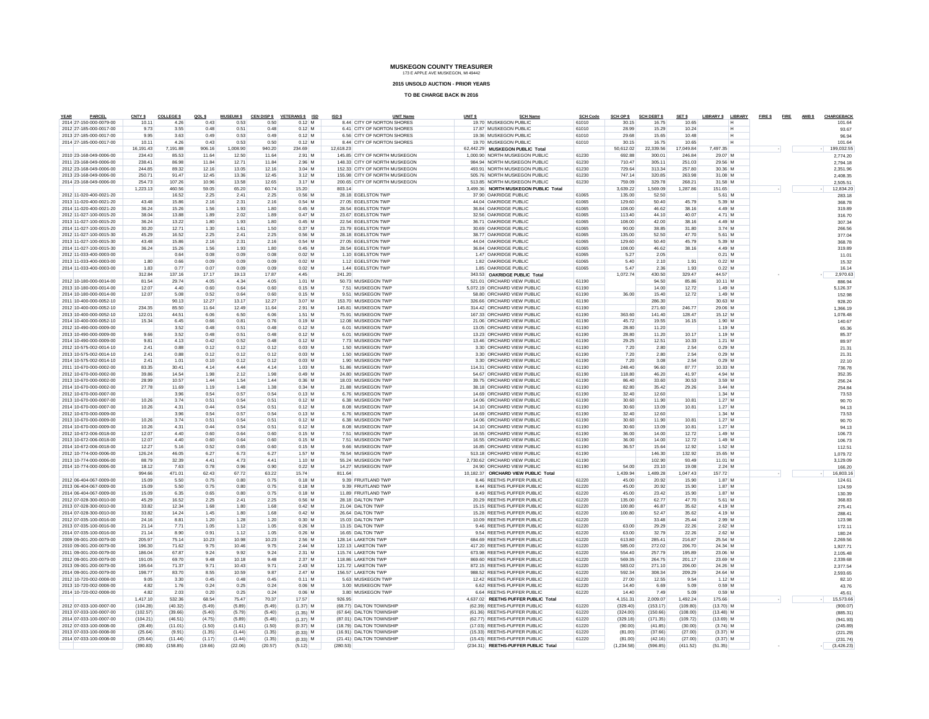**2015 UNSOLD AUCTION - PRIOR YEARS**

| PARCEL<br>YEAR                                     | CNTY \$            | <b>COLLEGE \$</b>  | QOL \$           | <b>MUSEUM \$</b> | <b>CEN DISP \$</b> | <b>VETERANS \$ ISD</b>   | ISD \$    | <b>UNIT Name</b>                                         | UNIT <sub>S</sub> | <b>SCH Name</b>                                              | <b>SCH Code</b> | SCH OP \$          | <b>SCH DEBT \$</b> | SET \$             | LIBRARY \$                | <b>LIBRARY</b> | FIRE \$FIRE AMB \$ |  | CHARGEBACI           |
|----------------------------------------------------|--------------------|--------------------|------------------|------------------|--------------------|--------------------------|-----------|----------------------------------------------------------|-------------------|--------------------------------------------------------------|-----------------|--------------------|--------------------|--------------------|---------------------------|----------------|--------------------|--|----------------------|
| 2014 27-150-000-0079-00<br>2012 27-185-000-0017-00 | 10.11<br>9.73      | 4.26<br>3.55       | 0.43<br>0.48     | 0.53<br>0.51     | 0.50<br>0.48       | $0.12$ M<br>$0.12$ M     |           | 8.44 CITY OF NORTON SHORES<br>6.41 CITY OF NORTON SHORES |                   | 19.70 MUSKEGON PUBLIC<br>17.87 MUSKEGON PUBLIC               | 61010<br>61010  | 30.15<br>28.99     | 16.75<br>15.29     | 10.65<br>10.24     |                           |                |                    |  | 101.64<br>93.67      |
| 2013 27-185-000-0017-00                            | 9.95               | 3.63               | 0.49             | 0.53             | 0.49               | $0.12$ M                 |           | 6.56 CITY OF NORTON SHORES                               |                   | 19.36 MUSKEGON PUBLIC                                        | 61010           | 29.68              | 15.65              | 10.48              | н                         |                |                    |  | 96.94                |
| 2014 27-185-000-0017-00                            | 10.11              | 4.26               | 0.43             | 0.53             | 0.50               | $0.12$ M                 |           | 8.44 CITY OF NORTON SHORES                               |                   | 19.70 MUSKEGON PUBLIC                                        | 61010           | 30.15              | 16.75              | 10.65              | н                         |                |                    |  | 101.64               |
|                                                    | 16.191.43          | 7,191.88           | 906.16           | 1.008.90         | 940.20             | 234.69                   | 12.618.23 |                                                          |                   | 62.442.29 MUSKEGON PUBLIC Total                              |                 | 50.612.02          | 22.339.56          | 17,049.84          | 7.497.35                  |                |                    |  | 199,032.55           |
| 2010 23-168-049-0006-00                            | 234.43             | 85.53              | 11.64            | 12.50            | 11.64              | $2.91$ M                 |           | 145.85 CITY OF NORTH MUSKEGON                            |                   | 1,000.90 NORTH MUSKEGON PUBLIC                               | 61230           | 692.88             | 300.01             | 246.84             | 29.07 M                   |                |                    |  | 2.774.20             |
| 2011 23-168-049-0006-00                            | 238.41             | 86.98              | 11.84            | 12.71            | 11.84              | 2.96 M                   |           | 148.33 CITY OF NORTH MUSKEGON                            |                   | 984 94 NORTH MUSKEGON PUBLIC                                 | 61230           | 710.47             | 305 11             | 251.03             | 29.56 M                   |                |                    |  | 2.794.18             |
| 2012 23-168-049-0006-00                            | 244.85             | 89.32              | 12.16            | 13.05            | 12.16              | $3.04$ M                 |           | 152.33 CITY OF NORTH MUSKEGON                            |                   | 493.91 NORTH MUSKEGON PUBLIC                                 | 61230           | 729.64             | 313.34             | 25780              | 30.36 M                   |                |                    |  | 2.351.96             |
| 2013 23-168-049-0006-00                            | 250.71             | 91.47              | 12.45            | 13.36            | 12.45              | $3.12$ M                 |           | 155.98 CITY OF NORTH MUSKEGON                            |                   | 505.76 NORTH MUSKEGON PUBLIC                                 | 61230           | 747.14             | 320.85             | 263.98             | 31.08 M                   |                |                    |  | 2.408.35             |
| 2014 23-168-049-0006-00                            | 254.73             | 107.26             | 10.96            | 13.58            | 12.65              | 3.17 M                   |           | 200.65 CITY OF NORTH MUSKEGON                            |                   | 513.85 NORTH MUSKEGON PUBLIC                                 | 61230           | 759.09             | 329.78             | 268.21             | 31.58 M                   |                |                    |  | 2,505.5              |
|                                                    | 1.223.13           | 460.56             | 59.05            | 65.20            | 60.74              | 15.20                    | 803.14    |                                                          |                   | 3,499.36 NORTH MUSKEGON PUBLIC Total                         |                 | 3.639.22           | 1.569.09           | 1.287.86           | 151.65                    |                |                    |  | 12,834.20            |
| 2012 11-020-400-0021-20                            |                    | 16.52              | 2.25             | 2.41             | 2.25               | $0.56$ M                 |           | 28.18 EGELSTON TWF                                       |                   | 37.90 OAKRIDGE PUBLIC                                        | 61065           | 135.00             | 52.50              |                    | 5.61 M                    |                |                    |  | 283.18               |
| 2013 11-020-400-0021-20                            | 43.48              | 15.86              | 2.16             | 2.31             | 2.16               | $0.54$ M                 |           | 27.05 EGELSTON TWP                                       |                   | 44.04 OAKRIDGE PUBLIC                                        | 61065           | 129.60             | 50.40              | 45.79              | 5.39 M                    |                |                    |  | 368.7                |
| 2014 11-020-400-0021-20                            | 36.24              | 15.26              | 1.56             | 1.93             | 1.80               | $0.45$ M                 |           | 28.54 FGELSTON TWE                                       |                   | 36.84 OAKRIDGE PUBLIC                                        | 61065           | 108.00             | 46.62              | 38.16              | 4.49 M                    |                |                    |  | 319.89               |
| 2012 11-027-100-0015-20                            | 38.04              | 13.88              | 1.89             | 2.02             | 1.89               | $0.47$ M                 |           | 23.67 EGELSTON TWF                                       |                   | 32.56 OAKRIDGE PUBLIC                                        | 61065           | 113.40             | 44.10              | 40.07              | 4.71 M                    |                |                    |  | 316.70               |
| 2013 11-027-100-0015-20                            | 36.24              | 13.22              | 1.80             | 1.93             | 1.80               | $0.45$ M                 |           | 22.54 EGELSTON TWF                                       |                   | 36.71 OAKRIDGE PUBLIC                                        | 61065           | 108.00             | 42.00              | 38.16              | 4.49 M                    |                |                    |  | 307.3                |
| 2014 11-027-100-0015-20                            | 30.20              | 12.71              | 1.30             | 1.61             | 1.50               | $0.37$ M                 |           | 23.79 EGELSTON TWF                                       |                   | 30.69 OAKRIDGE PUBLIC                                        | 61065           | 90.00              | 38.85              | 31.80              | $3.74$ M                  |                |                    |  | 266.5                |
| 2012 11-027-100-0015-30                            | 45.29              | 16.52              | 2.25             | 2.41             | 2.25               | 0.56 M                   |           | 28.18 FGELSTON TWE                                       |                   | 38.77 OAKRIDGE PUBLIC                                        | 61065           | 135.00             | 52.50              | 47.70              | 5.61 M                    |                |                    |  | 377.04               |
| 2013 11-027-100-0015-30                            | 43.48              | 15.86              | 2.16             | 2.31             | 2.16               | 0.54 M                   |           | 27.05 EGELSTON TWP                                       |                   | 44.04 OAKRIDGE PUBLIC                                        | 61065           | 129.60             | 50.40              | 45.79              | 5.39 M                    |                |                    |  | 368.78               |
| 2014 11-027-100-0015-30                            | 36.24              | 15.26              | 1.56             | 1.93             | 1.80               | $0.45$ M                 |           | 28.54 EGELSTON TWF                                       |                   | 36.84 OAKRIDGE PUBLIC                                        | 61065           | 108.00             | 46.62              | 38.16              | 4.49 M                    |                |                    |  | 319.8                |
| 2012 11-033-400-0003-00                            |                    | 0.64               | 0.08             | 0.09             | 0.08               | $0.02$ M                 |           | 1.10 FGELSTON TWE                                        |                   | 1.47 OAKRIDGE PUBLIC                                         | 61065           | 5.27               | 2.05               |                    | 0.21 M                    |                |                    |  | 11.0                 |
| 2013 11-033-400-0003-00                            | 1.80               | 0.66               | 0.09             | 0.09             | 0.09               | $0.02$ M                 |           | 1.12 EGELSTON TWF                                        |                   | 1.82 OAKRIDGE PUBLIC                                         | 61065           | 5.40               | 2.10               | 1.91               | $0.22$ M                  |                |                    |  | 15.32                |
| 2014 11-033-400-0003-00                            | 1.83               | 0.77               | 0.07             | 0.09             | 0.09               | $0.02$ M                 |           | 1.44 EGELSTON TWF                                        |                   | 1.85 OAKRIDGE PUBLIC                                         | 61065           | 5.47               | 2.36               | 1.93               | $0.22$ M                  |                |                    |  | 16.14                |
|                                                    | 312.84             | 137.16             | 17.17            | 19.13            | 17.87              | 4.45                     | 241.20    |                                                          |                   | 343.53 OAKRIDGE PUBLIC Total                                 |                 | 1,072.74           | 430.50             | 329.47             | 44.57                     |                |                    |  | 2.970.63             |
| 2012 10-180-000-0014-00                            | 81.54              | 29.74              | 4.05             | 4.34             | 4.05               | $1.01$ M                 |           | 50.73 MUSKEGON TWP                                       |                   | 521.01 ORCHARD VIEW PUBLIC                                   | 61190           |                    | 94.50              | 85.86              | 10.11 M                   |                |                    |  | 886.94               |
| 2013 10-180-000-0014-00                            | 12.07              | 4.40               | 0.60             | 0.64             | 0.60               | $0.15$ M                 |           | 7.51 MUSKEGON TWF                                        |                   | 5.072.19 ORCHARD VIEW PUBLIC                                 | 61190           |                    | 14.00              | 12.72              | $1.49$ M                  |                |                    |  | 5.126.37             |
| 2014 10-180-000-0014-00                            | 12.07              | 5.08               | 0.52             | 0.64             | 0.60               | $0.15$ M                 |           | 9.51 MUSKEGON TWP                                        |                   | 58.80 ORCHARD VIEW PUBLIC                                    | 61190           | 36.00              | 15.40              | 12.72              | 1.49 M                    |                |                    |  | 152.98               |
| 2011 10-400-000-0052-10                            |                    | 90.13              | 12.27            | 13.17            | 12.27              | 3.07 M                   |           | 153.70 MUSKEGON TWP                                      |                   | 326.66 ORCHARD VIEW PUBLIC                                   | 61190           |                    | 286.30             |                    | 30.63 M                   |                |                    |  | 928.20               |
| 2012 10-400-000-0052-10                            | 234.35             | 85.50              | 11.64            | 12.49            | 11.64              | 2.91 M                   |           | 145.81 MUSKEGON TWP                                      |                   | 314.42 ORCHARD VIEW PUBLIC                                   | 61190           |                    | 271.60             | 246.77             | 29.06 M                   |                |                    |  | 1.366.19             |
| 2013 10-400-000-0052-10                            | 122.01             | 44.51              | 6.06             | 6.50             | 6.06               | $1.51$ M                 |           | 75.91 MUSKEGON TWF                                       |                   | 167.33 ORCHARD VIEW PUBLIC                                   | 61190           | 363.60             | 141.40             | 128.47             | 15.12 M                   |                |                    |  | 1.078.48             |
| 2014 10-400-000-0052-10                            | 15.34              | 645                | 0.66             | 0.81             | 0.76               | $0.19$ M                 |           | 12.08 MUSKEGON TWP                                       |                   | 21.06 ORCHARD VIEW PUBLIC                                    | 61190<br>61190  | 45.72              | 19.55              | 16.15              | 1.90 M                    |                |                    |  | 140.67               |
| 2012 10-490-000-0009-00<br>2013 10-490-000-0009-00 | 9.66               | 3.52<br>3.52       | 0.48<br>0.48     | 0.51<br>0.51     | 0.48<br>0.48       | $0.12$ M<br>$0.12$ M     |           | 6.01 MUSKEGON TWP<br>6.01 MUSKEGON TWF                   |                   | 13.05 ORCHARD VIEW PUBLIC<br>13.23 ORCHARD VIEW PUBLIC       | 61190           | 28.80<br>28.80     | 11.20<br>11.20     | 10.17              | $1.19$ M<br>$1.19$ M      |                |                    |  | 65.36                |
| 2014 10-490-000-0009-00                            | 9.81               | 4.13               | 0.42             | 0.52             | 0.48               | $0.12$ M                 |           | 7.73 MUSKEGON TWP                                        |                   | 13.46 ORCHARD VIEW PUBLIC                                    | 61190           | 29.25              | 12.51              | 10.33              | $1.21$ M                  |                |                    |  | 85.3                 |
| 2012 10-575-002-0014-10                            | 2.41               | 0.88               | 0.12             | 0.12             | 0.12               | $0.03$ M                 |           | 1.50 MUSKEGON TWF                                        |                   | 3.30 ORCHARD VIEW PUBLIC                                     | 61190           | 7.20               | 2.80               | 2.54               | $0.29$ M                  |                |                    |  | 89.9                 |
| 2013 10-575-002-0014-10                            | 2.41               | 0.88               | 0.12             | 0.12             | 0.12               | $0.03$ M                 |           | 1.50 MUSKEGON TWF                                        |                   | 3.30 ORCHARD VIEW PUBLIC                                     | 61190           | 7.20               | 2.80               | 2.54               | $0.29$ M                  |                |                    |  | 21.3                 |
| 2014 10-575-002-0014-10                            | 2.41               | 1.01               | 0.10             | 0.12             | 0.12               | $0.03$ M                 |           | 1.90 MUSKEGON TWP                                        |                   | 3.30 ORCHARD VIEW PUBLIC                                     | 61190           | 7.20               | 3.08               | 2.54               | $0.29$ M                  |                |                    |  | 21.3<br>22.10        |
| 2011 10-670-000-0002-00                            | 83.35              | 30.41              | 4.14             | 4 4 4            | 4.14               | $1.03$ M                 |           | 51.86 MUSKEGON TWP                                       |                   | 114.31 ORCHARD VIEW PUBLIC                                   | 61190           | 248.40             | 96.60              | 87.77              | 10.33 M                   |                |                    |  | 736.78               |
| 2012 10-670-000-0002-00                            | 39.86              | 14.54              | 1.98             | 2.12             | 1.98               | $0.49$ M                 |           | 24.80 MUSKEGON TWP                                       |                   | 54 67 ORCHARD VIEW PUBLIC                                    | 61190           | 118.80             | 46.20              | 41.97              | 4.94 M                    |                |                    |  | 352.35               |
| 2013 10-670-000-0002-00                            | 28.99              | 10.57              | 1.44             | 1.54             | 1.44               | $0.36$ M                 |           | 18.03 MUSKEGON TWP                                       |                   | 39.75 ORCHARD VIEW PUBLIC                                    | 61190           | 86.40              | 33.60              | 30.53              | 3.59 M                    |                |                    |  | 256.24               |
| 2014 10-670-000-0002-00                            | 27.78              | 11.69              | 1.19             | 1.48             | 1.38               | $0.34$ M                 |           | 21.88 MUSKEGON TWP                                       |                   | 38.18 ORCHARD VIEW PUBLIC                                    | 61190           | 82.80              | 35.42              | 29.26              | 3.44M                     |                |                    |  | 254.84               |
| 2012 10-670-000-0007-00                            |                    | 3.96               | 0.54             | 0.57             | 0.54               | $0.13$ M                 |           | 6.76 MUSKEGON TWP                                        |                   | 14.69 ORCHARD VIEW PUBLIC                                    | 61190           | 32.40              | 12.60              |                    | 1.34M                     |                |                    |  | 73.53                |
| 2013 10-670-000-0007-00                            | 10.26              | 3.74               | 0.51             | 0.54             | 0.51               | $0.12$ M                 |           | 6.38 MUSKEGON TWF                                        |                   | 14.06 ORCHARD VIEW PUBLIC                                    | 61190           | 30.60              | 11.90              | 10.81              | 1.27M                     |                |                    |  | 90.70                |
| 2014 10-670-000-0007-00                            | 10.26              | 4.31               | 0.44             | 0.54             | 0.51               | $0.12$ M                 |           | 8.08 MUSKEGON TWF                                        |                   | 14.10 ORCHARD VIEW PUBLIC                                    | 61190           | 30.60              | 13.09              | 10.81              | $1.27$ M                  |                |                    |  | 94.13                |
| 2012 10-670-000-0009-00                            |                    | 3.96               | 0.54             | 0.57             | 0.54               | $0.13$ M                 |           | 6.76 MUSKEGON TWP                                        |                   | 14.69 ORCHARD VIEW PUBLIC                                    | 61190           | 32.40              | 12.60              |                    | $1.34$ M                  |                |                    |  | 73.53                |
| 2013 10-670-000-0009-00                            | 10.26              | 3.74               | 0.51             | 0.54             | 0.51               | $0.12$ M                 |           | 6.38 MUSKEGON TWP                                        |                   | 14.06 ORCHARD VIEW PUBLIC                                    | 61190           | 30.60              | 11.90              | 10.81              | $1.27$ M                  |                |                    |  | 90.70                |
| 2014 10-670-000-0009-00                            | 10.26              | 4.31               | 0.44             | 0.54             | 0.51               | $0.12$ M                 |           | 8.08 MUSKEGON TWF                                        |                   | 14.10 ORCHARD VIEW PUBLIC                                    | 61190           | 30.60              | 13.09              | 10.81              | $1.27$ M                  |                |                    |  | 94.13                |
| 2012 10-672-006-0018-00                            | 12.07              | 4.40               | 0.60             | 0.64             | 0.60               | $0.15$ M                 |           | 7.51 MUSKEGON TWP                                        |                   | 16.55 ORCHARD VIEW PUBLIC                                    | 61190           | 36.00              | 14.00              | 12.72              | 1.49 M                    |                |                    |  | 106.73               |
| 2013 10-672-006-0018-00                            | 12.07              | 4.40               | 0.60             | 0.64             | 0.60               | $0.15$ M                 |           | 7.51 MUSKEGON TWP                                        |                   | 16.55 ORCHARD VIEW PUBLIC                                    | 61190           | 36.00              | 14.00              | 12.72              | 1.49 M                    |                |                    |  | 106.73               |
| 2014 10-672-006-0018-00                            | 12.27              | 5.16               | 0.52             | 0.65             | 0.60               | $0.15$ M                 |           | 9.66 MUSKEGON TWF                                        |                   | 16.85 ORCHARD VIEW PUBLIC                                    | 61190           | 36.57              | 15.64              | 12.92              | 1.52M                     |                |                    |  | 112.5                |
| 2012 10-774-000-0006-00                            | 126.24             | 46.05              | 6.27             | 6.73             | 6.27               | 1.57 M                   |           | 78.54 MUSKEGON TWF                                       |                   | 513.18 ORCHARD VIEW PUBLIC                                   | 61190           |                    | 146.30             | 132.92             | 15.65 M                   |                |                    |  | 1.079.72             |
| 2013 10-774-000-0006-00                            | 88.79              | 32.39              | 4.41             | 4.73             | 4.41               | 1.10 M                   |           | 55.24 MUSKEGON TWP                                       |                   | 2.730.62 ORCHARD VIEW PUBLIC                                 | 61190           |                    | 102.90             | 93.49              | 11.01 M                   |                |                    |  | 3,129.09             |
| 2014 10-774-000-0006-00                            | 18.12              | 7.63               | 0.78             | 0.96             | 0.90               | $0.22$ M                 |           | 14.27 MUSKEGON TWP                                       |                   | 24.90 ORCHARD VIEW PUBLIC                                    | 61190           | 54.00              | 23.10              | 19.08              | 2.24M                     |                |                    |  | 166.20               |
|                                                    | 994.66             | 471.01             | 62.43            | 67.72            | 63.22              | 15.74                    | 811.64    |                                                          |                   | 10.182.37 ORCHARD VIEW PUBLIC Total                          |                 | 1.439.94           | 1.489.28           | 1.047.43           | 157.72                    |                |                    |  | 16,803.1             |
| 2012 06-404-067-0009-00                            | 15.09              | 5.50               | 0.75             | 0.80             | 0.75               | $0.18$ M                 |           | 9.39 FRUITLAND TWP                                       |                   | 8.46 REETHS PUFFER PUBLIC                                    | 61220           | 45.00              | 20.92              | 15.90              | 1.87 M                    |                |                    |  | 124.61               |
| 2013 06-404-067-0009-00                            | 15.09              | 5.50               | 0.75             | 0.80             | 0.75               | $0.18$ M                 |           | 9.39 FRUITLAND TWP                                       |                   | 8.44 REETHS PUFFER PUBLIC                                    | 61220           | 45.00              | 20.92              | 15.90              | 1.87 M                    |                |                    |  | 124.59               |
| 2014 06-404-067-0009-00                            | 15.09              | 6.35               | 0.65             | 0.80             | 0.75               | $0.18$ M                 |           | 11.89 FRUITLAND TWP                                      |                   | 8.49 REETHS PUFFER PUBLIC                                    | 61220           | 45.00              | 23.42              | 15.90              | 1.87 M                    |                |                    |  | 130.39               |
| 2012 07-028-300-0010-00                            | 45.29              | 16.52              | 2.25             | 2.41             | 2.25               | $0.56$ M                 |           | 28.18 DALTON TWP                                         |                   | 20.29 REETHS PUFFER PUBLIC                                   | 61220           | 135.00             | 62.77              | 47.70              | 5.61 M                    |                |                    |  | 368.83               |
| 2013 07-028-300-0010-00                            | 33.82              | 12.34              | 1.68             | 1.80             | 1.68               | $0.42$ M                 |           | 21.04 DAI TON TWE                                        |                   | 15.15 REETHS PUFFER PUBLIC                                   | 61220           | 100.80             | 46.87              | 35.62              | 4.19 M                    |                |                    |  | 275.41               |
| 2014 07-028-300-0010-00                            | 33.82              | 14.24              | 1.45             | 1.80             | 1.68               | $0.42$ M                 |           | 26.64 DALTON TWP                                         |                   | 15.28 REETHS PUFFER PUBLIC                                   | 61220           | 100.80             | 52.47              | 35.62              | 4.19 M                    |                |                    |  | 288.4                |
| 2012 07-035-100-0016-00                            | 24.16              | 8.81               | 1.20             | 1.28             | 1.20               | $0.30$ M                 |           | 15.03 DALTON TWP                                         |                   | 10.09 REETHS PUFFER PUBLIC                                   | 61220           |                    | 33.48              | 25.44              | 2.99 M                    |                |                    |  | 123.9                |
| 2013 07-035-100-0016-00                            | 21.14              | 7.71               | 1.05             | 1.12             | 1.05               | $0.26$ M                 |           | 13.15 DALTON TWP                                         |                   | 9.46 REETHS PUFFER PUBLIC                                    | 61220           | 63.00              | 29.29              | 22.26              | 2.62 M                    |                |                    |  | 172.11               |
| 2014 07-035-100-0016-00                            | 21.14              | 8.90               | 0.91             | 1.12             | 1.05               | $0.26$ M                 |           | 16.65 DALTON TWF                                         |                   | 9.54 REETHS PUFFER PUBLIC                                    | 61220           | 63.00              | 32.79              | 22.26              | $2.62$ M                  |                |                    |  | 180.24               |
| 2009 09-001-200-0079-00                            | 205.97             | 75.14              | 10.23            | 10.98            | 10.23              | 2.56 M                   |           | 128.14 LAKETON TWF                                       |                   | 684.69 REETHS PUFFER PUBLIC                                  | 61220           | 613.80             | 285.41             | 216.87             | 25.54 M                   |                |                    |  | 2,269.56             |
| 2010 09-001-200-0079-00                            | 196.30             | 71.62              | 9.75             | 10.46            | 9.75               | $2.44$ M                 |           | 122.13 LAKETON TWP                                       |                   | 417.20 REETHS PUFFER PUBLIC                                  | 61220           | 585.00             | 272.02             | 206.70             | 24.34 M                   |                |                    |  | 1,927.7              |
| 2011 09-001-200-0079-00                            | 186.04             | 67.87              | 9.24             | 9.92             | 9.24               | 2.31 M                   |           | 115 74   AKETON TWP                                      |                   | 673.98 REETHS PUFFER PUBLIC                                  | 61220           | 554 40             | 257.79             | 195.89             | 23.06 M                   |                |                    |  | 2.105.48             |
| 2012 09-001-200-0079-00                            | 191.05             | 69.70              | 9.48             | 10.18            | 9.48               | 2.37 M                   |           | 118.86 LAKETON TWP                                       |                   | 869.60 REETHS PUFFER PUBLIC                                  | 61220           | 569.35             | 264.75             | 201.17             | 23.69 M                   |                |                    |  | 2.339.6              |
| 2013 09-001-200-0079-00                            | 195.64             | 71.37              | 9.71             | 10.43            | 9.71               | $2.43$ M                 |           | 121.72 LAKETON TWF                                       |                   | 872.15 REETHS PUFFER PUBLIC                                  | 61220           | 583.02             | 271.10             | 206.00             | 24.26 M                   |                |                    |  | 2,377.54             |
| 2014 09-001-200-0079-00                            | 198.77             | 83.70              | 8.55             | 10.59            | 9.87               | 2.47M                    |           | 156.57 LAKETON TWP                                       |                   | 988.52 REETHS PUFFER PUBLIC                                  | 61220           | 592.34             | 308.34             | 209.29             | 24.64 M                   |                |                    |  | 2.593.6              |
| 2012 10-720-002-0008-00                            | 9.05               | 3.30               | 0.45             | 0.48             | 0.45               | $0.11$ M                 |           | 5.63 MUSKEGON TWE                                        |                   | 12.42 REETHS PUFFER PUBLIC                                   | 61220           | 27.00              | 12.55              | 9.54               | 1.12 M                    |                |                    |  | 82.10                |
| 2013 10-720-002-0008-00                            | 4.82               | 1.76               | 0.24             | 0.25             | 0.24               | $0.06$ M                 |           | 3.00 MUSKEGON TWF                                        |                   | 6.62 REETHS PUFFER PUBLIC                                    | 61220           | 14.40              | 6.69               | 5.09               | $0.59$ M                  |                |                    |  | 43.76                |
| 2014 10-720-002-0008-00                            | 4.82               | 2.03               | 0.20             | 0.25             | 0.24               | $0.06$ M                 |           | 3.80 MUSKEGON TWP                                        |                   | 6.64 REETHS PUFFER PUBLIC                                    | 61220           | 14.40              | 7.49               | 5.09               | $0.59$ M                  |                |                    |  | 45.6                 |
|                                                    | 1.417.10           | 532.36             | 68.54            | 75.47            | 70.37              | 17.57                    | 926.95    |                                                          |                   | 4.637.02 REETHS PUFFER PUBLIC Total                          |                 | 4.151.31           | 2.009.07           | 1.492.24           | 175.66                    |                |                    |  | 15,573,66            |
| 2012 07-033-100-0007-00                            | (104.28)           | (40.32)            | (5.49)           | (5.89)           | (5.49)             | $(1.37)$ M               |           | (68.77) DALTON TOWNSHIP                                  |                   | (62.39) REETHS-PUFFER PUBLIC                                 | 61220           | (329.40)           | (153.17)           | (109.80)           | $(13.70)$ M               |                |                    |  | (900.07              |
| 2013 07-033-100-0007-00                            | (102.57)           | (39.66)            | (5.40)           | (5.79)           | (5.40)             | $(1.35)$ M               |           | (67.64) DALTON TOWNSHIP                                  |                   | (61.36) REETHS-PUFFER PUBLIC                                 | 61220           | (324.00)           | (150.66)           | (108.00)           | $(13.48)$ M               |                |                    |  | (885.31)             |
| 2014 07-033-100-0007-00<br>2012 07-033-100-0008-00 | (104.21)           | (46.51)<br>(11.01) | (4.75)<br>(1.50) | (5.89)           | (5.48)             | $(1.37)$ M               |           | (87.01) DALTON TOWNSHIP<br>(18.79) DALTON TOWNSHIP       |                   | (62.77) REETHS-PUFFER PUBLIC<br>(17.03) REETHS-PUFFER PUBLIC | 61220<br>61220  | (329.18)           | (171.35)           | (109.72)           | $(13.69)$ M<br>$(3.74)$ M |                |                    |  | (941.93)             |
| 2013 07-033-100-0008-00                            | (28.49)<br>(25.64) | (9.91)             | (1.35)           | (1.61)<br>(1.44) | (1.50)<br>(1.35)   | $(0.37)$ M               |           | (16.91) DALTON TOWNSHIP                                  |                   | (15.33) REETHS-PUFFER PUBLIC                                 | 61220           | (90.00)<br>(81.00) | (41.85)<br>(37.66) | (30.00)<br>(27.00) | $(3.37)$ M                |                |                    |  | (245.89)             |
| 2014 07-033-100-0008-00                            | (25.64)            | (11.44)            | (1.17)           | (1.44)           | (1.35)             | $(0.33)$ M<br>$(0.33)$ M |           | (21.41) DALTON TOWNSHIP                                  |                   | (15.43) REETHS-PUFFER PUBLIC                                 | 61220           | (81.00)            | (42.16)            | (27.00)            | $(3.37)$ M                |                |                    |  | (221.29)<br>(231.74) |
|                                                    | (390.83)           | (158.85)           | (19.66)          | (22.06)          | (20.57)            | (5.12)                   | (280.53)  |                                                          |                   | (234.31) REETHS-PUFFER PUBLIC Total                          |                 | (1.234.58)         | (596.85)           | (411.52)           | (51.35)                   |                |                    |  | (3,426.23)           |
|                                                    |                    |                    |                  |                  |                    |                          |           |                                                          |                   |                                                              |                 |                    |                    |                    |                           |                |                    |  |                      |